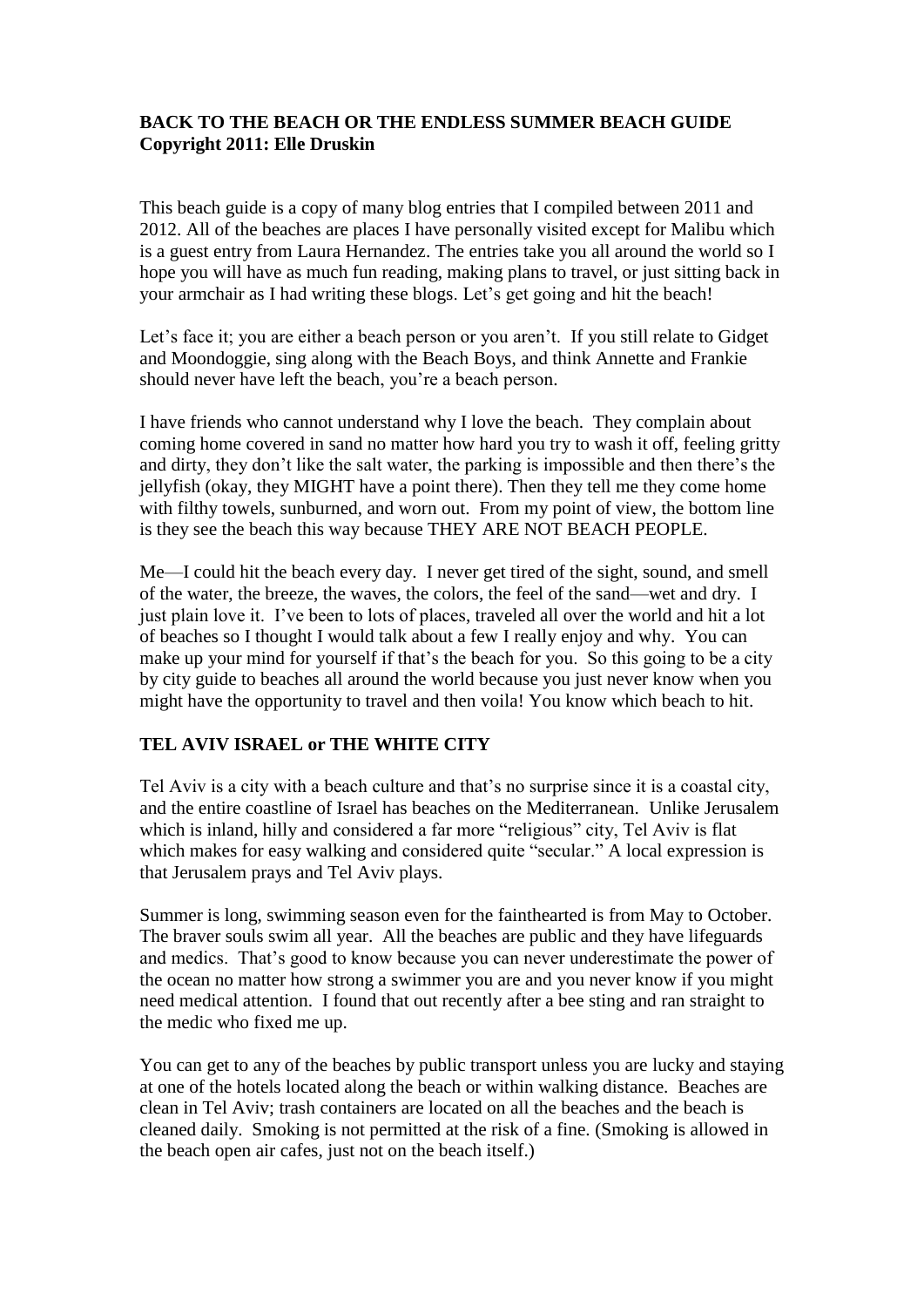# **BACK TO THE BEACH OR THE ENDLESS SUMMER BEACH GUIDE Copyright 2011: Elle Druskin**

This beach guide is a copy of many blog entries that I compiled between 2011 and 2012. All of the beaches are places I have personally visited except for Malibu which is a guest entry from Laura Hernandez. The entries take you all around the world so I hope you will have as much fun reading, making plans to travel, or just sitting back in your armchair as I had writing these blogs. Let's get going and hit the beach!

Let's face it; you are either a beach person or you aren't. If you still relate to Gidget and Moondoggie, sing along with the Beach Boys, and think Annette and Frankie should never have left the beach, you're a beach person.

I have friends who cannot understand why I love the beach. They complain about coming home covered in sand no matter how hard you try to wash it off, feeling gritty and dirty, they don't like the salt water, the parking is impossible and then there's the jellyfish (okay, they MIGHT have a point there). Then they tell me they come home with filthy towels, sunburned, and worn out. From my point of view, the bottom line is they see the beach this way because THEY ARE NOT BEACH PEOPLE.

Me—I could hit the beach every day. I never get tired of the sight, sound, and smell of the water, the breeze, the waves, the colors, the feel of the sand—wet and dry. I just plain love it. I've been to lots of places, traveled all over the world and hit a lot of beaches so I thought I would talk about a few I really enjoy and why. You can make up your mind for yourself if that's the beach for you. So this going to be a city by city guide to beaches all around the world because you just never know when you might have the opportunity to travel and then voila! You know which beach to hit.

# **TEL AVIV ISRAEL or THE WHITE CITY**

Tel Aviv is a city with a beach culture and that's no surprise since it is a coastal city, and the entire coastline of Israel has beaches on the Mediterranean. Unlike Jerusalem which is inland, hilly and considered a far more "religious" city, Tel Aviv is flat which makes for easy walking and considered quite "secular." A local expression is that Jerusalem prays and Tel Aviv plays.

Summer is long, swimming season even for the fainthearted is from May to October. The braver souls swim all year. All the beaches are public and they have lifeguards and medics. That's good to know because you can never underestimate the power of the ocean no matter how strong a swimmer you are and you never know if you might need medical attention. I found that out recently after a bee sting and ran straight to the medic who fixed me up.

You can get to any of the beaches by public transport unless you are lucky and staying at one of the hotels located along the beach or within walking distance. Beaches are clean in Tel Aviv; trash containers are located on all the beaches and the beach is cleaned daily. Smoking is not permitted at the risk of a fine. (Smoking is allowed in the beach open air cafes, just not on the beach itself.)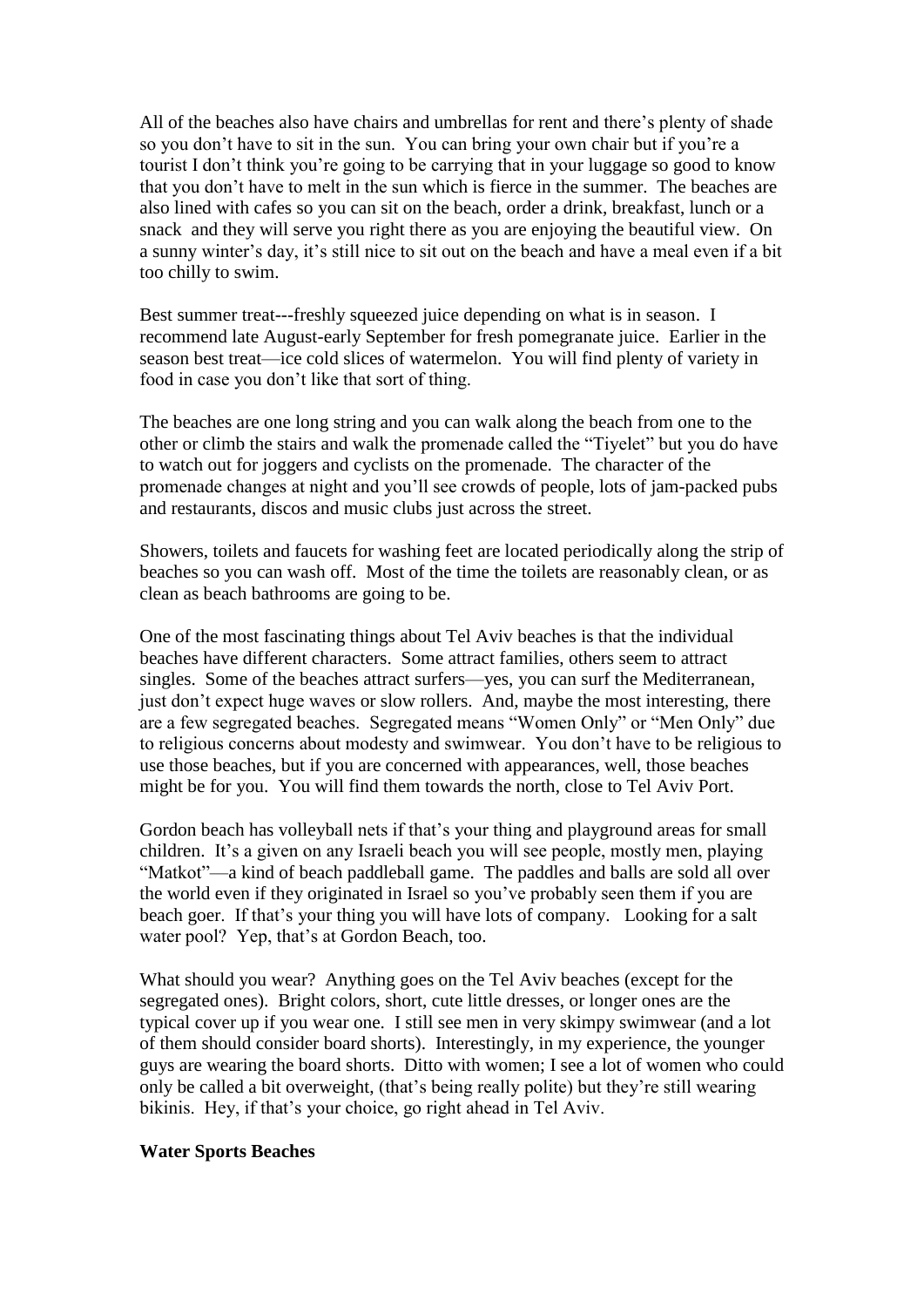All of the beaches also have chairs and umbrellas for rent and there's plenty of shade so you don't have to sit in the sun. You can bring your own chair but if you're a tourist I don't think you're going to be carrying that in your luggage so good to know that you don't have to melt in the sun which is fierce in the summer. The beaches are also lined with cafes so you can sit on the beach, order a drink, breakfast, lunch or a snack and they will serve you right there as you are enjoying the beautiful view. On a sunny winter's day, it's still nice to sit out on the beach and have a meal even if a bit too chilly to swim.

Best summer treat---freshly squeezed juice depending on what is in season. I recommend late August-early September for fresh pomegranate juice. Earlier in the season best treat—ice cold slices of watermelon. You will find plenty of variety in food in case you don't like that sort of thing.

The beaches are one long string and you can walk along the beach from one to the other or climb the stairs and walk the promenade called the "Tiyelet" but you do have to watch out for joggers and cyclists on the promenade. The character of the promenade changes at night and you'll see crowds of people, lots of jam-packed pubs and restaurants, discos and music clubs just across the street.

Showers, toilets and faucets for washing feet are located periodically along the strip of beaches so you can wash off. Most of the time the toilets are reasonably clean, or as clean as beach bathrooms are going to be.

One of the most fascinating things about Tel Aviv beaches is that the individual beaches have different characters. Some attract families, others seem to attract singles. Some of the beaches attract surfers—yes, you can surf the Mediterranean, just don't expect huge waves or slow rollers. And, maybe the most interesting, there are a few segregated beaches. Segregated means "Women Only" or "Men Only" due to religious concerns about modesty and swimwear. You don't have to be religious to use those beaches, but if you are concerned with appearances, well, those beaches might be for you. You will find them towards the north, close to Tel Aviv Port.

Gordon beach has volleyball nets if that's your thing and playground areas for small children. It's a given on any Israeli beach you will see people, mostly men, playing "Matkot"—a kind of beach paddleball game. The paddles and balls are sold all over the world even if they originated in Israel so you've probably seen them if you are beach goer. If that's your thing you will have lots of company. Looking for a salt water pool? Yep, that's at Gordon Beach, too.

What should you wear? Anything goes on the Tel Aviv beaches (except for the segregated ones). Bright colors, short, cute little dresses, or longer ones are the typical cover up if you wear one. I still see men in very skimpy swimwear (and a lot of them should consider board shorts). Interestingly, in my experience, the younger guys are wearing the board shorts. Ditto with women; I see a lot of women who could only be called a bit overweight, (that's being really polite) but they're still wearing bikinis. Hey, if that's your choice, go right ahead in Tel Aviv.

# **Water Sports Beaches**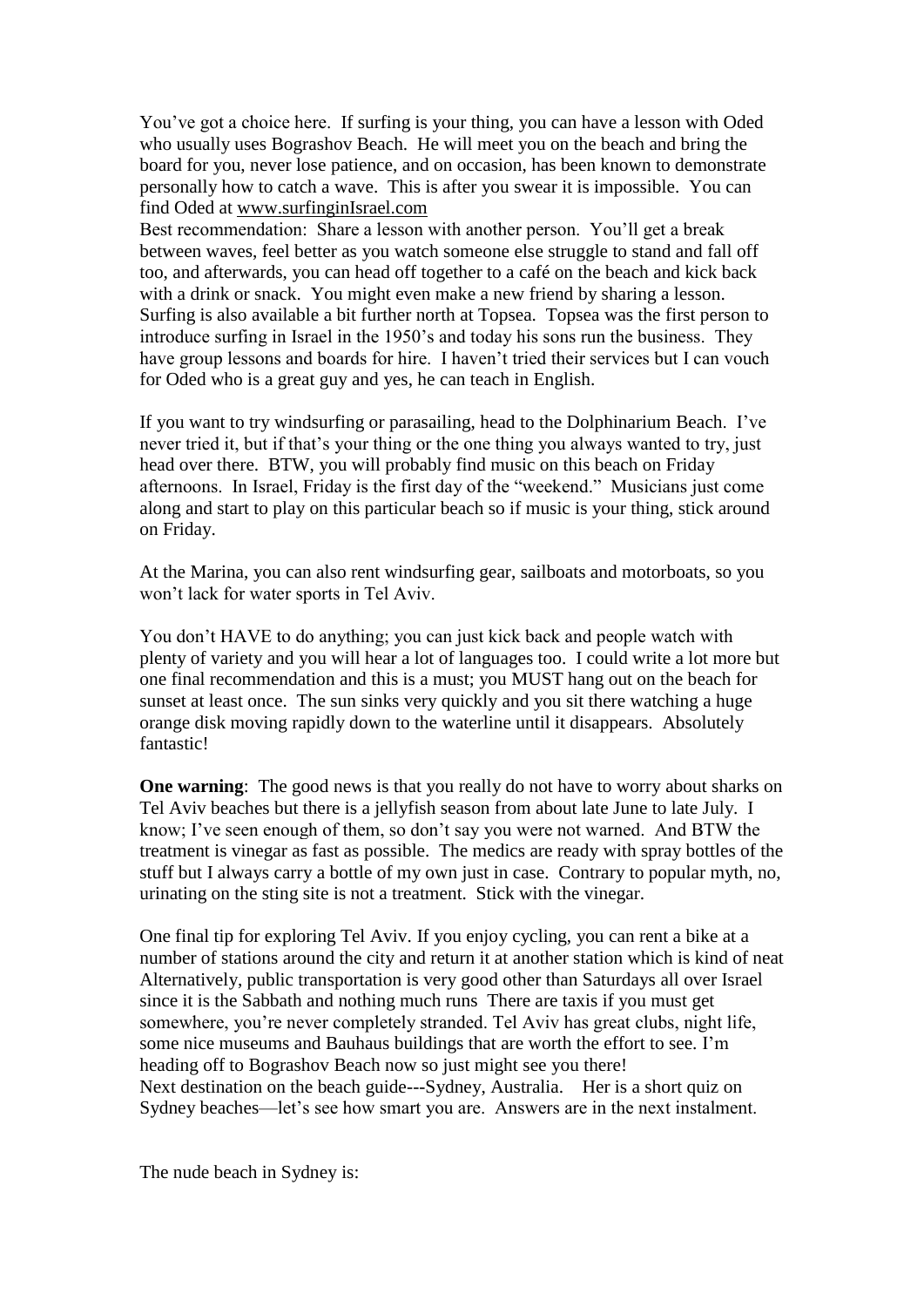You've got a choice here. If surfing is your thing, you can have a lesson with Oded who usually uses Bograshov Beach. He will meet you on the beach and bring the board for you, never lose patience, and on occasion, has been known to demonstrate personally how to catch a wave. This is after you swear it is impossible. You can find Oded at [www.surfinginIsrael.com](http://www.surfinginisrael.com/)

Best recommendation: Share a lesson with another person. You'll get a break between waves, feel better as you watch someone else struggle to stand and fall off too, and afterwards, you can head off together to a café on the beach and kick back with a drink or snack. You might even make a new friend by sharing a lesson. Surfing is also available a bit further north at Topsea. Topsea was the first person to introduce surfing in Israel in the 1950's and today his sons run the business. They have group lessons and boards for hire. I haven't tried their services but I can vouch for Oded who is a great guy and yes, he can teach in English.

If you want to try windsurfing or parasailing, head to the Dolphinarium Beach. I've never tried it, but if that's your thing or the one thing you always wanted to try, just head over there. BTW, you will probably find music on this beach on Friday afternoons. In Israel, Friday is the first day of the "weekend." Musicians just come along and start to play on this particular beach so if music is your thing, stick around on Friday.

At the Marina, you can also rent windsurfing gear, sailboats and motorboats, so you won't lack for water sports in Tel Aviv.

You don't HAVE to do anything; you can just kick back and people watch with plenty of variety and you will hear a lot of languages too. I could write a lot more but one final recommendation and this is a must; you MUST hang out on the beach for sunset at least once. The sun sinks very quickly and you sit there watching a huge orange disk moving rapidly down to the waterline until it disappears. Absolutely fantastic!

**One warning:** The good news is that you really do not have to worry about sharks on Tel Aviv beaches but there is a jellyfish season from about late June to late July. I know; I've seen enough of them, so don't say you were not warned. And BTW the treatment is vinegar as fast as possible. The medics are ready with spray bottles of the stuff but I always carry a bottle of my own just in case. Contrary to popular myth, no, urinating on the sting site is not a treatment. Stick with the vinegar.

One final tip for exploring Tel Aviv. If you enjoy cycling, you can rent a bike at a number of stations around the city and return it at another station which is kind of neat Alternatively, public transportation is very good other than Saturdays all over Israel since it is the Sabbath and nothing much runs There are taxis if you must get somewhere, you're never completely stranded. Tel Aviv has great clubs, night life, some nice museums and Bauhaus buildings that are worth the effort to see. I'm heading off to Bograshov Beach now so just might see you there! Next destination on the beach guide---Sydney, Australia. Her is a short quiz on Sydney beaches—let's see how smart you are. Answers are in the next instalment.

The nude beach in Sydney is: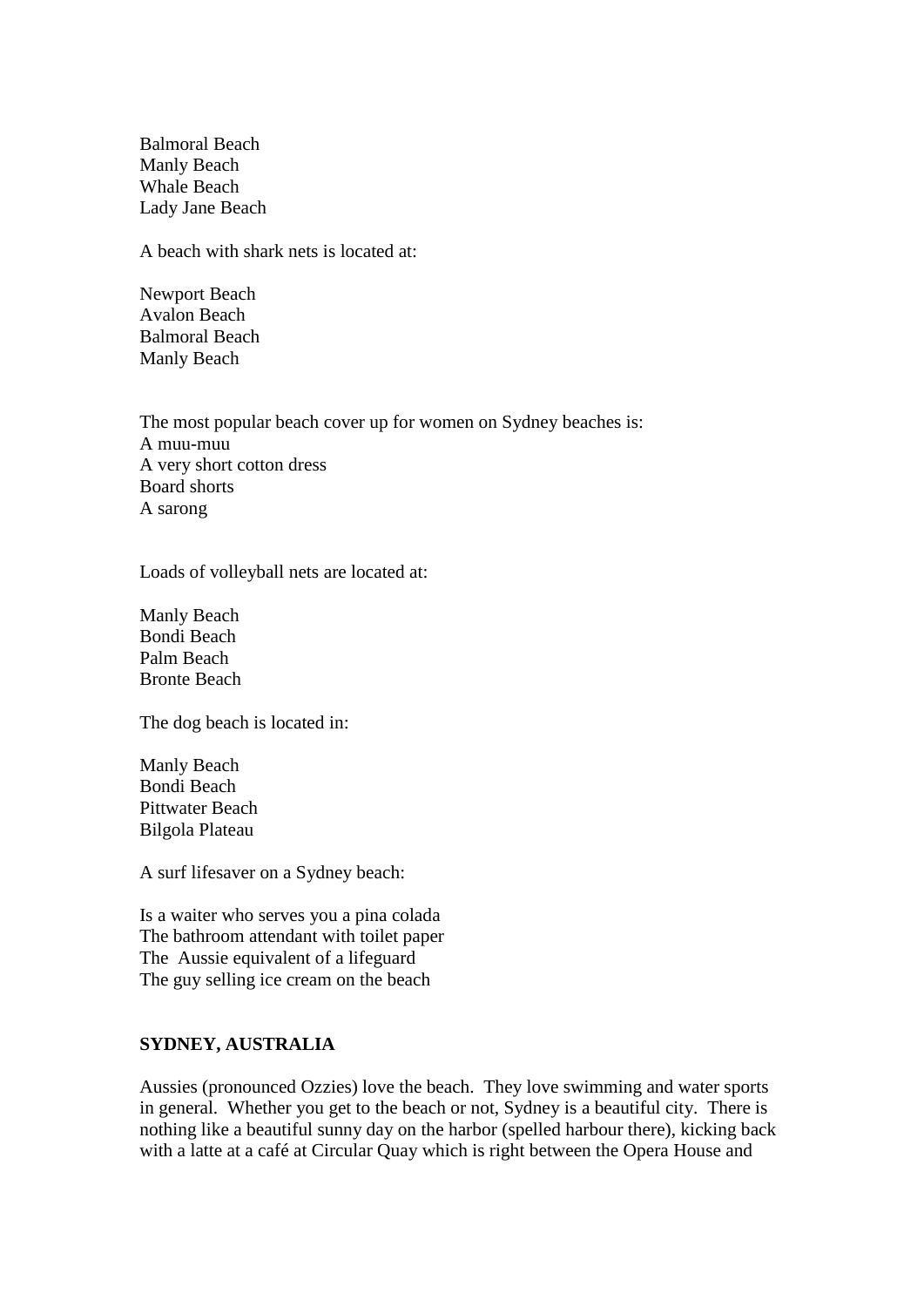Balmoral Beach Manly Beach Whale Beach Lady Jane Beach

A beach with shark nets is located at:

Newport Beach Avalon Beach Balmoral Beach Manly Beach

The most popular beach cover up for women on Sydney beaches is: A muu-muu A very short cotton dress Board shorts A sarong

Loads of volleyball nets are located at:

Manly Beach Bondi Beach Palm Beach Bronte Beach

The dog beach is located in:

Manly Beach Bondi Beach Pittwater Beach Bilgola Plateau

A surf lifesaver on a Sydney beach:

Is a waiter who serves you a pina colada The bathroom attendant with toilet paper The Aussie equivalent of a lifeguard The guy selling ice cream on the beach

# **SYDNEY, AUSTRALIA**

Aussies (pronounced Ozzies) love the beach. They love swimming and water sports in general. Whether you get to the beach or not, Sydney is a beautiful city. There is nothing like a beautiful sunny day on the harbor (spelled harbour there), kicking back with a latte at a café at Circular Quay which is right between the Opera House and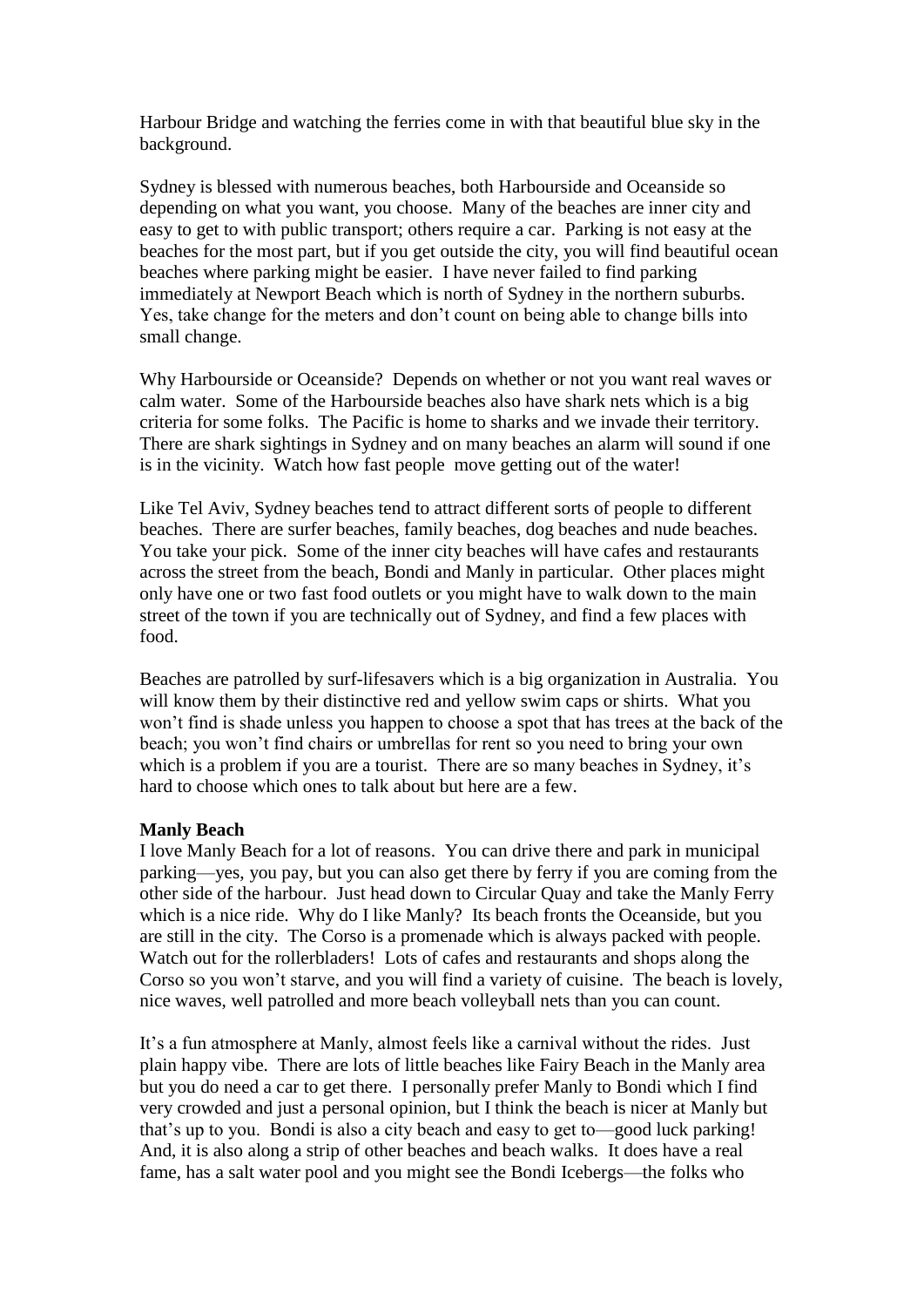Harbour Bridge and watching the ferries come in with that beautiful blue sky in the background.

Sydney is blessed with numerous beaches, both Harbourside and Oceanside so depending on what you want, you choose. Many of the beaches are inner city and easy to get to with public transport; others require a car. Parking is not easy at the beaches for the most part, but if you get outside the city, you will find beautiful ocean beaches where parking might be easier. I have never failed to find parking immediately at Newport Beach which is north of Sydney in the northern suburbs. Yes, take change for the meters and don't count on being able to change bills into small change.

Why Harbourside or Oceanside? Depends on whether or not you want real waves or calm water. Some of the Harbourside beaches also have shark nets which is a big criteria for some folks. The Pacific is home to sharks and we invade their territory. There are shark sightings in Sydney and on many beaches an alarm will sound if one is in the vicinity. Watch how fast people move getting out of the water!

Like Tel Aviv, Sydney beaches tend to attract different sorts of people to different beaches. There are surfer beaches, family beaches, dog beaches and nude beaches. You take your pick. Some of the inner city beaches will have cafes and restaurants across the street from the beach, Bondi and Manly in particular. Other places might only have one or two fast food outlets or you might have to walk down to the main street of the town if you are technically out of Sydney, and find a few places with food.

Beaches are patrolled by surf-lifesavers which is a big organization in Australia. You will know them by their distinctive red and yellow swim caps or shirts. What you won't find is shade unless you happen to choose a spot that has trees at the back of the beach; you won't find chairs or umbrellas for rent so you need to bring your own which is a problem if you are a tourist. There are so many beaches in Sydney, it's hard to choose which ones to talk about but here are a few.

# **Manly Beach**

I love Manly Beach for a lot of reasons. You can drive there and park in municipal parking—yes, you pay, but you can also get there by ferry if you are coming from the other side of the harbour. Just head down to Circular Quay and take the Manly Ferry which is a nice ride. Why do I like Manly? Its beach fronts the Oceanside, but you are still in the city. The Corso is a promenade which is always packed with people. Watch out for the rollerbladers! Lots of cafes and restaurants and shops along the Corso so you won't starve, and you will find a variety of cuisine. The beach is lovely, nice waves, well patrolled and more beach volleyball nets than you can count.

It's a fun atmosphere at Manly, almost feels like a carnival without the rides. Just plain happy vibe. There are lots of little beaches like Fairy Beach in the Manly area but you do need a car to get there. I personally prefer Manly to Bondi which I find very crowded and just a personal opinion, but I think the beach is nicer at Manly but that's up to you. Bondi is also a city beach and easy to get to—good luck parking! And, it is also along a strip of other beaches and beach walks. It does have a real fame, has a salt water pool and you might see the Bondi Icebergs—the folks who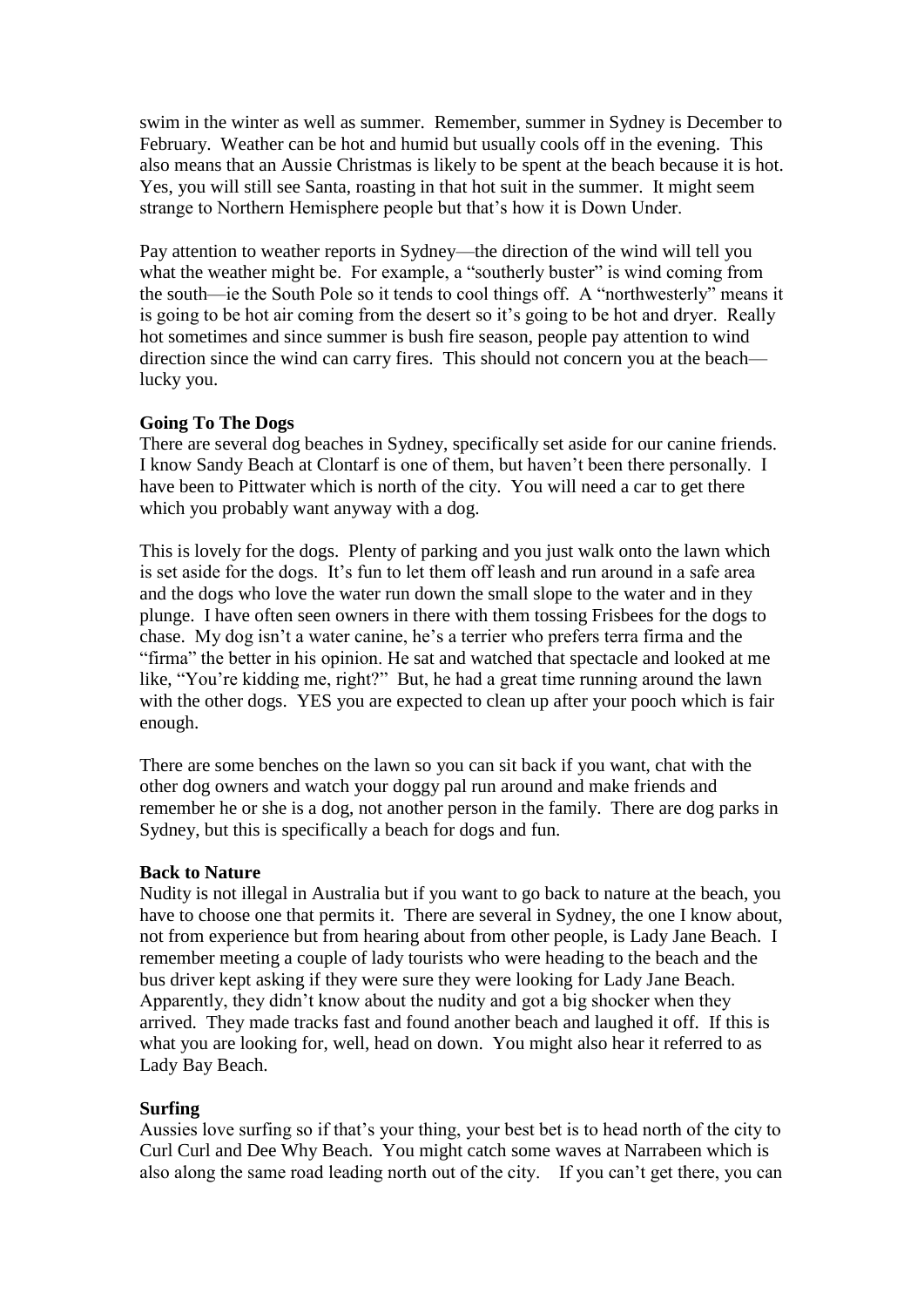swim in the winter as well as summer. Remember, summer in Sydney is December to February. Weather can be hot and humid but usually cools off in the evening. This also means that an Aussie Christmas is likely to be spent at the beach because it is hot. Yes, you will still see Santa, roasting in that hot suit in the summer. It might seem strange to Northern Hemisphere people but that's how it is Down Under.

Pay attention to weather reports in Sydney—the direction of the wind will tell you what the weather might be. For example, a "southerly buster" is wind coming from the south—ie the South Pole so it tends to cool things off. A "northwesterly" means it is going to be hot air coming from the desert so it's going to be hot and dryer. Really hot sometimes and since summer is bush fire season, people pay attention to wind direction since the wind can carry fires. This should not concern you at the beach lucky you.

# **Going To The Dogs**

There are several dog beaches in Sydney, specifically set aside for our canine friends. I know Sandy Beach at Clontarf is one of them, but haven't been there personally. I have been to Pittwater which is north of the city. You will need a car to get there which you probably want anyway with a dog.

This is lovely for the dogs. Plenty of parking and you just walk onto the lawn which is set aside for the dogs. It's fun to let them off leash and run around in a safe area and the dogs who love the water run down the small slope to the water and in they plunge. I have often seen owners in there with them tossing Frisbees for the dogs to chase. My dog isn't a water canine, he's a terrier who prefers terra firma and the "firma" the better in his opinion. He sat and watched that spectacle and looked at me like, "You're kidding me, right?" But, he had a great time running around the lawn with the other dogs. YES you are expected to clean up after your pooch which is fair enough.

There are some benches on the lawn so you can sit back if you want, chat with the other dog owners and watch your doggy pal run around and make friends and remember he or she is a dog, not another person in the family. There are dog parks in Sydney, but this is specifically a beach for dogs and fun.

# **Back to Nature**

Nudity is not illegal in Australia but if you want to go back to nature at the beach, you have to choose one that permits it. There are several in Sydney, the one I know about, not from experience but from hearing about from other people, is Lady Jane Beach. I remember meeting a couple of lady tourists who were heading to the beach and the bus driver kept asking if they were sure they were looking for Lady Jane Beach. Apparently, they didn't know about the nudity and got a big shocker when they arrived. They made tracks fast and found another beach and laughed it off. If this is what you are looking for, well, head on down. You might also hear it referred to as Lady Bay Beach.

# **Surfing**

Aussies love surfing so if that's your thing, your best bet is to head north of the city to Curl Curl and Dee Why Beach. You might catch some waves at Narrabeen which is also along the same road leading north out of the city. If you can't get there, you can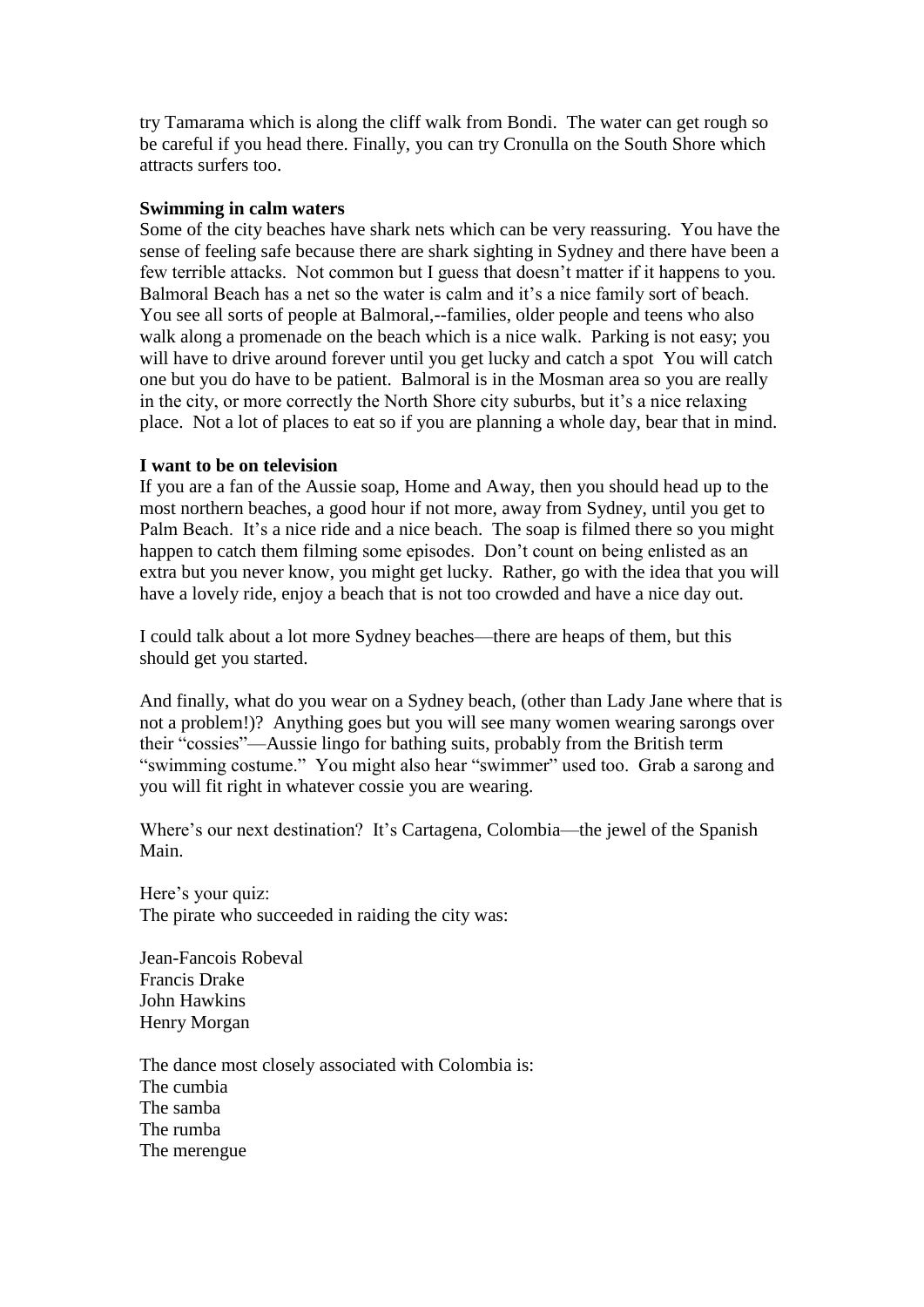try Tamarama which is along the cliff walk from Bondi. The water can get rough so be careful if you head there. Finally, you can try Cronulla on the South Shore which attracts surfers too.

# **Swimming in calm waters**

Some of the city beaches have shark nets which can be very reassuring. You have the sense of feeling safe because there are shark sighting in Sydney and there have been a few terrible attacks. Not common but I guess that doesn't matter if it happens to you. Balmoral Beach has a net so the water is calm and it's a nice family sort of beach. You see all sorts of people at Balmoral,--families, older people and teens who also walk along a promenade on the beach which is a nice walk. Parking is not easy; you will have to drive around forever until you get lucky and catch a spot You will catch one but you do have to be patient. Balmoral is in the Mosman area so you are really in the city, or more correctly the North Shore city suburbs, but it's a nice relaxing place. Not a lot of places to eat so if you are planning a whole day, bear that in mind.

#### **I want to be on television**

If you are a fan of the Aussie soap, Home and Away, then you should head up to the most northern beaches, a good hour if not more, away from Sydney, until you get to Palm Beach. It's a nice ride and a nice beach. The soap is filmed there so you might happen to catch them filming some episodes. Don't count on being enlisted as an extra but you never know, you might get lucky. Rather, go with the idea that you will have a lovely ride, enjoy a beach that is not too crowded and have a nice day out.

I could talk about a lot more Sydney beaches—there are heaps of them, but this should get you started.

And finally, what do you wear on a Sydney beach, (other than Lady Jane where that is not a problem!)? Anything goes but you will see many women wearing sarongs over their "cossies"—Aussie lingo for bathing suits, probably from the British term "swimming costume." You might also hear "swimmer" used too. Grab a sarong and you will fit right in whatever cossie you are wearing.

Where's our next destination? It's Cartagena, Colombia—the jewel of the Spanish Main.

Here's your quiz: The pirate who succeeded in raiding the city was:

Jean-Fancois Robeval Francis Drake John Hawkins Henry Morgan

The dance most closely associated with Colombia is: The cumbia The samba The rumba The merengue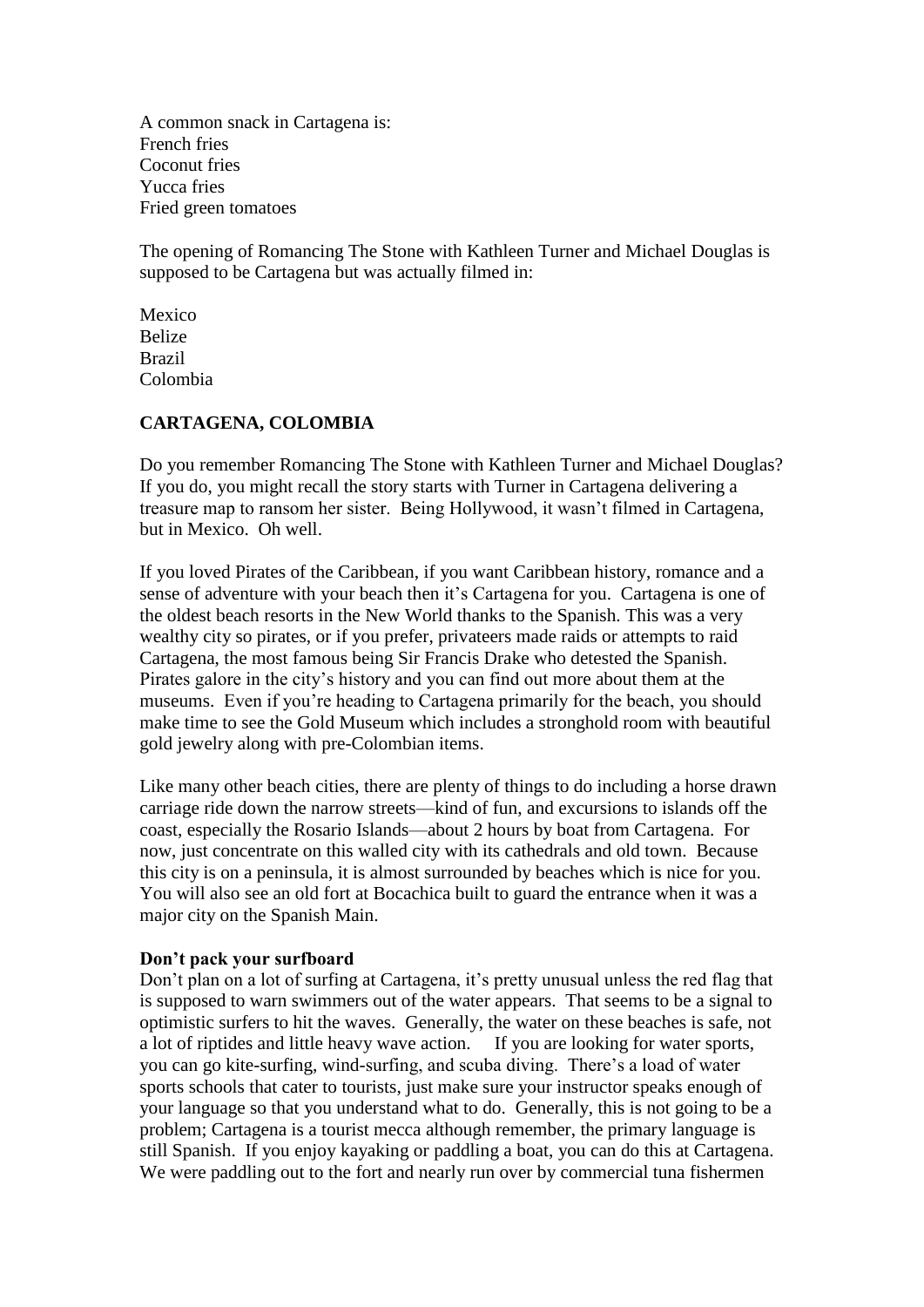A common snack in Cartagena is: French fries Coconut fries Yucca fries Fried green tomatoes

The opening of Romancing The Stone with Kathleen Turner and Michael Douglas is supposed to be Cartagena but was actually filmed in:

Mexico Belize Brazil Colombia

#### **CARTAGENA, COLOMBIA**

Do you remember Romancing The Stone with Kathleen Turner and Michael Douglas? If you do, you might recall the story starts with Turner in Cartagena delivering a treasure map to ransom her sister. Being Hollywood, it wasn't filmed in Cartagena, but in Mexico. Oh well.

If you loved Pirates of the Caribbean, if you want Caribbean history, romance and a sense of adventure with your beach then it's Cartagena for you. Cartagena is one of the oldest beach resorts in the New World thanks to the Spanish. This was a very wealthy city so pirates, or if you prefer, privateers made raids or attempts to raid Cartagena, the most famous being Sir Francis Drake who detested the Spanish. Pirates galore in the city's history and you can find out more about them at the museums. Even if you're heading to Cartagena primarily for the beach, you should make time to see the Gold Museum which includes a stronghold room with beautiful gold jewelry along with pre-Colombian items.

Like many other beach cities, there are plenty of things to do including a horse drawn carriage ride down the narrow streets—kind of fun, and excursions to islands off the coast, especially the Rosario Islands—about 2 hours by boat from Cartagena. For now, just concentrate on this walled city with its cathedrals and old town. Because this city is on a peninsula, it is almost surrounded by beaches which is nice for you. You will also see an old fort at Bocachica built to guard the entrance when it was a major city on the Spanish Main.

#### **Don't pack your surfboard**

Don't plan on a lot of surfing at Cartagena, it's pretty unusual unless the red flag that is supposed to warn swimmers out of the water appears. That seems to be a signal to optimistic surfers to hit the waves. Generally, the water on these beaches is safe, not a lot of riptides and little heavy wave action. If you are looking for water sports, you can go kite-surfing, wind-surfing, and scuba diving. There's a load of water sports schools that cater to tourists, just make sure your instructor speaks enough of your language so that you understand what to do. Generally, this is not going to be a problem; Cartagena is a tourist mecca although remember, the primary language is still Spanish. If you enjoy kayaking or paddling a boat, you can do this at Cartagena. We were paddling out to the fort and nearly run over by commercial tuna fishermen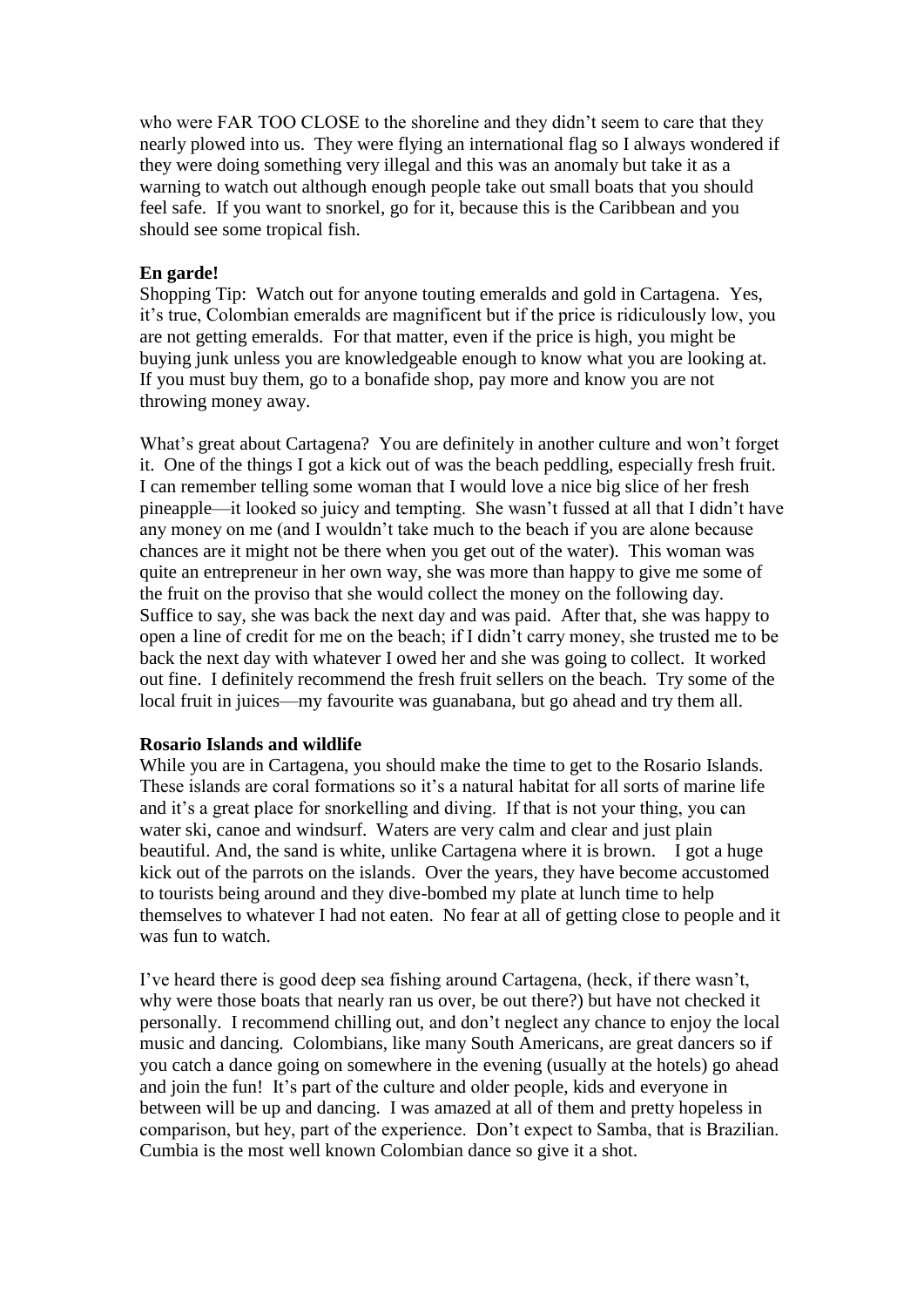who were FAR TOO CLOSE to the shoreline and they didn't seem to care that they nearly plowed into us. They were flying an international flag so I always wondered if they were doing something very illegal and this was an anomaly but take it as a warning to watch out although enough people take out small boats that you should feel safe. If you want to snorkel, go for it, because this is the Caribbean and you should see some tropical fish.

#### **En garde!**

Shopping Tip: Watch out for anyone touting emeralds and gold in Cartagena. Yes, it's true, Colombian emeralds are magnificent but if the price is ridiculously low, you are not getting emeralds. For that matter, even if the price is high, you might be buying junk unless you are knowledgeable enough to know what you are looking at. If you must buy them, go to a bonafide shop, pay more and know you are not throwing money away.

What's great about Cartagena? You are definitely in another culture and won't forget it. One of the things I got a kick out of was the beach peddling, especially fresh fruit. I can remember telling some woman that I would love a nice big slice of her fresh pineapple—it looked so juicy and tempting. She wasn't fussed at all that I didn't have any money on me (and I wouldn't take much to the beach if you are alone because chances are it might not be there when you get out of the water). This woman was quite an entrepreneur in her own way, she was more than happy to give me some of the fruit on the proviso that she would collect the money on the following day. Suffice to say, she was back the next day and was paid. After that, she was happy to open a line of credit for me on the beach; if I didn't carry money, she trusted me to be back the next day with whatever I owed her and she was going to collect. It worked out fine. I definitely recommend the fresh fruit sellers on the beach. Try some of the local fruit in juices—my favourite was guanabana, but go ahead and try them all.

#### **Rosario Islands and wildlife**

While you are in Cartagena, you should make the time to get to the Rosario Islands. These islands are coral formations so it's a natural habitat for all sorts of marine life and it's a great place for snorkelling and diving. If that is not your thing, you can water ski, canoe and windsurf. Waters are very calm and clear and just plain beautiful. And, the sand is white, unlike Cartagena where it is brown. I got a huge kick out of the parrots on the islands. Over the years, they have become accustomed to tourists being around and they dive-bombed my plate at lunch time to help themselves to whatever I had not eaten. No fear at all of getting close to people and it was fun to watch.

I've heard there is good deep sea fishing around Cartagena, (heck, if there wasn't, why were those boats that nearly ran us over, be out there?) but have not checked it personally. I recommend chilling out, and don't neglect any chance to enjoy the local music and dancing. Colombians, like many South Americans, are great dancers so if you catch a dance going on somewhere in the evening (usually at the hotels) go ahead and join the fun! It's part of the culture and older people, kids and everyone in between will be up and dancing. I was amazed at all of them and pretty hopeless in comparison, but hey, part of the experience. Don't expect to Samba, that is Brazilian. Cumbia is the most well known Colombian dance so give it a shot.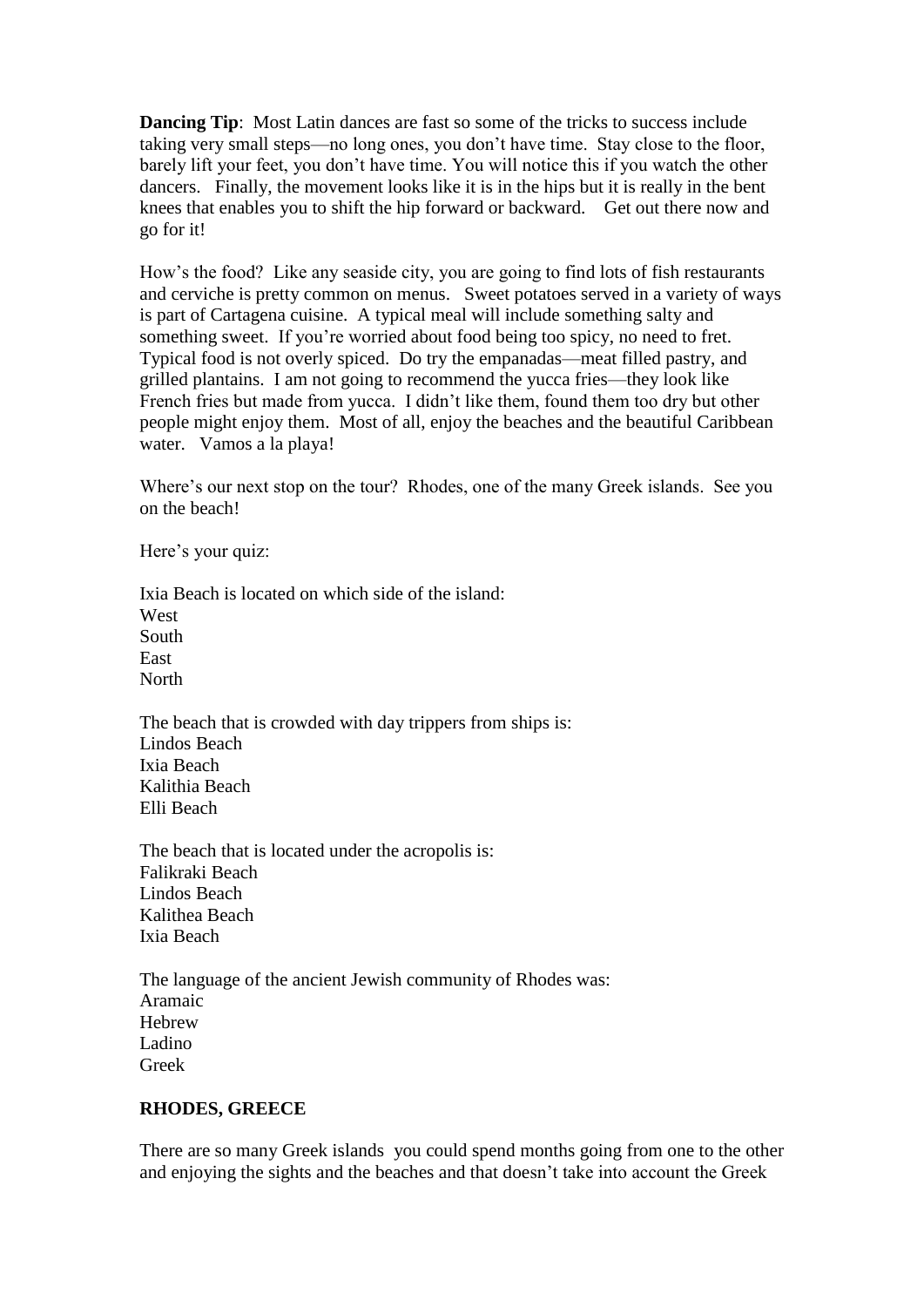**Dancing Tip:** Most Latin dances are fast so some of the tricks to success include taking very small steps—no long ones, you don't have time. Stay close to the floor, barely lift your feet, you don't have time. You will notice this if you watch the other dancers. Finally, the movement looks like it is in the hips but it is really in the bent knees that enables you to shift the hip forward or backward. Get out there now and go for it!

How's the food? Like any seaside city, you are going to find lots of fish restaurants and cerviche is pretty common on menus. Sweet potatoes served in a variety of ways is part of Cartagena cuisine. A typical meal will include something salty and something sweet. If you're worried about food being too spicy, no need to fret. Typical food is not overly spiced. Do try the empanadas—meat filled pastry, and grilled plantains. I am not going to recommend the yucca fries—they look like French fries but made from yucca. I didn't like them, found them too dry but other people might enjoy them. Most of all, enjoy the beaches and the beautiful Caribbean water. Vamos a la playa!

Where's our next stop on the tour? Rhodes, one of the many Greek islands. See you on the beach!

Here's your quiz:

Ixia Beach is located on which side of the island: West South East **North** 

The beach that is crowded with day trippers from ships is: Lindos Beach Ixia Beach Kalithia Beach Elli Beach

The beach that is located under the acropolis is: Falikraki Beach Lindos Beach Kalithea Beach Ixia Beach

The language of the ancient Jewish community of Rhodes was: Aramaic Hebrew Ladino Greek

# **RHODES, GREECE**

There are so many Greek islands you could spend months going from one to the other and enjoying the sights and the beaches and that doesn't take into account the Greek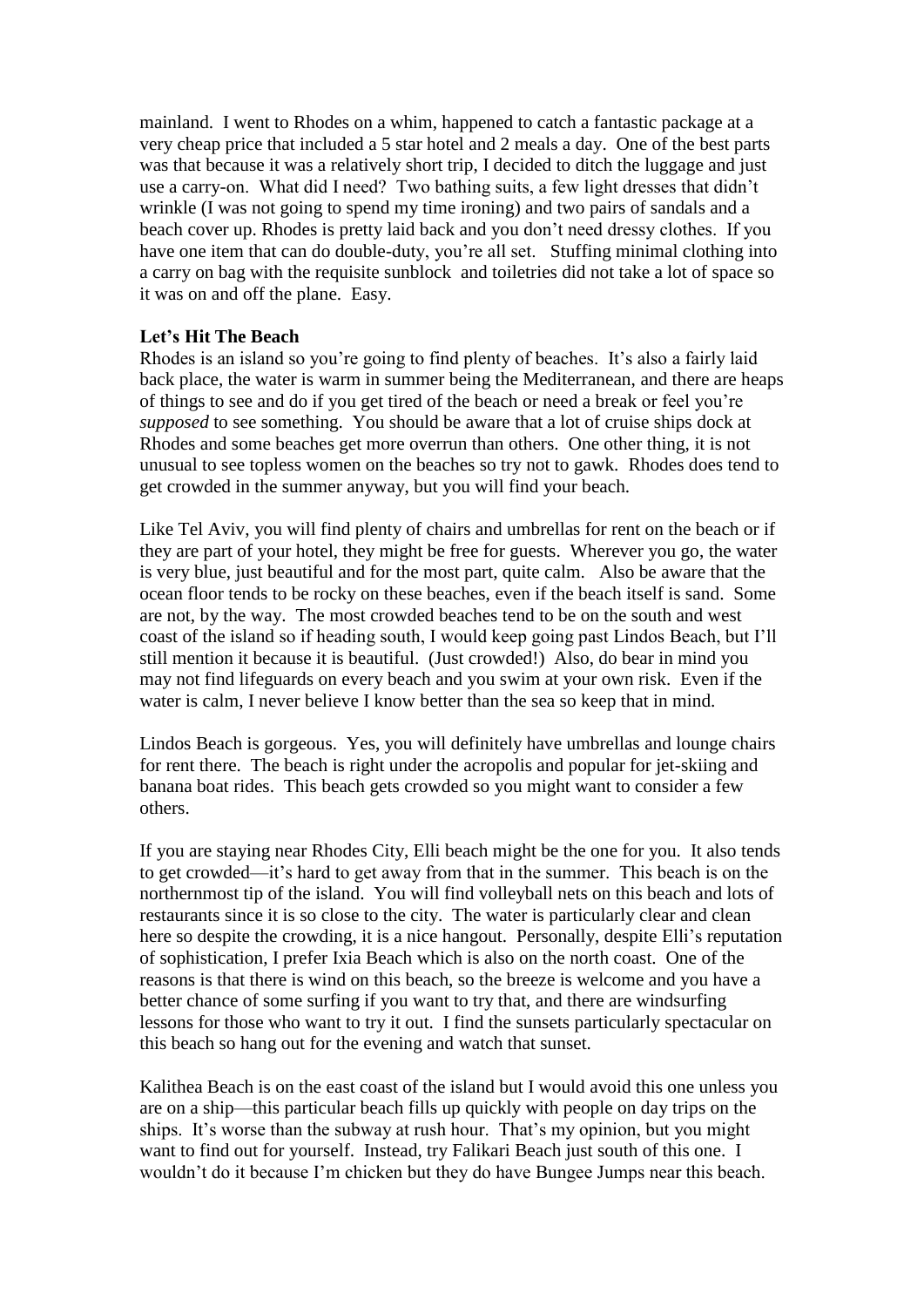mainland. I went to Rhodes on a whim, happened to catch a fantastic package at a very cheap price that included a 5 star hotel and 2 meals a day. One of the best parts was that because it was a relatively short trip, I decided to ditch the luggage and just use a carry-on. What did I need? Two bathing suits, a few light dresses that didn't wrinkle (I was not going to spend my time ironing) and two pairs of sandals and a beach cover up. Rhodes is pretty laid back and you don't need dressy clothes. If you have one item that can do double-duty, you're all set. Stuffing minimal clothing into a carry on bag with the requisite sunblock and toiletries did not take a lot of space so it was on and off the plane. Easy.

# **Let's Hit The Beach**

Rhodes is an island so you're going to find plenty of beaches. It's also a fairly laid back place, the water is warm in summer being the Mediterranean, and there are heaps of things to see and do if you get tired of the beach or need a break or feel you're *supposed* to see something. You should be aware that a lot of cruise ships dock at Rhodes and some beaches get more overrun than others. One other thing, it is not unusual to see topless women on the beaches so try not to gawk. Rhodes does tend to get crowded in the summer anyway, but you will find your beach.

Like Tel Aviv, you will find plenty of chairs and umbrellas for rent on the beach or if they are part of your hotel, they might be free for guests. Wherever you go, the water is very blue, just beautiful and for the most part, quite calm. Also be aware that the ocean floor tends to be rocky on these beaches, even if the beach itself is sand. Some are not, by the way. The most crowded beaches tend to be on the south and west coast of the island so if heading south, I would keep going past Lindos Beach, but I'll still mention it because it is beautiful. (Just crowded!) Also, do bear in mind you may not find lifeguards on every beach and you swim at your own risk. Even if the water is calm, I never believe I know better than the sea so keep that in mind.

Lindos Beach is gorgeous. Yes, you will definitely have umbrellas and lounge chairs for rent there. The beach is right under the acropolis and popular for jet-skiing and banana boat rides. This beach gets crowded so you might want to consider a few others.

If you are staying near Rhodes City, Elli beach might be the one for you. It also tends to get crowded—it's hard to get away from that in the summer. This beach is on the northernmost tip of the island. You will find volleyball nets on this beach and lots of restaurants since it is so close to the city. The water is particularly clear and clean here so despite the crowding, it is a nice hangout. Personally, despite Elli's reputation of sophistication, I prefer Ixia Beach which is also on the north coast. One of the reasons is that there is wind on this beach, so the breeze is welcome and you have a better chance of some surfing if you want to try that, and there are windsurfing lessons for those who want to try it out. I find the sunsets particularly spectacular on this beach so hang out for the evening and watch that sunset.

Kalithea Beach is on the east coast of the island but I would avoid this one unless you are on a ship—this particular beach fills up quickly with people on day trips on the ships. It's worse than the subway at rush hour. That's my opinion, but you might want to find out for yourself. Instead, try Falikari Beach just south of this one. I wouldn't do it because I'm chicken but they do have Bungee Jumps near this beach.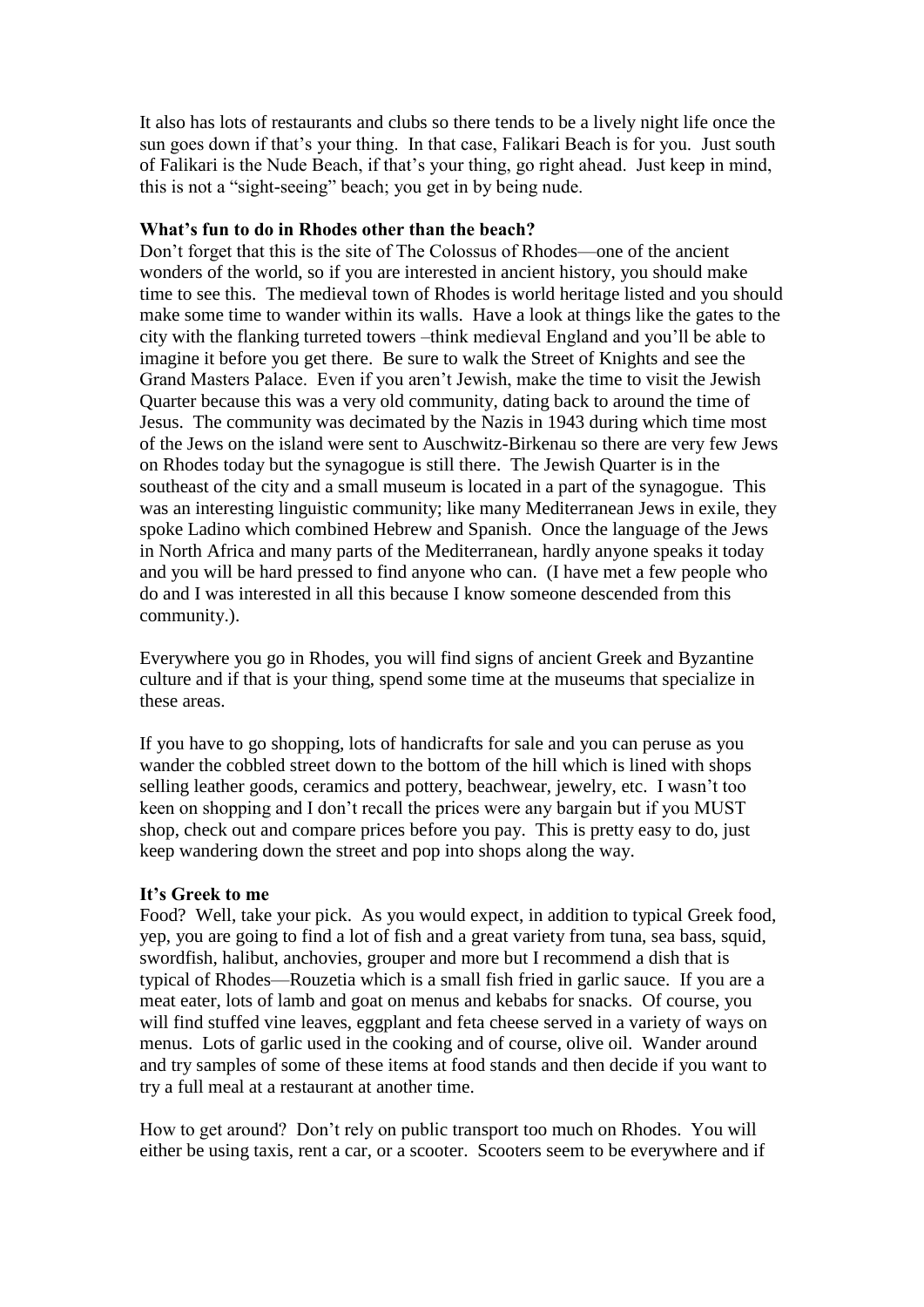It also has lots of restaurants and clubs so there tends to be a lively night life once the sun goes down if that's your thing. In that case, Falikari Beach is for you. Just south of Falikari is the Nude Beach, if that's your thing, go right ahead. Just keep in mind, this is not a "sight-seeing" beach; you get in by being nude.

### **What's fun to do in Rhodes other than the beach?**

Don't forget that this is the site of The Colossus of Rhodes—one of the ancient wonders of the world, so if you are interested in ancient history, you should make time to see this. The medieval town of Rhodes is world heritage listed and you should make some time to wander within its walls. Have a look at things like the gates to the city with the flanking turreted towers –think medieval England and you'll be able to imagine it before you get there. Be sure to walk the Street of Knights and see the Grand Masters Palace. Even if you aren't Jewish, make the time to visit the Jewish Quarter because this was a very old community, dating back to around the time of Jesus. The community was decimated by the Nazis in 1943 during which time most of the Jews on the island were sent to Auschwitz-Birkenau so there are very few Jews on Rhodes today but the synagogue is still there. The Jewish Quarter is in the southeast of the city and a small museum is located in a part of the synagogue. This was an interesting linguistic community; like many Mediterranean Jews in exile, they spoke Ladino which combined Hebrew and Spanish. Once the language of the Jews in North Africa and many parts of the Mediterranean, hardly anyone speaks it today and you will be hard pressed to find anyone who can. (I have met a few people who do and I was interested in all this because I know someone descended from this community.).

Everywhere you go in Rhodes, you will find signs of ancient Greek and Byzantine culture and if that is your thing, spend some time at the museums that specialize in these areas.

If you have to go shopping, lots of handicrafts for sale and you can peruse as you wander the cobbled street down to the bottom of the hill which is lined with shops selling leather goods, ceramics and pottery, beachwear, jewelry, etc. I wasn't too keen on shopping and I don't recall the prices were any bargain but if you MUST shop, check out and compare prices before you pay. This is pretty easy to do, just keep wandering down the street and pop into shops along the way.

# **It's Greek to me**

Food? Well, take your pick. As you would expect, in addition to typical Greek food, yep, you are going to find a lot of fish and a great variety from tuna, sea bass, squid, swordfish, halibut, anchovies, grouper and more but I recommend a dish that is typical of Rhodes—Rouzetia which is a small fish fried in garlic sauce. If you are a meat eater, lots of lamb and goat on menus and kebabs for snacks. Of course, you will find stuffed vine leaves, eggplant and feta cheese served in a variety of ways on menus. Lots of garlic used in the cooking and of course, olive oil. Wander around and try samples of some of these items at food stands and then decide if you want to try a full meal at a restaurant at another time.

How to get around? Don't rely on public transport too much on Rhodes. You will either be using taxis, rent a car, or a scooter. Scooters seem to be everywhere and if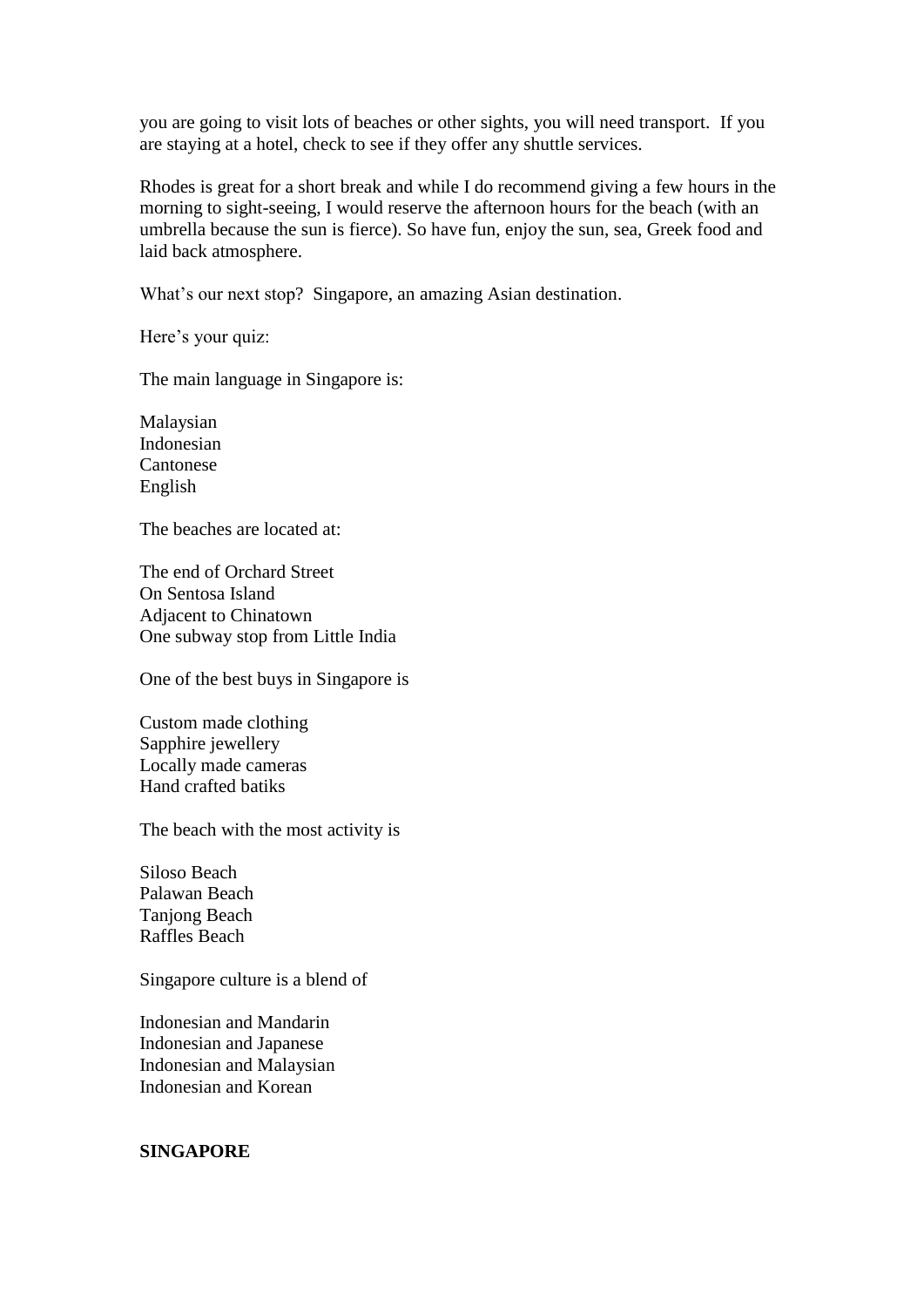you are going to visit lots of beaches or other sights, you will need transport. If you are staying at a hotel, check to see if they offer any shuttle services.

Rhodes is great for a short break and while I do recommend giving a few hours in the morning to sight-seeing, I would reserve the afternoon hours for the beach (with an umbrella because the sun is fierce). So have fun, enjoy the sun, sea, Greek food and laid back atmosphere.

What's our next stop? Singapore, an amazing Asian destination.

Here's your quiz:

The main language in Singapore is:

Malaysian Indonesian Cantonese English

The beaches are located at:

The end of Orchard Street On Sentosa Island Adjacent to Chinatown One subway stop from Little India

One of the best buys in Singapore is

Custom made clothing Sapphire jewellery Locally made cameras Hand crafted batiks

The beach with the most activity is

Siloso Beach Palawan Beach Tanjong Beach Raffles Beach

Singapore culture is a blend of

Indonesian and Mandarin Indonesian and Japanese Indonesian and Malaysian Indonesian and Korean

# **SINGAPORE**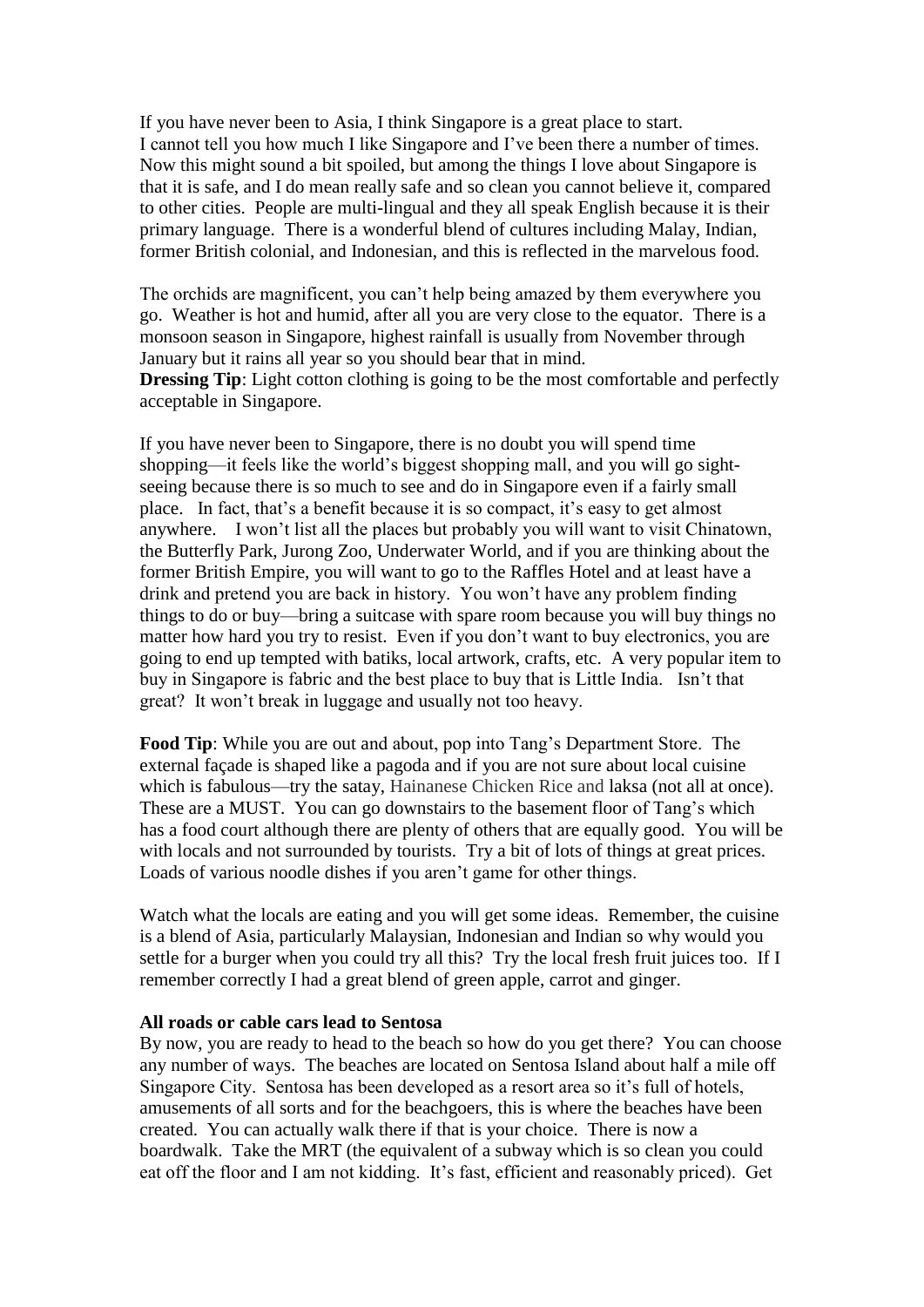If you have never been to Asia, I think Singapore is a great place to start. I cannot tell you how much I like Singapore and I've been there a number of times. Now this might sound a bit spoiled, but among the things I love about Singapore is that it is safe, and I do mean really safe and so clean you cannot believe it, compared to other cities. People are multi-lingual and they all speak English because it is their primary language. There is a wonderful blend of cultures including Malay, Indian, former British colonial, and Indonesian, and this is reflected in the marvelous food.

The orchids are magnificent, you can't help being amazed by them everywhere you go. Weather is hot and humid, after all you are very close to the equator. There is a monsoon season in Singapore, highest rainfall is usually from November through January but it rains all year so you should bear that in mind.

**Dressing Tip**: Light cotton clothing is going to be the most comfortable and perfectly acceptable in Singapore.

If you have never been to Singapore, there is no doubt you will spend time shopping—it feels like the world's biggest shopping mall, and you will go sightseeing because there is so much to see and do in Singapore even if a fairly small place. In fact, that's a benefit because it is so compact, it's easy to get almost anywhere. I won't list all the places but probably you will want to visit Chinatown, the Butterfly Park, Jurong Zoo, Underwater World, and if you are thinking about the former British Empire, you will want to go to the Raffles Hotel and at least have a drink and pretend you are back in history. You won't have any problem finding things to do or buy—bring a suitcase with spare room because you will buy things no matter how hard you try to resist. Even if you don't want to buy electronics, you are going to end up tempted with batiks, local artwork, crafts, etc. A very popular item to buy in Singapore is fabric and the best place to buy that is Little India. Isn't that great? It won't break in luggage and usually not too heavy.

**Food Tip**: While you are out and about, pop into Tang's Department Store. The external façade is shaped like a pagoda and if you are not sure about local cuisine which is fabulous—try the satay, Hainanese Chicken Rice and laksa (not all at once). These are a MUST. You can go downstairs to the basement floor of Tang's which has a food court although there are plenty of others that are equally good. You will be with locals and not surrounded by tourists. Try a bit of lots of things at great prices. Loads of various noodle dishes if you aren't game for other things.

Watch what the locals are eating and you will get some ideas. Remember, the cuisine is a blend of Asia, particularly Malaysian, Indonesian and Indian so why would you settle for a burger when you could try all this? Try the local fresh fruit juices too. If I remember correctly I had a great blend of green apple, carrot and ginger.

#### **All roads or cable cars lead to Sentosa**

By now, you are ready to head to the beach so how do you get there? You can choose any number of ways. The beaches are located on Sentosa Island about half a mile off Singapore City. Sentosa has been developed as a resort area so it's full of hotels, amusements of all sorts and for the beachgoers, this is where the beaches have been created. You can actually walk there if that is your choice. There is now a boardwalk. Take the MRT (the equivalent of a subway which is so clean you could eat off the floor and I am not kidding. It's fast, efficient and reasonably priced). Get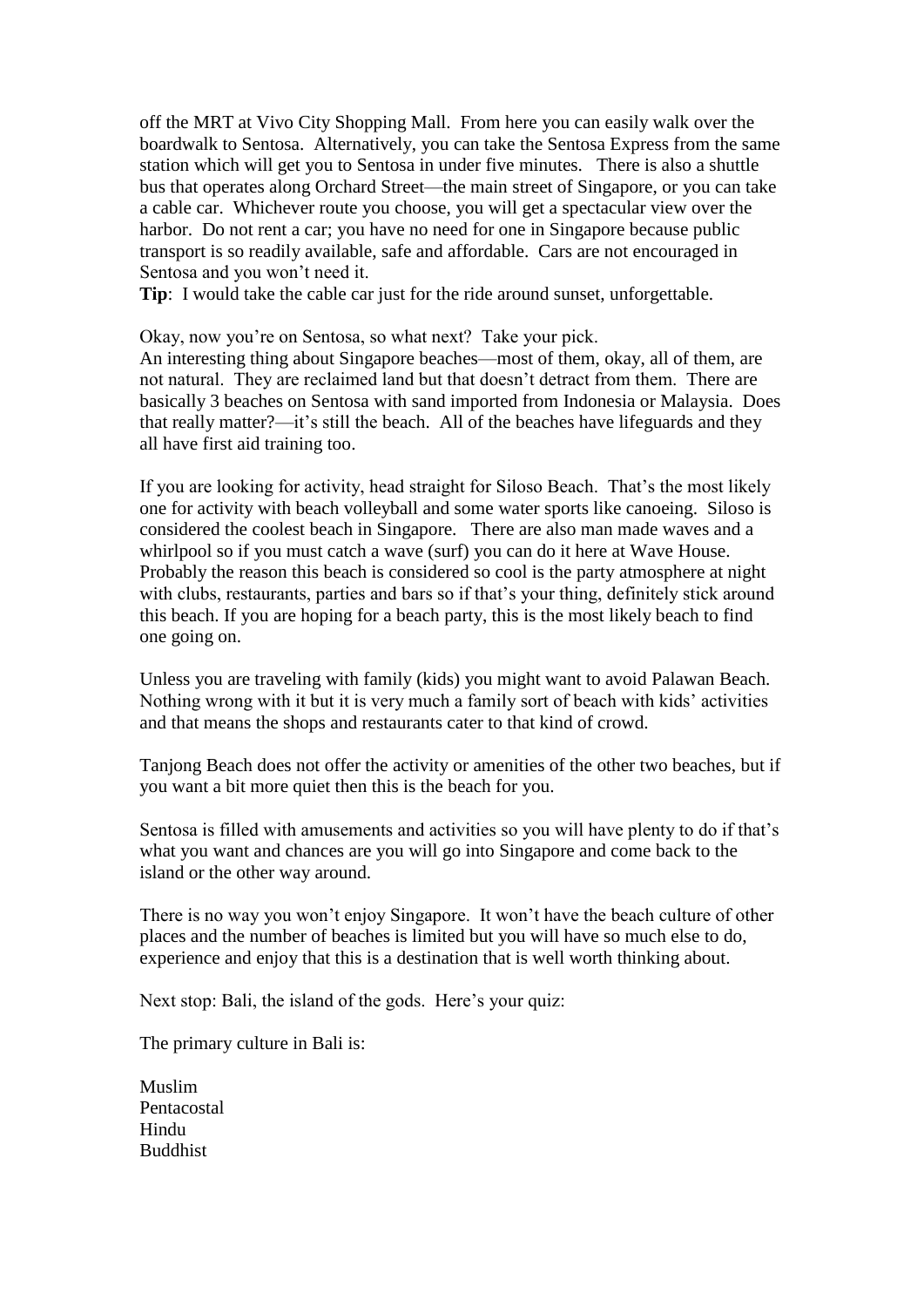off the MRT at Vivo City Shopping Mall. From here you can easily walk over the boardwalk to Sentosa. Alternatively, you can take the Sentosa Express from the same station which will get you to Sentosa in under five minutes. There is also a shuttle bus that operates along Orchard Street—the main street of Singapore, or you can take a cable car. Whichever route you choose, you will get a spectacular view over the harbor. Do not rent a car; you have no need for one in Singapore because public transport is so readily available, safe and affordable. Cars are not encouraged in Sentosa and you won't need it.

**Tip**: I would take the cable car just for the ride around sunset, unforgettable.

Okay, now you're on Sentosa, so what next? Take your pick.

An interesting thing about Singapore beaches—most of them, okay, all of them, are not natural. They are reclaimed land but that doesn't detract from them. There are basically 3 beaches on Sentosa with sand imported from Indonesia or Malaysia. Does that really matter?—it's still the beach. All of the beaches have lifeguards and they all have first aid training too.

If you are looking for activity, head straight for Siloso Beach. That's the most likely one for activity with beach volleyball and some water sports like canoeing. Siloso is considered the coolest beach in Singapore. There are also man made waves and a whirlpool so if you must catch a wave (surf) you can do it here at Wave House. Probably the reason this beach is considered so cool is the party atmosphere at night with clubs, restaurants, parties and bars so if that's your thing, definitely stick around this beach. If you are hoping for a beach party, this is the most likely beach to find one going on.

Unless you are traveling with family (kids) you might want to avoid Palawan Beach. Nothing wrong with it but it is very much a family sort of beach with kids' activities and that means the shops and restaurants cater to that kind of crowd.

Tanjong Beach does not offer the activity or amenities of the other two beaches, but if you want a bit more quiet then this is the beach for you.

Sentosa is filled with amusements and activities so you will have plenty to do if that's what you want and chances are you will go into Singapore and come back to the island or the other way around.

There is no way you won't enjoy Singapore. It won't have the beach culture of other places and the number of beaches is limited but you will have so much else to do, experience and enjoy that this is a destination that is well worth thinking about.

Next stop: Bali, the island of the gods. Here's your quiz:

The primary culture in Bali is:

Muslim Pentacostal Hindu Buddhist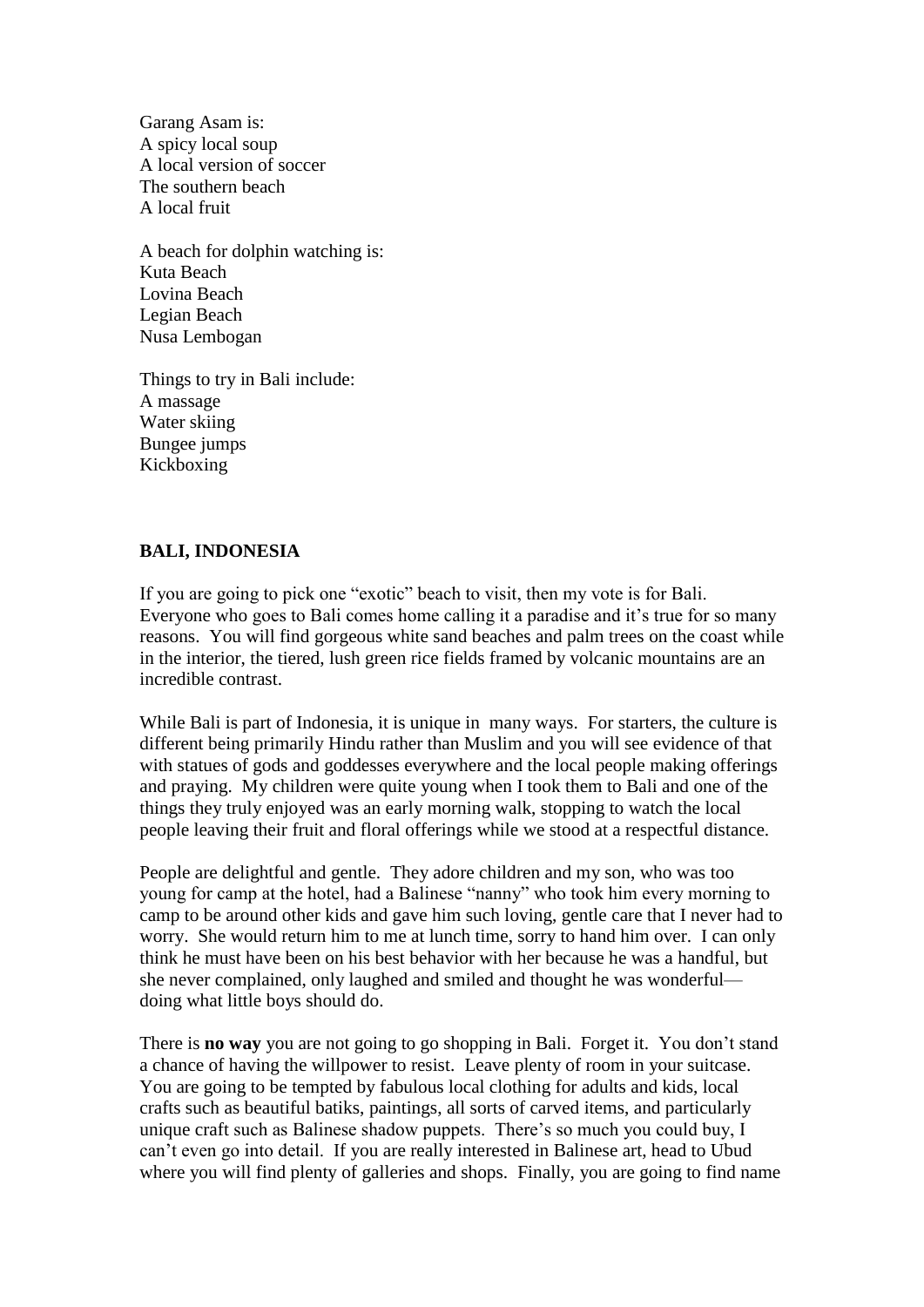Garang Asam is: A spicy local soup A local version of soccer The southern beach A local fruit

A beach for dolphin watching is: Kuta Beach Lovina Beach Legian Beach Nusa Lembogan

Things to try in Bali include: A massage Water skiing Bungee jumps Kickboxing

# **BALI, INDONESIA**

If you are going to pick one "exotic" beach to visit, then my vote is for Bali. Everyone who goes to Bali comes home calling it a paradise and it's true for so many reasons. You will find gorgeous white sand beaches and palm trees on the coast while in the interior, the tiered, lush green rice fields framed by volcanic mountains are an incredible contrast.

While Bali is part of Indonesia, it is unique in many ways. For starters, the culture is different being primarily Hindu rather than Muslim and you will see evidence of that with statues of gods and goddesses everywhere and the local people making offerings and praying. My children were quite young when I took them to Bali and one of the things they truly enjoyed was an early morning walk, stopping to watch the local people leaving their fruit and floral offerings while we stood at a respectful distance.

People are delightful and gentle. They adore children and my son, who was too young for camp at the hotel, had a Balinese "nanny" who took him every morning to camp to be around other kids and gave him such loving, gentle care that I never had to worry. She would return him to me at lunch time, sorry to hand him over. I can only think he must have been on his best behavior with her because he was a handful, but she never complained, only laughed and smiled and thought he was wonderful doing what little boys should do.

There is **no way** you are not going to go shopping in Bali. Forget it. You don't stand a chance of having the willpower to resist. Leave plenty of room in your suitcase. You are going to be tempted by fabulous local clothing for adults and kids, local crafts such as beautiful batiks, paintings, all sorts of carved items, and particularly unique craft such as Balinese shadow puppets. There's so much you could buy, I can't even go into detail. If you are really interested in Balinese art, head to Ubud where you will find plenty of galleries and shops. Finally, you are going to find name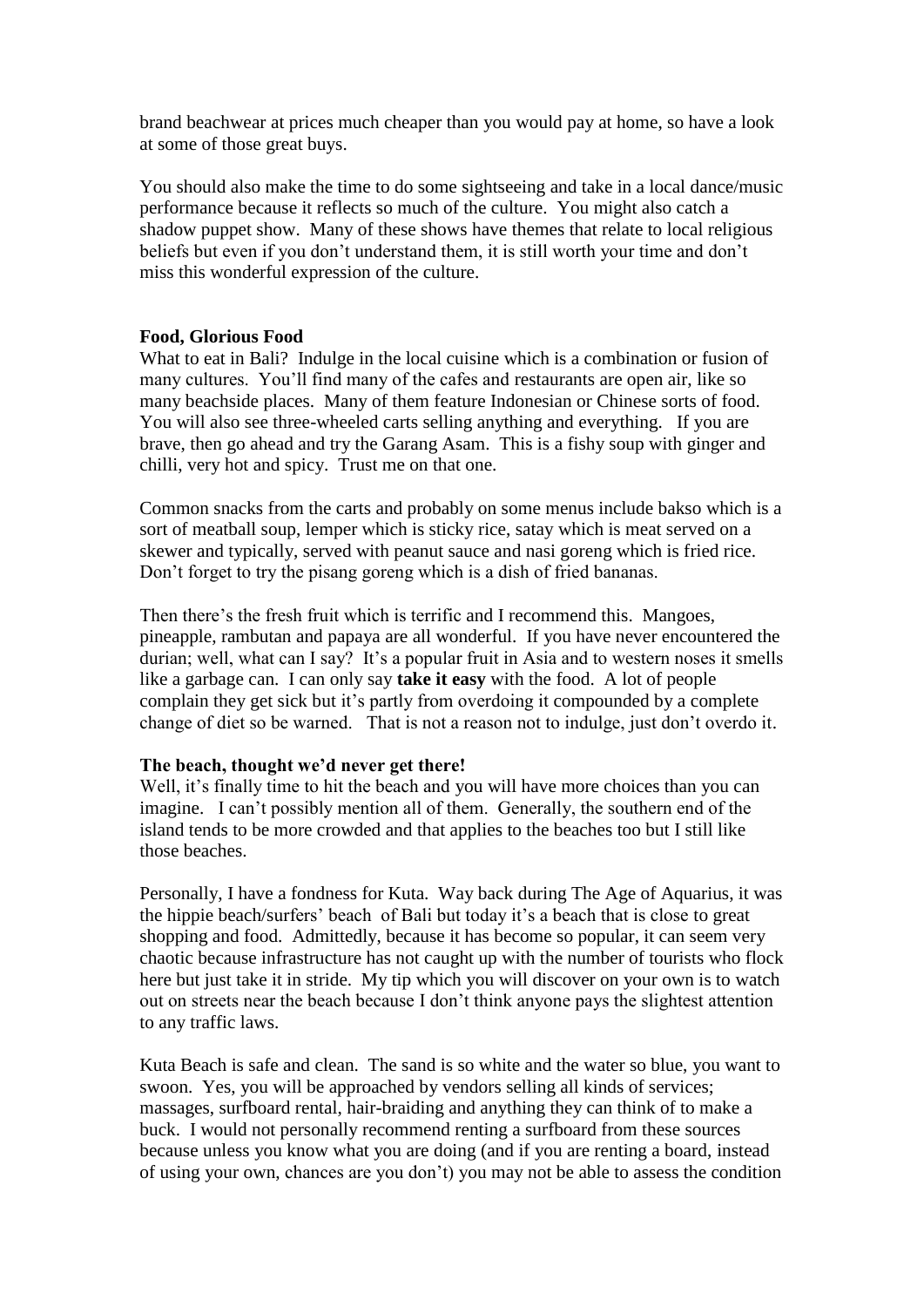brand beachwear at prices much cheaper than you would pay at home, so have a look at some of those great buys.

You should also make the time to do some sightseeing and take in a local dance/music performance because it reflects so much of the culture. You might also catch a shadow puppet show. Many of these shows have themes that relate to local religious beliefs but even if you don't understand them, it is still worth your time and don't miss this wonderful expression of the culture.

# **Food, Glorious Food**

What to eat in Bali? Indulge in the local cuisine which is a combination or fusion of many cultures. You'll find many of the cafes and restaurants are open air, like so many beachside places. Many of them feature Indonesian or Chinese sorts of food. You will also see three-wheeled carts selling anything and everything. If you are brave, then go ahead and try the Garang Asam. This is a fishy soup with ginger and chilli, very hot and spicy. Trust me on that one.

Common snacks from the carts and probably on some menus include bakso which is a sort of meatball soup, lemper which is sticky rice, satay which is meat served on a skewer and typically, served with peanut sauce and nasi goreng which is fried rice. Don't forget to try the pisang goreng which is a dish of fried bananas.

Then there's the fresh fruit which is terrific and I recommend this. Mangoes, pineapple, rambutan and papaya are all wonderful. If you have never encountered the durian; well, what can I say? It's a popular fruit in Asia and to western noses it smells like a garbage can. I can only say **take it easy** with the food. A lot of people complain they get sick but it's partly from overdoing it compounded by a complete change of diet so be warned. That is not a reason not to indulge, just don't overdo it.

# **The beach, thought we'd never get there!**

Well, it's finally time to hit the beach and you will have more choices than you can imagine. I can't possibly mention all of them. Generally, the southern end of the island tends to be more crowded and that applies to the beaches too but I still like those beaches.

Personally, I have a fondness for Kuta. Way back during The Age of Aquarius, it was the hippie beach/surfers' beach of Bali but today it's a beach that is close to great shopping and food. Admittedly, because it has become so popular, it can seem very chaotic because infrastructure has not caught up with the number of tourists who flock here but just take it in stride. My tip which you will discover on your own is to watch out on streets near the beach because I don't think anyone pays the slightest attention to any traffic laws.

Kuta Beach is safe and clean. The sand is so white and the water so blue, you want to swoon. Yes, you will be approached by vendors selling all kinds of services; massages, surfboard rental, hair-braiding and anything they can think of to make a buck. I would not personally recommend renting a surfboard from these sources because unless you know what you are doing (and if you are renting a board, instead of using your own, chances are you don't) you may not be able to assess the condition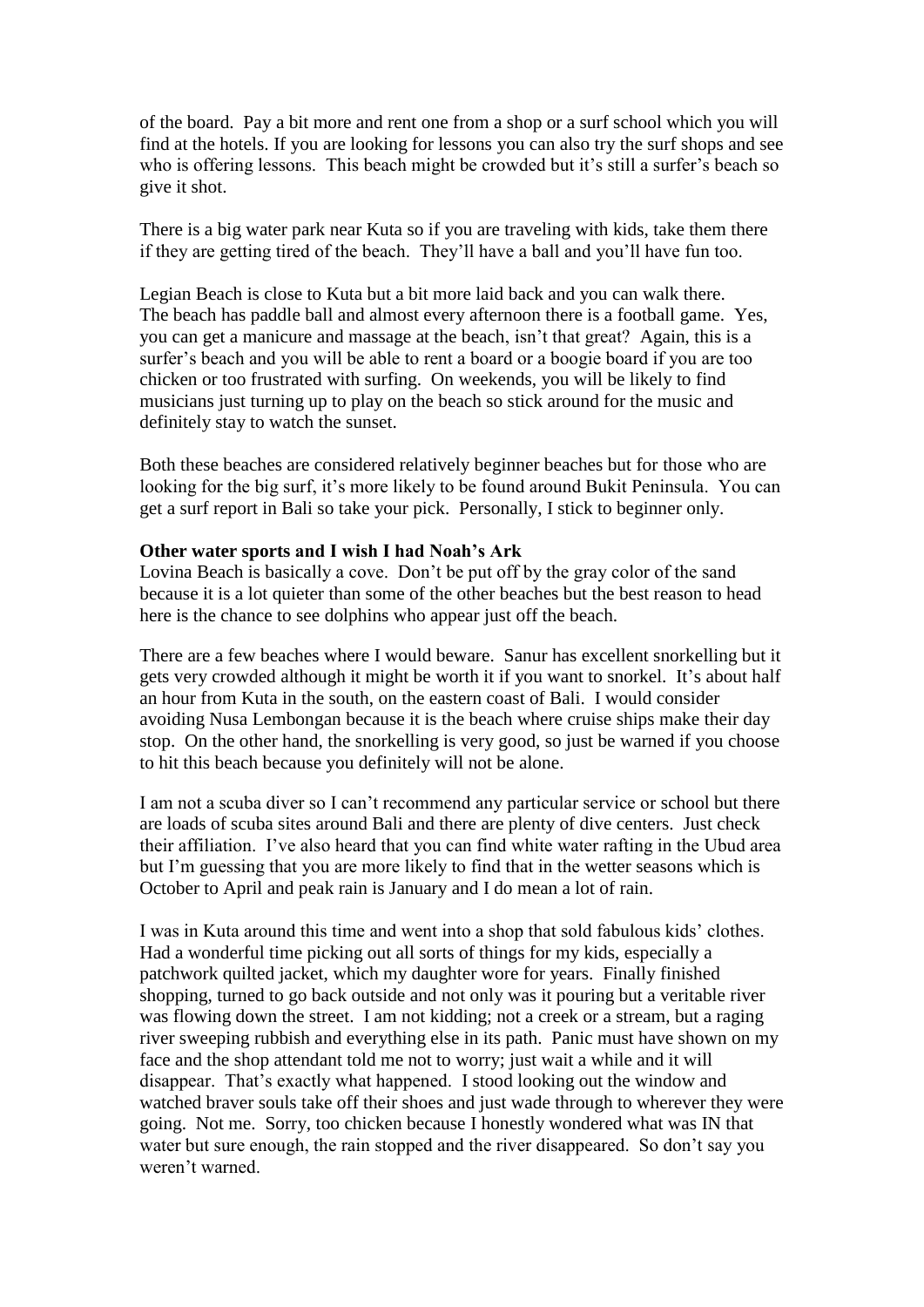of the board. Pay a bit more and rent one from a shop or a surf school which you will find at the hotels. If you are looking for lessons you can also try the surf shops and see who is offering lessons. This beach might be crowded but it's still a surfer's beach so give it shot.

There is a big water park near Kuta so if you are traveling with kids, take them there if they are getting tired of the beach. They'll have a ball and you'll have fun too.

Legian Beach is close to Kuta but a bit more laid back and you can walk there. The beach has paddle ball and almost every afternoon there is a football game. Yes, you can get a manicure and massage at the beach, isn't that great? Again, this is a surfer's beach and you will be able to rent a board or a boogie board if you are too chicken or too frustrated with surfing. On weekends, you will be likely to find musicians just turning up to play on the beach so stick around for the music and definitely stay to watch the sunset.

Both these beaches are considered relatively beginner beaches but for those who are looking for the big surf, it's more likely to be found around Bukit Peninsula. You can get a surf report in Bali so take your pick. Personally, I stick to beginner only.

### **Other water sports and I wish I had Noah's Ark**

Lovina Beach is basically a cove. Don't be put off by the gray color of the sand because it is a lot quieter than some of the other beaches but the best reason to head here is the chance to see dolphins who appear just off the beach.

There are a few beaches where I would beware. Sanur has excellent snorkelling but it gets very crowded although it might be worth it if you want to snorkel. It's about half an hour from Kuta in the south, on the eastern coast of Bali. I would consider avoiding Nusa Lembongan because it is the beach where cruise ships make their day stop. On the other hand, the snorkelling is very good, so just be warned if you choose to hit this beach because you definitely will not be alone.

I am not a scuba diver so I can't recommend any particular service or school but there are loads of scuba sites around Bali and there are plenty of dive centers. Just check their affiliation. I've also heard that you can find white water rafting in the Ubud area but I'm guessing that you are more likely to find that in the wetter seasons which is October to April and peak rain is January and I do mean a lot of rain.

I was in Kuta around this time and went into a shop that sold fabulous kids' clothes. Had a wonderful time picking out all sorts of things for my kids, especially a patchwork quilted jacket, which my daughter wore for years. Finally finished shopping, turned to go back outside and not only was it pouring but a veritable river was flowing down the street. I am not kidding; not a creek or a stream, but a raging river sweeping rubbish and everything else in its path. Panic must have shown on my face and the shop attendant told me not to worry; just wait a while and it will disappear. That's exactly what happened. I stood looking out the window and watched braver souls take off their shoes and just wade through to wherever they were going. Not me. Sorry, too chicken because I honestly wondered what was IN that water but sure enough, the rain stopped and the river disappeared. So don't say you weren't warned.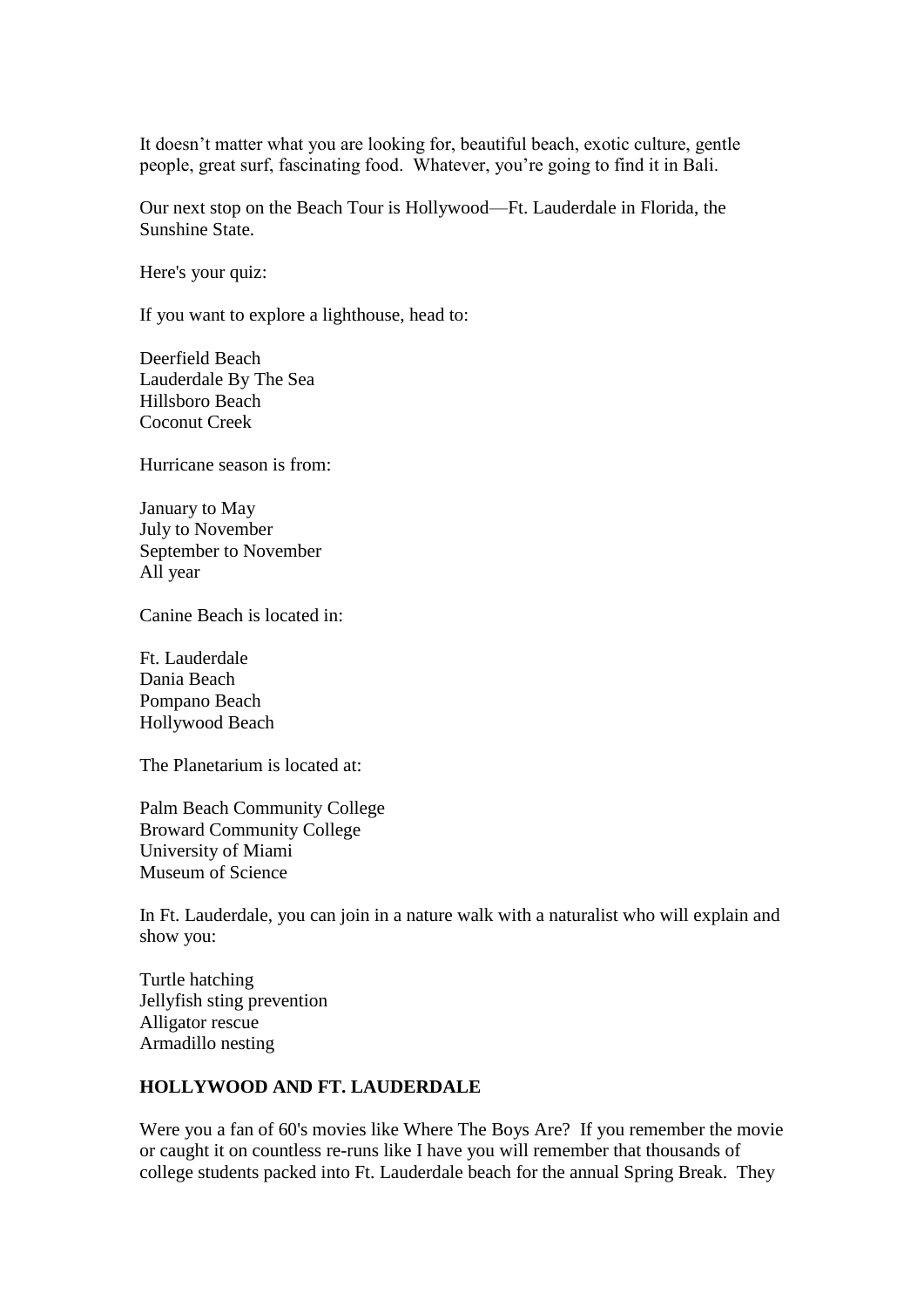It doesn't matter what you are looking for, beautiful beach, exotic culture, gentle people, great surf, fascinating food. Whatever, you're going to find it in Bali.

Our next stop on the Beach Tour is Hollywood—Ft. Lauderdale in Florida, the Sunshine State.

Here's your quiz:

If you want to explore a lighthouse, head to:

Deerfield Beach Lauderdale By The Sea Hillsboro Beach Coconut Creek

Hurricane season is from:

January to May July to November September to November All year

Canine Beach is located in:

Ft. Lauderdale Dania Beach Pompano Beach Hollywood Beach

The Planetarium is located at:

Palm Beach Community College Broward Community College University of Miami Museum of Science

In Ft. Lauderdale, you can join in a nature walk with a naturalist who will explain and show you:

Turtle hatching Jellyfish sting prevention Alligator rescue Armadillo nesting

# **HOLLYWOOD AND FT. LAUDERDALE**

Were you a fan of 60's movies like Where The Boys Are? If you remember the movie or caught it on countless re-runs like I have you will remember that thousands of college students packed into Ft. Lauderdale beach for the annual Spring Break. They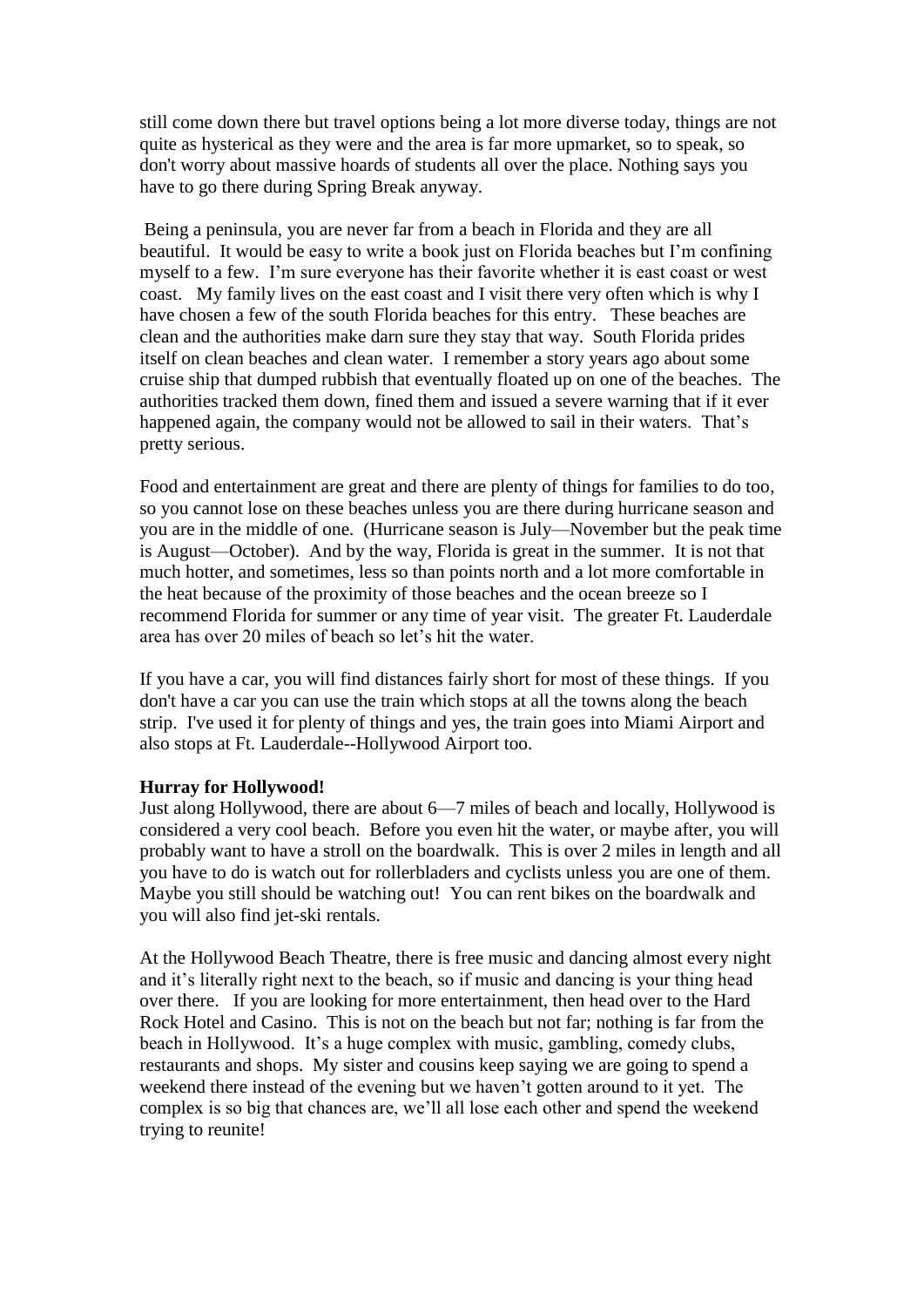still come down there but travel options being a lot more diverse today, things are not quite as hysterical as they were and the area is far more upmarket, so to speak, so don't worry about massive hoards of students all over the place. Nothing says you have to go there during Spring Break anyway.

Being a peninsula, you are never far from a beach in Florida and they are all beautiful. It would be easy to write a book just on Florida beaches but I'm confining myself to a few. I'm sure everyone has their favorite whether it is east coast or west coast. My family lives on the east coast and I visit there very often which is why I have chosen a few of the south Florida beaches for this entry. These beaches are clean and the authorities make darn sure they stay that way. South Florida prides itself on clean beaches and clean water. I remember a story years ago about some cruise ship that dumped rubbish that eventually floated up on one of the beaches. The authorities tracked them down, fined them and issued a severe warning that if it ever happened again, the company would not be allowed to sail in their waters. That's pretty serious.

Food and entertainment are great and there are plenty of things for families to do too, so you cannot lose on these beaches unless you are there during hurricane season and you are in the middle of one. (Hurricane season is July—November but the peak time is August—October). And by the way, Florida is great in the summer. It is not that much hotter, and sometimes, less so than points north and a lot more comfortable in the heat because of the proximity of those beaches and the ocean breeze so I recommend Florida for summer or any time of year visit. The greater Ft. Lauderdale area has over 20 miles of beach so let's hit the water.

If you have a car, you will find distances fairly short for most of these things. If you don't have a car you can use the train which stops at all the towns along the beach strip. I've used it for plenty of things and yes, the train goes into Miami Airport and also stops at Ft. Lauderdale--Hollywood Airport too.

# **Hurray for Hollywood!**

Just along Hollywood, there are about 6—7 miles of beach and locally, Hollywood is considered a very cool beach. Before you even hit the water, or maybe after, you will probably want to have a stroll on the boardwalk. This is over 2 miles in length and all you have to do is watch out for rollerbladers and cyclists unless you are one of them. Maybe you still should be watching out! You can rent bikes on the boardwalk and you will also find jet-ski rentals.

At the Hollywood Beach Theatre, there is free music and dancing almost every night and it's literally right next to the beach, so if music and dancing is your thing head over there. If you are looking for more entertainment, then head over to the Hard Rock Hotel and Casino. This is not on the beach but not far; nothing is far from the beach in Hollywood. It's a huge complex with music, gambling, comedy clubs, restaurants and shops. My sister and cousins keep saying we are going to spend a weekend there instead of the evening but we haven't gotten around to it yet. The complex is so big that chances are, we'll all lose each other and spend the weekend trying to reunite!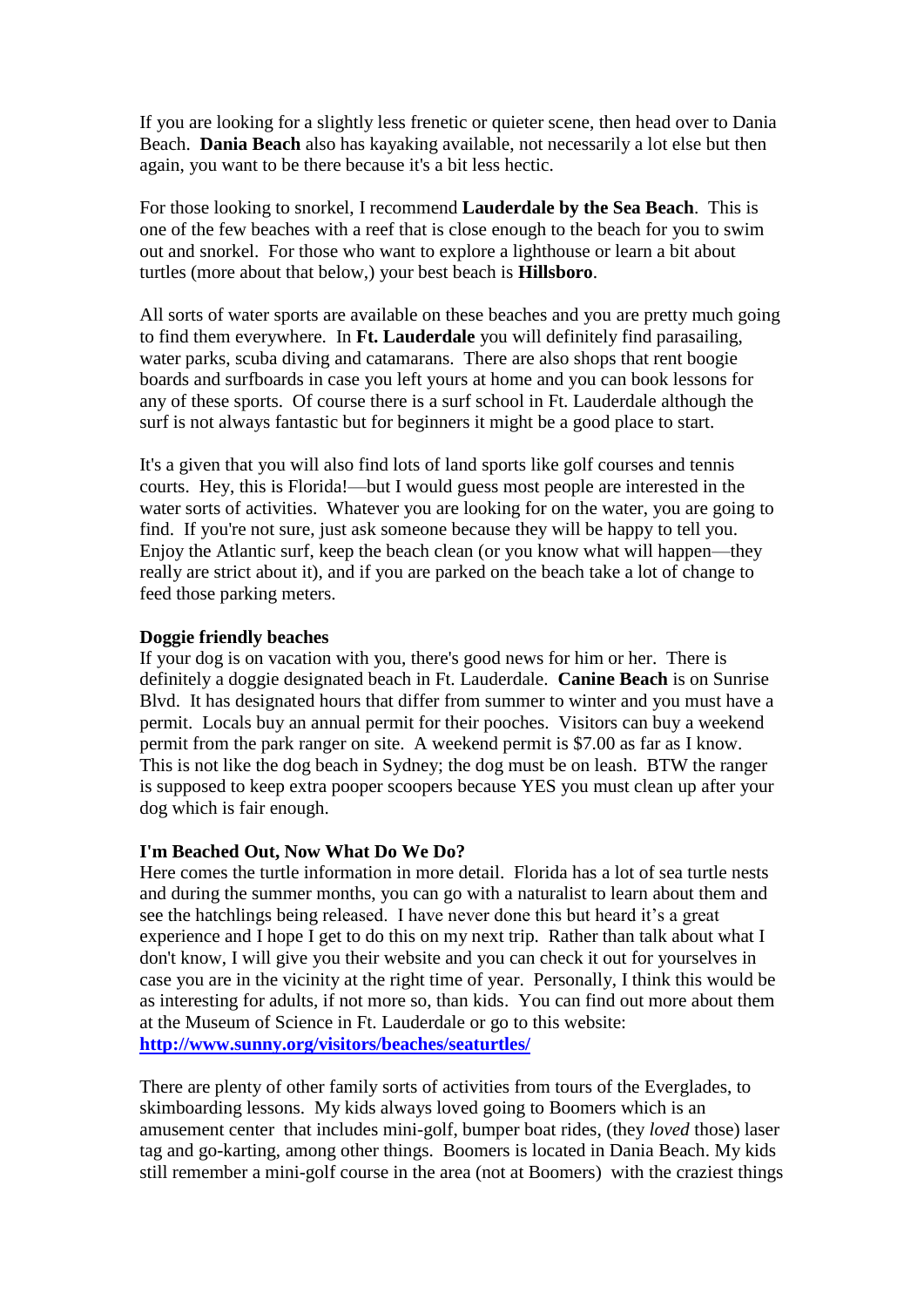If you are looking for a slightly less frenetic or quieter scene, then head over to Dania Beach. **Dania Beach** also has kayaking available, not necessarily a lot else but then again, you want to be there because it's a bit less hectic.

For those looking to snorkel, I recommend **Lauderdale by the Sea Beach**. This is one of the few beaches with a reef that is close enough to the beach for you to swim out and snorkel. For those who want to explore a lighthouse or learn a bit about turtles (more about that below,) your best beach is **Hillsboro**.

All sorts of water sports are available on these beaches and you are pretty much going to find them everywhere. In **Ft. Lauderdale** you will definitely find parasailing, water parks, scuba diving and catamarans. There are also shops that rent boogie boards and surfboards in case you left yours at home and you can book lessons for any of these sports. Of course there is a surf school in Ft. Lauderdale although the surf is not always fantastic but for beginners it might be a good place to start.

It's a given that you will also find lots of land sports like golf courses and tennis courts. Hey, this is Florida!—but I would guess most people are interested in the water sorts of activities. Whatever you are looking for on the water, you are going to find. If you're not sure, just ask someone because they will be happy to tell you. Enjoy the Atlantic surf, keep the beach clean (or you know what will happen—they really are strict about it), and if you are parked on the beach take a lot of change to feed those parking meters.

# **Doggie friendly beaches**

If your dog is on vacation with you, there's good news for him or her. There is definitely a doggie designated beach in Ft. Lauderdale. **Canine Beach** is on Sunrise Blvd. It has designated hours that differ from summer to winter and you must have a permit. Locals buy an annual permit for their pooches. Visitors can buy a weekend permit from the park ranger on site. A weekend permit is \$7.00 as far as I know. This is not like the dog beach in Sydney; the dog must be on leash. BTW the ranger is supposed to keep extra pooper scoopers because YES you must clean up after your dog which is fair enough.

# **I'm Beached Out, Now What Do We Do?**

Here comes the turtle information in more detail. Florida has a lot of sea turtle nests and during the summer months, you can go with a naturalist to learn about them and see the hatchlings being released. I have never done this but heard it's a great experience and I hope I get to do this on my next trip. Rather than talk about what I don't know, I will give you their website and you can check it out for yourselves in case you are in the vicinity at the right time of year. Personally, I think this would be as interesting for adults, if not more so, than kids. You can find out more about them at the Museum of Science in Ft. Lauderdale or go to this website: **<http://www.sunny.org/visitors/beaches/seaturtles/>**

There are plenty of other family sorts of activities from tours of the Everglades, to skimboarding lessons. My kids always loved going to Boomers which is an amusement center that includes mini-golf, bumper boat rides, (they *loved* those) laser tag and go-karting, among other things. Boomers is located in Dania Beach. My kids still remember a mini-golf course in the area (not at Boomers) with the craziest things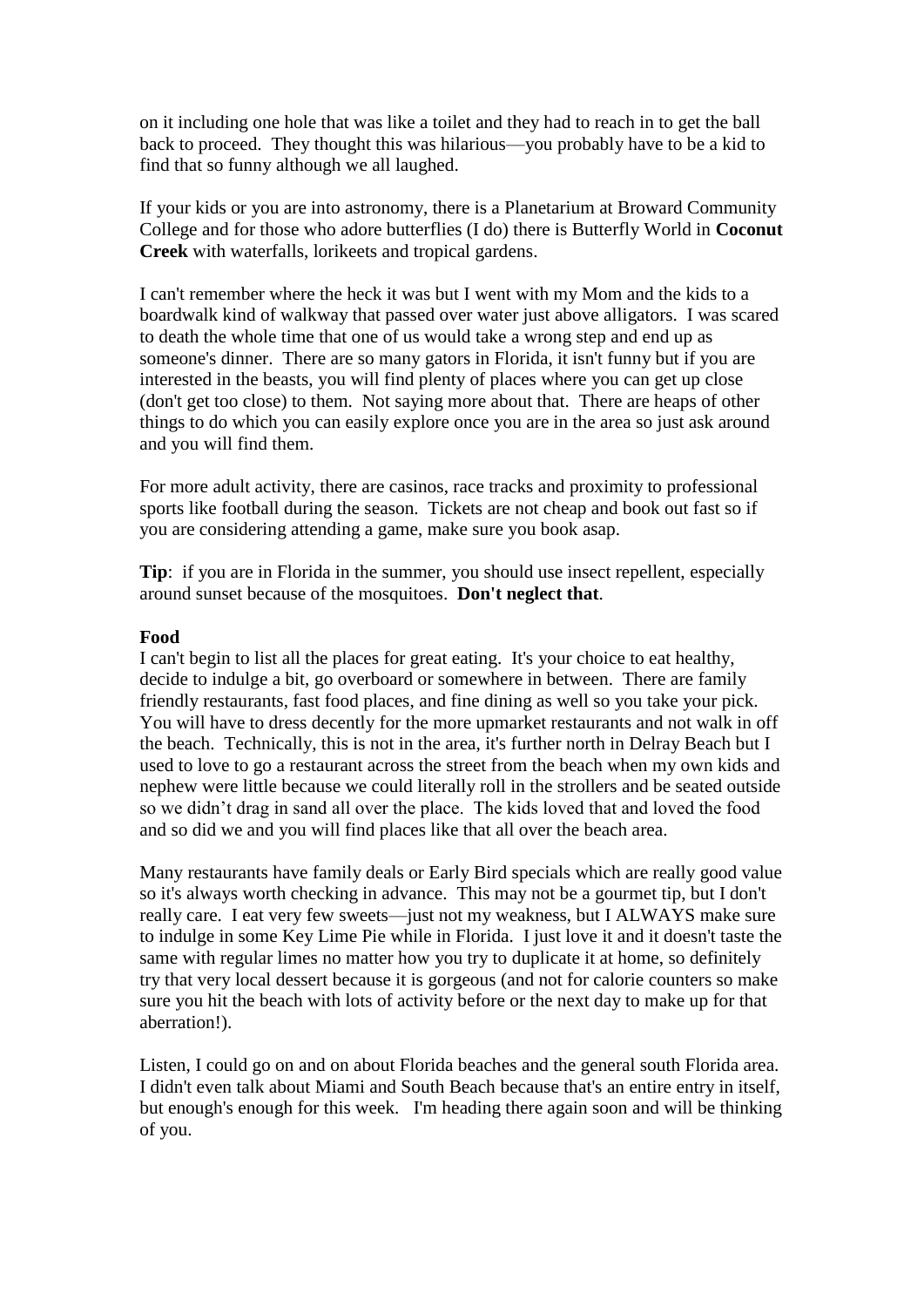on it including one hole that was like a toilet and they had to reach in to get the ball back to proceed. They thought this was hilarious—you probably have to be a kid to find that so funny although we all laughed.

If your kids or you are into astronomy, there is a Planetarium at Broward Community College and for those who adore butterflies (I do) there is Butterfly World in **Coconut Creek** with waterfalls, lorikeets and tropical gardens.

I can't remember where the heck it was but I went with my Mom and the kids to a boardwalk kind of walkway that passed over water just above alligators. I was scared to death the whole time that one of us would take a wrong step and end up as someone's dinner. There are so many gators in Florida, it isn't funny but if you are interested in the beasts, you will find plenty of places where you can get up close (don't get too close) to them. Not saying more about that. There are heaps of other things to do which you can easily explore once you are in the area so just ask around and you will find them.

For more adult activity, there are casinos, race tracks and proximity to professional sports like football during the season. Tickets are not cheap and book out fast so if you are considering attending a game, make sure you book asap.

**Tip**: if you are in Florida in the summer, you should use insect repellent, especially around sunset because of the mosquitoes. **Don't neglect that**.

#### **Food**

I can't begin to list all the places for great eating. It's your choice to eat healthy, decide to indulge a bit, go overboard or somewhere in between. There are family friendly restaurants, fast food places, and fine dining as well so you take your pick. You will have to dress decently for the more upmarket restaurants and not walk in off the beach. Technically, this is not in the area, it's further north in Delray Beach but I used to love to go a restaurant across the street from the beach when my own kids and nephew were little because we could literally roll in the strollers and be seated outside so we didn't drag in sand all over the place. The kids loved that and loved the food and so did we and you will find places like that all over the beach area.

Many restaurants have family deals or Early Bird specials which are really good value so it's always worth checking in advance. This may not be a gourmet tip, but I don't really care. I eat very few sweets—just not my weakness, but I ALWAYS make sure to indulge in some Key Lime Pie while in Florida. I just love it and it doesn't taste the same with regular limes no matter how you try to duplicate it at home, so definitely try that very local dessert because it is gorgeous (and not for calorie counters so make sure you hit the beach with lots of activity before or the next day to make up for that aberration!).

Listen, I could go on and on about Florida beaches and the general south Florida area. I didn't even talk about Miami and South Beach because that's an entire entry in itself, but enough's enough for this week. I'm heading there again soon and will be thinking of you.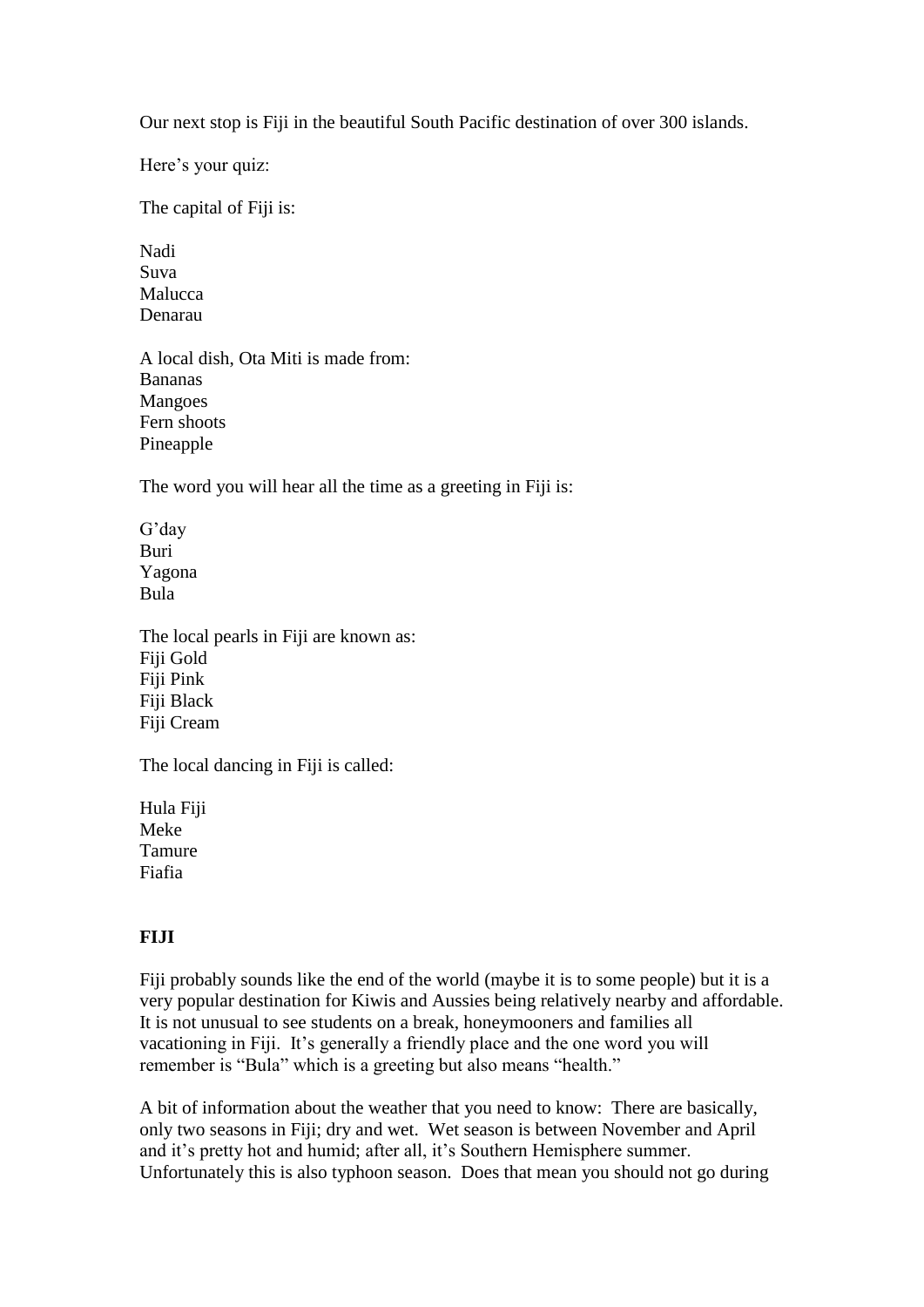Our next stop is Fiji in the beautiful South Pacific destination of over 300 islands.

Here's your quiz:

The capital of Fiji is:

Nadi Suva Malucca Denarau

A local dish, Ota Miti is made from: Bananas Mangoes Fern shoots Pineapple

The word you will hear all the time as a greeting in Fiji is:

G'day Buri Yagona Bula

The local pearls in Fiji are known as: Fiji Gold Fiji Pink Fiji Black Fiji Cream

The local dancing in Fiji is called:

Hula Fiji Meke Tamure Fiafia

# **FIJI**

Fiji probably sounds like the end of the world (maybe it is to some people) but it is a very popular destination for Kiwis and Aussies being relatively nearby and affordable. It is not unusual to see students on a break, honeymooners and families all vacationing in Fiji. It's generally a friendly place and the one word you will remember is "Bula" which is a greeting but also means "health."

A bit of information about the weather that you need to know: There are basically, only two seasons in Fiji; dry and wet. Wet season is between November and April and it's pretty hot and humid; after all, it's Southern Hemisphere summer. Unfortunately this is also typhoon season. Does that mean you should not go during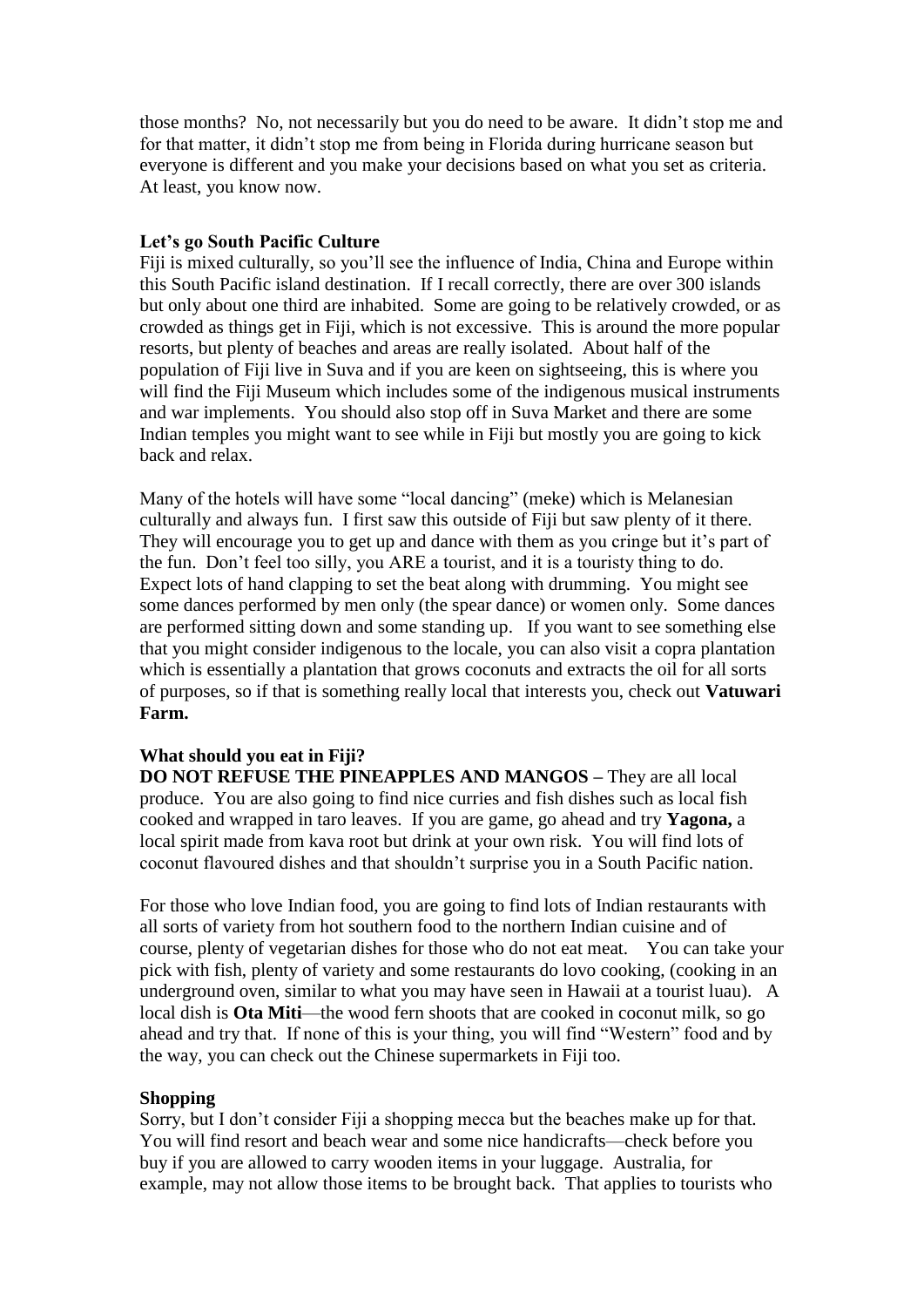those months? No, not necessarily but you do need to be aware. It didn't stop me and for that matter, it didn't stop me from being in Florida during hurricane season but everyone is different and you make your decisions based on what you set as criteria. At least, you know now.

# **Let's go South Pacific Culture**

Fiji is mixed culturally, so you'll see the influence of India, China and Europe within this South Pacific island destination. If I recall correctly, there are over 300 islands but only about one third are inhabited. Some are going to be relatively crowded, or as crowded as things get in Fiji, which is not excessive. This is around the more popular resorts, but plenty of beaches and areas are really isolated. About half of the population of Fiji live in Suva and if you are keen on sightseeing, this is where you will find the Fiji Museum which includes some of the indigenous musical instruments and war implements. You should also stop off in Suva Market and there are some Indian temples you might want to see while in Fiji but mostly you are going to kick back and relax.

Many of the hotels will have some "local dancing" (meke) which is Melanesian culturally and always fun. I first saw this outside of Fiji but saw plenty of it there. They will encourage you to get up and dance with them as you cringe but it's part of the fun. Don't feel too silly, you ARE a tourist, and it is a touristy thing to do. Expect lots of hand clapping to set the beat along with drumming. You might see some dances performed by men only (the spear dance) or women only. Some dances are performed sitting down and some standing up. If you want to see something else that you might consider indigenous to the locale, you can also visit a copra plantation which is essentially a plantation that grows coconuts and extracts the oil for all sorts of purposes, so if that is something really local that interests you, check out **Vatuwari Farm.**

# **What should you eat in Fiji?**

**DO NOT REFUSE THE PINEAPPLES AND MANGOS –** They are all local produce. You are also going to find nice curries and fish dishes such as local fish cooked and wrapped in taro leaves. If you are game, go ahead and try **Yagona,** a local spirit made from kava root but drink at your own risk. You will find lots of coconut flavoured dishes and that shouldn't surprise you in a South Pacific nation.

For those who love Indian food, you are going to find lots of Indian restaurants with all sorts of variety from hot southern food to the northern Indian cuisine and of course, plenty of vegetarian dishes for those who do not eat meat. You can take your pick with fish, plenty of variety and some restaurants do lovo cooking, (cooking in an underground oven, similar to what you may have seen in Hawaii at a tourist luau). A local dish is **Ota Miti**—the wood fern shoots that are cooked in coconut milk, so go ahead and try that. If none of this is your thing, you will find "Western" food and by the way, you can check out the Chinese supermarkets in Fiji too.

# **Shopping**

Sorry, but I don't consider Fiji a shopping mecca but the beaches make up for that. You will find resort and beach wear and some nice handicrafts—check before you buy if you are allowed to carry wooden items in your luggage. Australia, for example, may not allow those items to be brought back. That applies to tourists who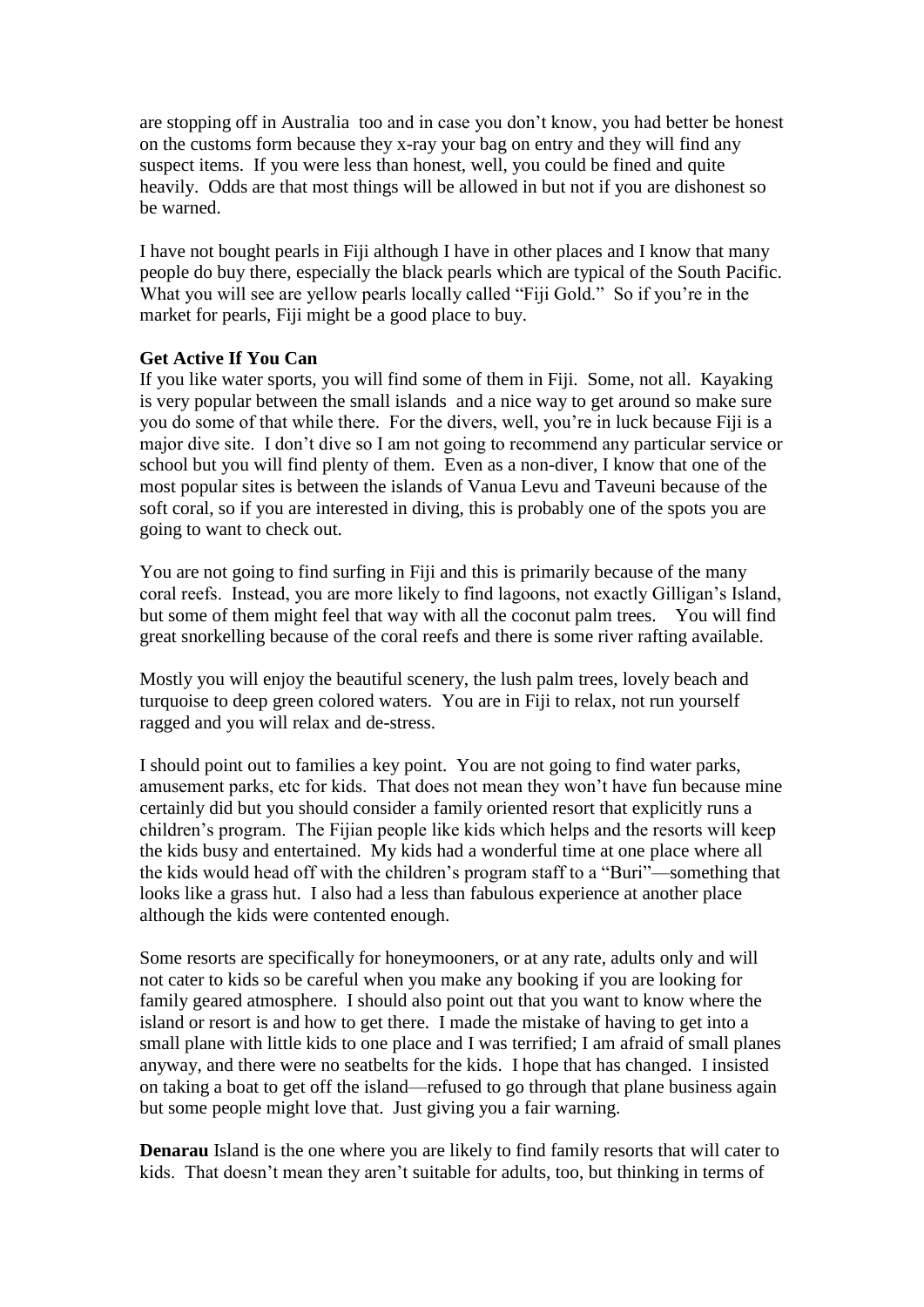are stopping off in Australia too and in case you don't know, you had better be honest on the customs form because they x-ray your bag on entry and they will find any suspect items. If you were less than honest, well, you could be fined and quite heavily. Odds are that most things will be allowed in but not if you are dishonest so be warned.

I have not bought pearls in Fiji although I have in other places and I know that many people do buy there, especially the black pearls which are typical of the South Pacific. What you will see are yellow pearls locally called "Fiji Gold." So if you're in the market for pearls, Fiji might be a good place to buy.

# **Get Active If You Can**

If you like water sports, you will find some of them in Fiji. Some, not all. Kayaking is very popular between the small islands and a nice way to get around so make sure you do some of that while there. For the divers, well, you're in luck because Fiji is a major dive site. I don't dive so I am not going to recommend any particular service or school but you will find plenty of them. Even as a non-diver, I know that one of the most popular sites is between the islands of Vanua Levu and Taveuni because of the soft coral, so if you are interested in diving, this is probably one of the spots you are going to want to check out.

You are not going to find surfing in Fiji and this is primarily because of the many coral reefs. Instead, you are more likely to find lagoons, not exactly Gilligan's Island, but some of them might feel that way with all the coconut palm trees. You will find great snorkelling because of the coral reefs and there is some river rafting available.

Mostly you will enjoy the beautiful scenery, the lush palm trees, lovely beach and turquoise to deep green colored waters. You are in Fiji to relax, not run yourself ragged and you will relax and de-stress.

I should point out to families a key point. You are not going to find water parks, amusement parks, etc for kids. That does not mean they won't have fun because mine certainly did but you should consider a family oriented resort that explicitly runs a children's program. The Fijian people like kids which helps and the resorts will keep the kids busy and entertained. My kids had a wonderful time at one place where all the kids would head off with the children's program staff to a "Buri"—something that looks like a grass hut. I also had a less than fabulous experience at another place although the kids were contented enough.

Some resorts are specifically for honeymooners, or at any rate, adults only and will not cater to kids so be careful when you make any booking if you are looking for family geared atmosphere. I should also point out that you want to know where the island or resort is and how to get there. I made the mistake of having to get into a small plane with little kids to one place and I was terrified; I am afraid of small planes anyway, and there were no seatbelts for the kids. I hope that has changed. I insisted on taking a boat to get off the island—refused to go through that plane business again but some people might love that. Just giving you a fair warning.

**Denarau** Island is the one where you are likely to find family resorts that will cater to kids. That doesn't mean they aren't suitable for adults, too, but thinking in terms of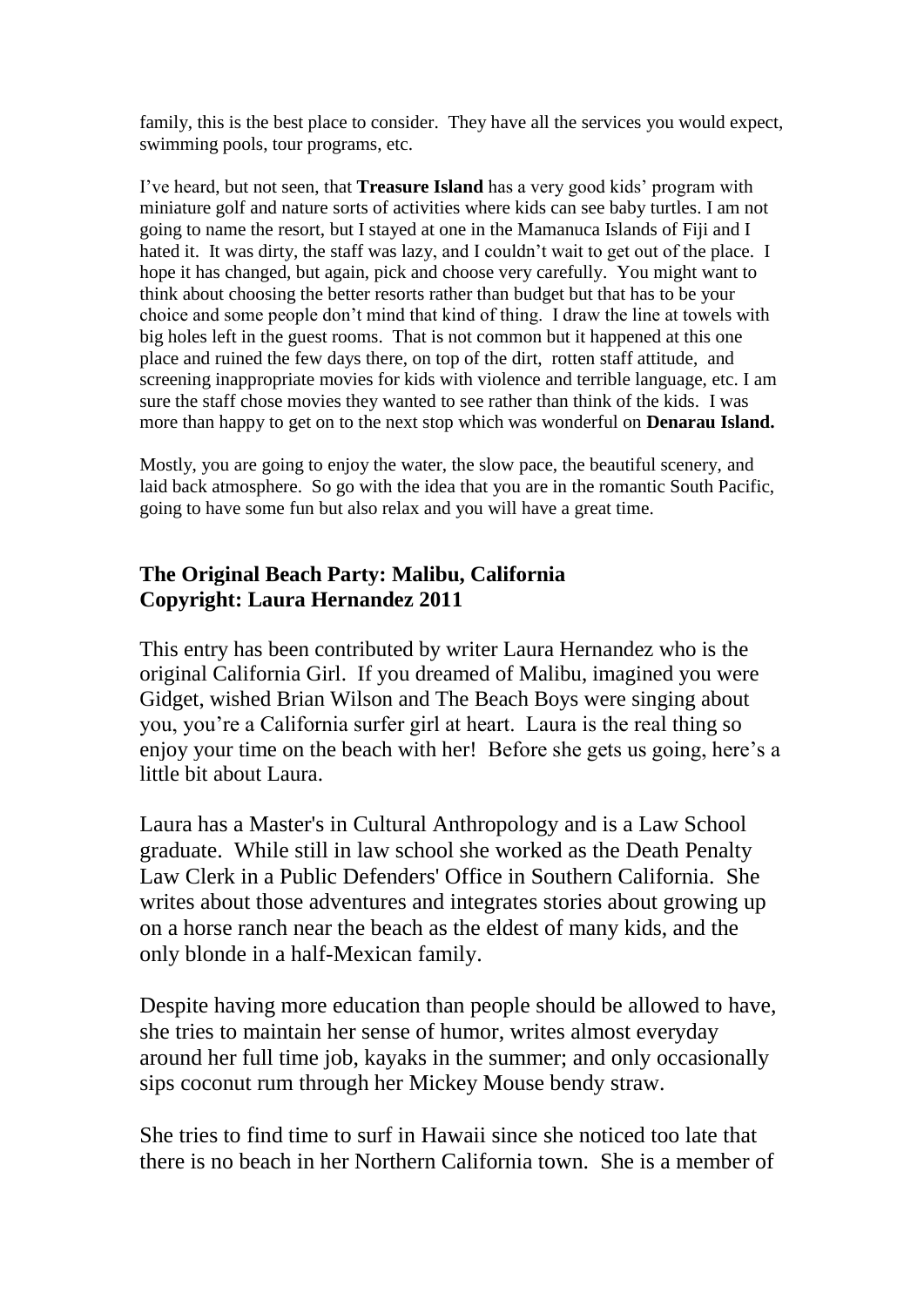family, this is the best place to consider. They have all the services you would expect, swimming pools, tour programs, etc.

I've heard, but not seen, that **Treasure Island** has a very good kids' program with miniature golf and nature sorts of activities where kids can see baby turtles. I am not going to name the resort, but I stayed at one in the Mamanuca Islands of Fiji and I hated it. It was dirty, the staff was lazy, and I couldn't wait to get out of the place. I hope it has changed, but again, pick and choose very carefully. You might want to think about choosing the better resorts rather than budget but that has to be your choice and some people don't mind that kind of thing. I draw the line at towels with big holes left in the guest rooms. That is not common but it happened at this one place and ruined the few days there, on top of the dirt, rotten staff attitude, and screening inappropriate movies for kids with violence and terrible language, etc. I am sure the staff chose movies they wanted to see rather than think of the kids. I was more than happy to get on to the next stop which was wonderful on **Denarau Island.**

Mostly, you are going to enjoy the water, the slow pace, the beautiful scenery, and laid back atmosphere. So go with the idea that you are in the romantic South Pacific, going to have some fun but also relax and you will have a great time.

# **The Original Beach Party: Malibu, California Copyright: Laura Hernandez 2011**

This entry has been contributed by writer Laura Hernandez who is the original California Girl. If you dreamed of Malibu, imagined you were Gidget, wished Brian Wilson and The Beach Boys were singing about you, you're a California surfer girl at heart. Laura is the real thing so enjoy your time on the beach with her! Before she gets us going, here's a little bit about Laura.

Laura has a Master's in Cultural Anthropology and is a Law School graduate. While still in law school she worked as the Death Penalty Law Clerk in a Public Defenders' Office in Southern California. She writes about those adventures and integrates stories about growing up on a horse ranch near the beach as the eldest of many kids, and the only blonde in a half-Mexican family.

Despite having more education than people should be allowed to have, she tries to maintain her sense of humor, writes almost everyday around her full time job, kayaks in the summer; and only occasionally sips coconut rum through her Mickey Mouse bendy straw.

She tries to find time to surf in Hawaii since she noticed too late that there is no beach in her Northern California town. She is a member of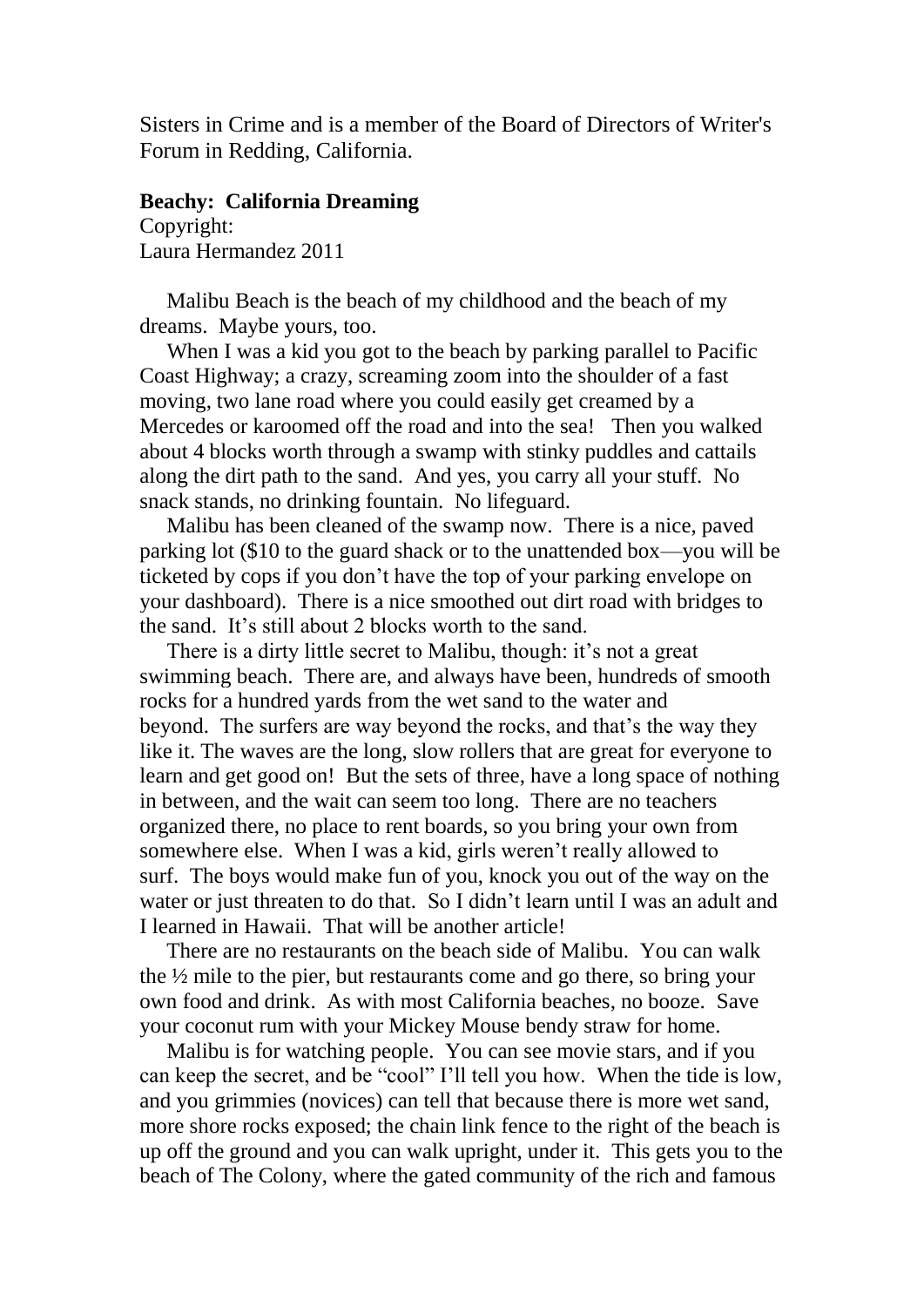Sisters in Crime and is a member of the Board of Directors of Writer's Forum in Redding, California.

# **Beachy: California Dreaming**

Copyright: Laura Hermandez 2011

 Malibu Beach is the beach of my childhood and the beach of my dreams. Maybe yours, too.

 When I was a kid you got to the beach by parking parallel to Pacific Coast Highway; a crazy, screaming zoom into the shoulder of a fast moving, two lane road where you could easily get creamed by a Mercedes or karoomed off the road and into the sea! Then you walked about 4 blocks worth through a swamp with stinky puddles and cattails along the dirt path to the sand. And yes, you carry all your stuff. No snack stands, no drinking fountain. No lifeguard.

 Malibu has been cleaned of the swamp now. There is a nice, paved parking lot (\$10 to the guard shack or to the unattended box—you will be ticketed by cops if you don't have the top of your parking envelope on your dashboard). There is a nice smoothed out dirt road with bridges to the sand. It's still about 2 blocks worth to the sand.

 There is a dirty little secret to Malibu, though: it's not a great swimming beach. There are, and always have been, hundreds of smooth rocks for a hundred yards from the wet sand to the water and beyond. The surfers are way beyond the rocks, and that's the way they like it. The waves are the long, slow rollers that are great for everyone to learn and get good on! But the sets of three, have a long space of nothing in between, and the wait can seem too long. There are no teachers organized there, no place to rent boards, so you bring your own from somewhere else. When I was a kid, girls weren't really allowed to surf. The boys would make fun of you, knock you out of the way on the water or just threaten to do that. So I didn't learn until I was an adult and I learned in Hawaii. That will be another article!

 There are no restaurants on the beach side of Malibu. You can walk the ½ mile to the pier, but restaurants come and go there, so bring your own food and drink. As with most California beaches, no booze. Save your coconut rum with your Mickey Mouse bendy straw for home.

 Malibu is for watching people. You can see movie stars, and if you can keep the secret, and be "cool" I'll tell you how. When the tide is low, and you grimmies (novices) can tell that because there is more wet sand, more shore rocks exposed; the chain link fence to the right of the beach is up off the ground and you can walk upright, under it. This gets you to the beach of The Colony, where the gated community of the rich and famous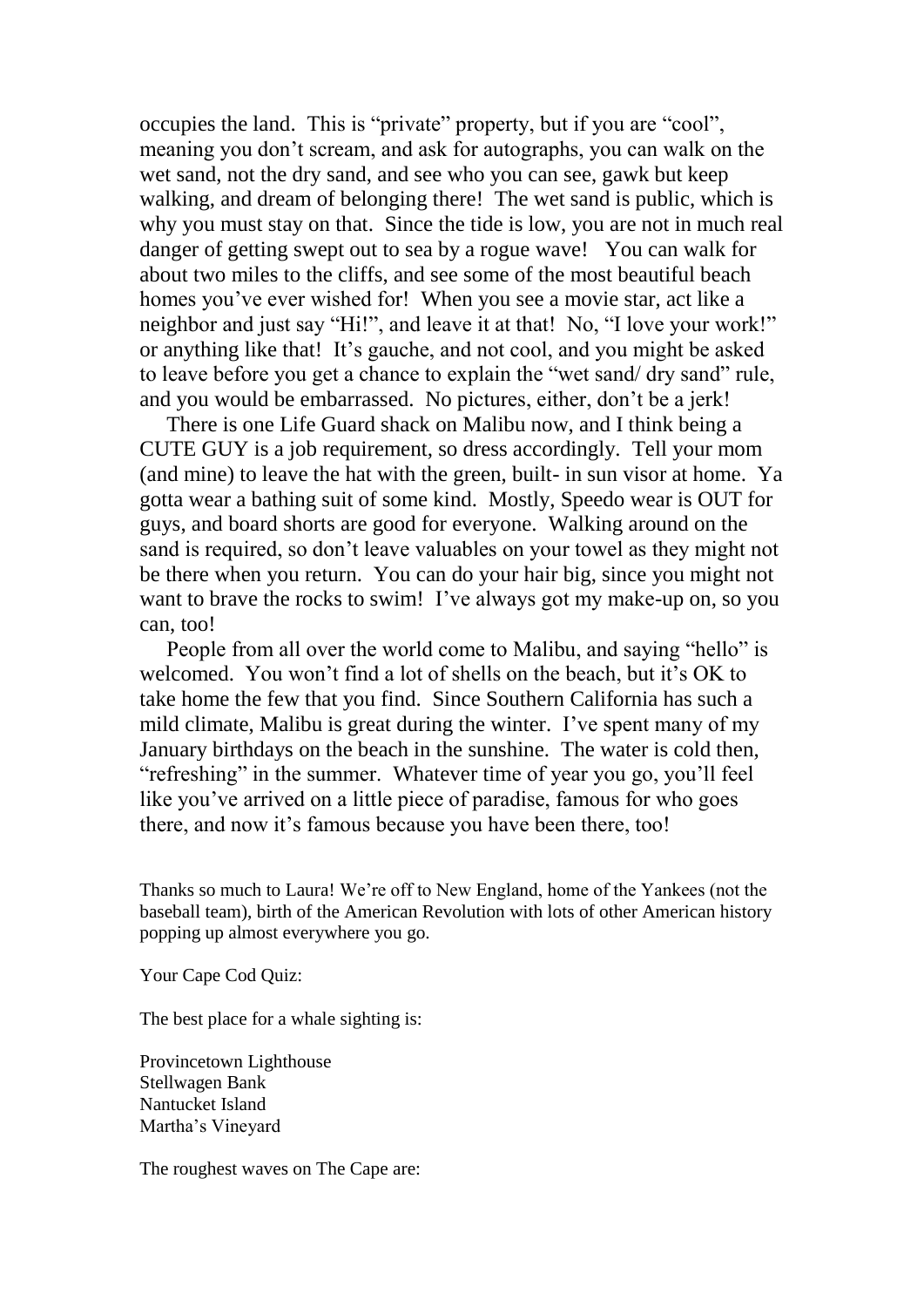occupies the land. This is "private" property, but if you are "cool", meaning you don't scream, and ask for autographs, you can walk on the wet sand, not the dry sand, and see who you can see, gawk but keep walking, and dream of belonging there! The wet sand is public, which is why you must stay on that. Since the tide is low, you are not in much real danger of getting swept out to sea by a rogue wave! You can walk for about two miles to the cliffs, and see some of the most beautiful beach homes you've ever wished for! When you see a movie star, act like a neighbor and just say "Hi!", and leave it at that! No, "I love your work!" or anything like that! It's gauche, and not cool, and you might be asked to leave before you get a chance to explain the "wet sand/ dry sand" rule, and you would be embarrassed. No pictures, either, don't be a jerk!

 There is one Life Guard shack on Malibu now, and I think being a CUTE GUY is a job requirement, so dress accordingly. Tell your mom (and mine) to leave the hat with the green, built- in sun visor at home. Ya gotta wear a bathing suit of some kind. Mostly, Speedo wear is OUT for guys, and board shorts are good for everyone. Walking around on the sand is required, so don't leave valuables on your towel as they might not be there when you return. You can do your hair big, since you might not want to brave the rocks to swim! I've always got my make-up on, so you can, too!

 People from all over the world come to Malibu, and saying "hello" is welcomed. You won't find a lot of shells on the beach, but it's OK to take home the few that you find. Since Southern California has such a mild climate, Malibu is great during the winter. I've spent many of my January birthdays on the beach in the sunshine. The water is cold then, "refreshing" in the summer. Whatever time of year you go, you'll feel like you've arrived on a little piece of paradise, famous for who goes there, and now it's famous because you have been there, too!

Thanks so much to Laura! We're off to New England, home of the Yankees (not the baseball team), birth of the American Revolution with lots of other American history popping up almost everywhere you go.

Your Cape Cod Quiz:

The best place for a whale sighting is:

Provincetown Lighthouse Stellwagen Bank Nantucket Island Martha's Vineyard

The roughest waves on The Cape are: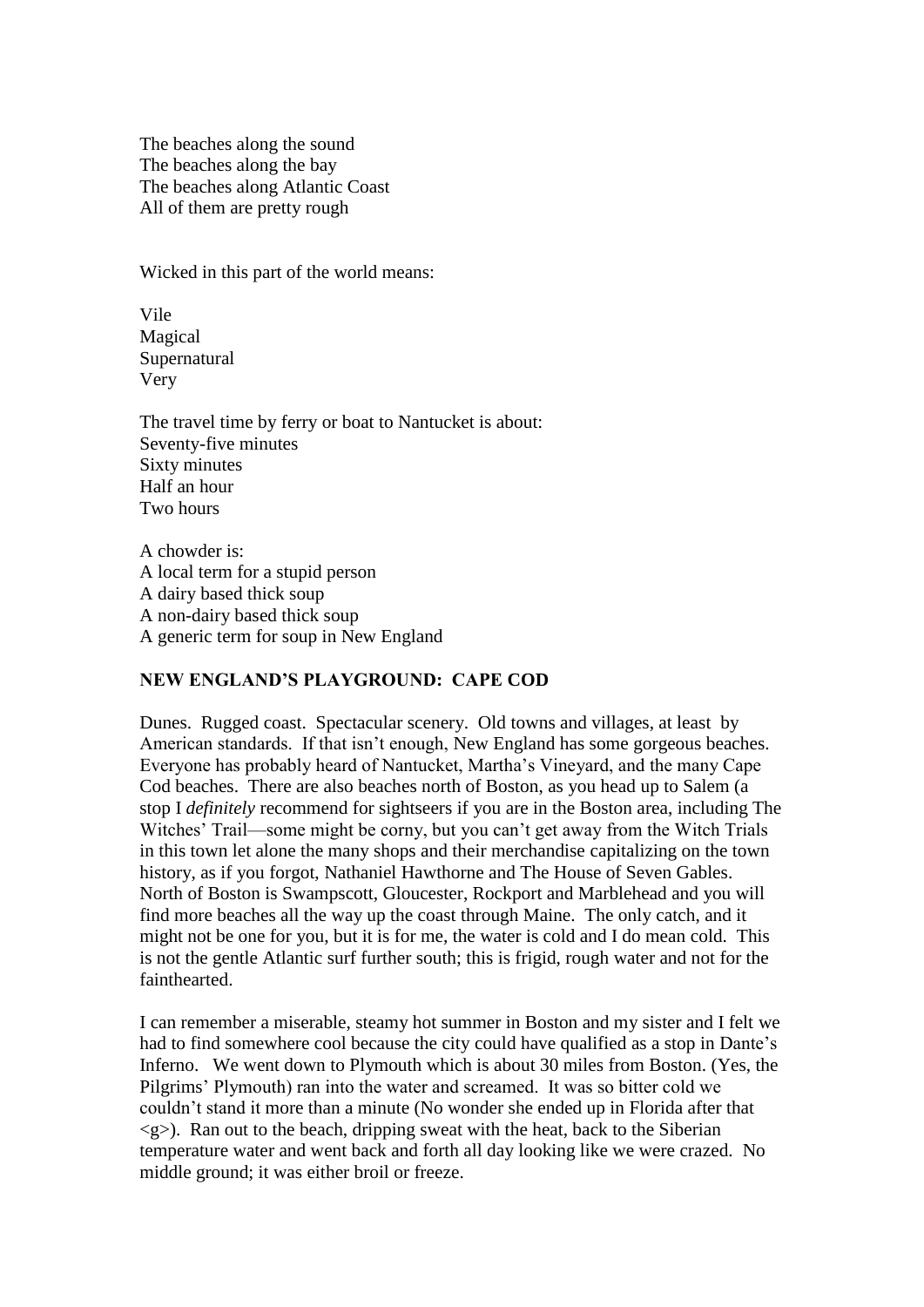The beaches along the sound The beaches along the bay The beaches along Atlantic Coast All of them are pretty rough

Wicked in this part of the world means:

Vile Magical Supernatural Very

The travel time by ferry or boat to Nantucket is about: Seventy-five minutes Sixty minutes Half an hour Two hours

A chowder is: A local term for a stupid person A dairy based thick soup A non-dairy based thick soup A generic term for soup in New England

# **NEW ENGLAND'S PLAYGROUND: CAPE COD**

Dunes. Rugged coast. Spectacular scenery. Old towns and villages, at least by American standards. If that isn't enough, New England has some gorgeous beaches. Everyone has probably heard of Nantucket, Martha's Vineyard, and the many Cape Cod beaches. There are also beaches north of Boston, as you head up to Salem (a stop I *definitely* recommend for sightseers if you are in the Boston area, including The Witches' Trail—some might be corny, but you can't get away from the Witch Trials in this town let alone the many shops and their merchandise capitalizing on the town history, as if you forgot, Nathaniel Hawthorne and The House of Seven Gables. North of Boston is Swampscott, Gloucester, Rockport and Marblehead and you will find more beaches all the way up the coast through Maine. The only catch, and it might not be one for you, but it is for me, the water is cold and I do mean cold. This is not the gentle Atlantic surf further south; this is frigid, rough water and not for the fainthearted.

I can remember a miserable, steamy hot summer in Boston and my sister and I felt we had to find somewhere cool because the city could have qualified as a stop in Dante's Inferno. We went down to Plymouth which is about 30 miles from Boston. (Yes, the Pilgrims' Plymouth) ran into the water and screamed. It was so bitter cold we couldn't stand it more than a minute (No wonder she ended up in Florida after that  $\langle g \rangle$ . Ran out to the beach, dripping sweat with the heat, back to the Siberian temperature water and went back and forth all day looking like we were crazed. No middle ground; it was either broil or freeze.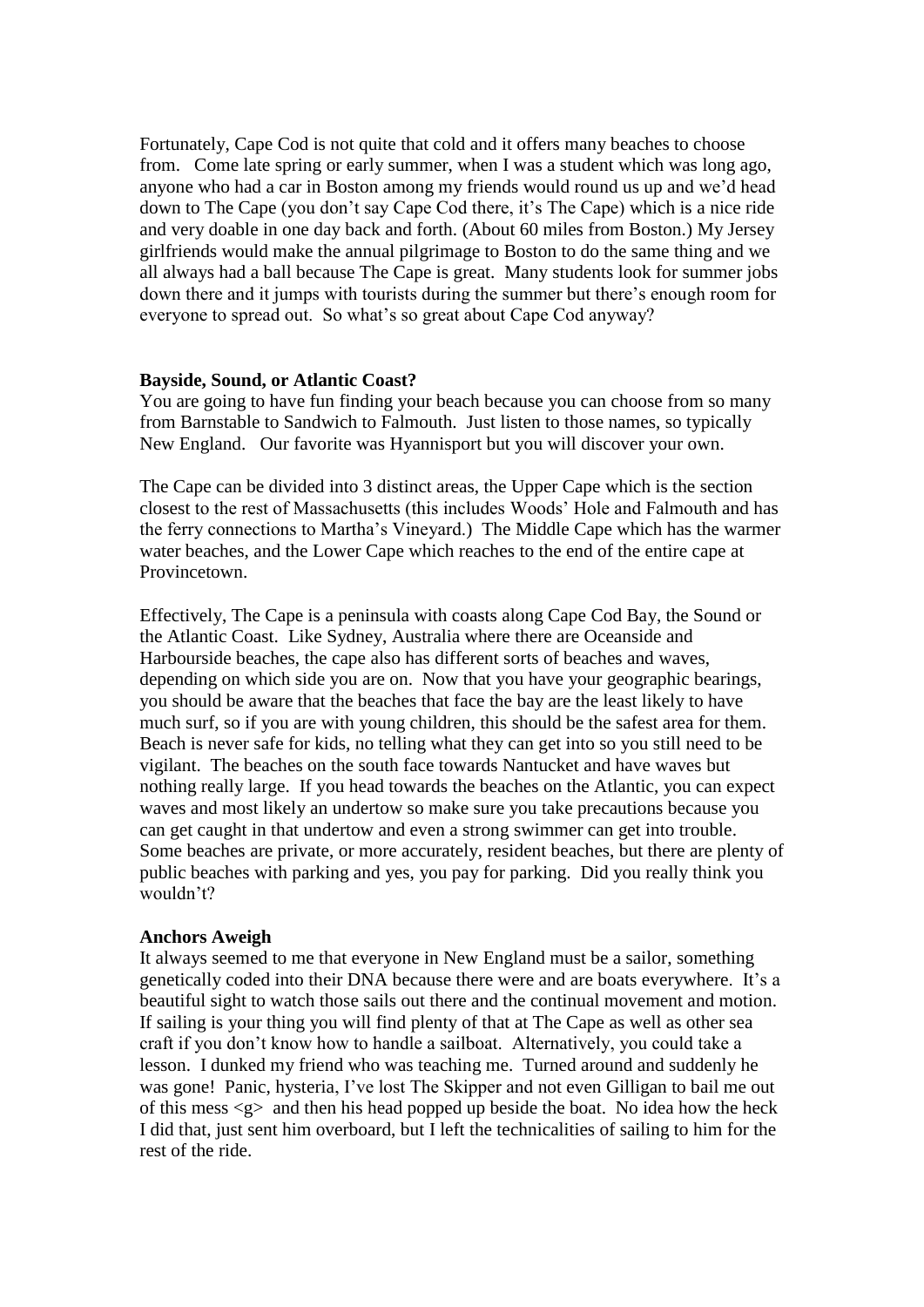Fortunately, Cape Cod is not quite that cold and it offers many beaches to choose from. Come late spring or early summer, when I was a student which was long ago, anyone who had a car in Boston among my friends would round us up and we'd head down to The Cape (you don't say Cape Cod there, it's The Cape) which is a nice ride and very doable in one day back and forth. (About 60 miles from Boston.) My Jersey girlfriends would make the annual pilgrimage to Boston to do the same thing and we all always had a ball because The Cape is great. Many students look for summer jobs down there and it jumps with tourists during the summer but there's enough room for everyone to spread out. So what's so great about Cape Cod anyway?

#### **Bayside, Sound, or Atlantic Coast?**

You are going to have fun finding your beach because you can choose from so many from Barnstable to Sandwich to Falmouth. Just listen to those names, so typically New England. Our favorite was Hyannisport but you will discover your own.

The Cape can be divided into 3 distinct areas, the Upper Cape which is the section closest to the rest of Massachusetts (this includes Woods' Hole and Falmouth and has the ferry connections to Martha's Vineyard.) The Middle Cape which has the warmer water beaches, and the Lower Cape which reaches to the end of the entire cape at Provincetown.

Effectively, The Cape is a peninsula with coasts along Cape Cod Bay, the Sound or the Atlantic Coast. Like Sydney, Australia where there are Oceanside and Harbourside beaches, the cape also has different sorts of beaches and waves, depending on which side you are on. Now that you have your geographic bearings, you should be aware that the beaches that face the bay are the least likely to have much surf, so if you are with young children, this should be the safest area for them. Beach is never safe for kids, no telling what they can get into so you still need to be vigilant. The beaches on the south face towards Nantucket and have waves but nothing really large. If you head towards the beaches on the Atlantic, you can expect waves and most likely an undertow so make sure you take precautions because you can get caught in that undertow and even a strong swimmer can get into trouble. Some beaches are private, or more accurately, resident beaches, but there are plenty of public beaches with parking and yes, you pay for parking. Did you really think you wouldn't?

# **Anchors Aweigh**

It always seemed to me that everyone in New England must be a sailor, something genetically coded into their DNA because there were and are boats everywhere. It's a beautiful sight to watch those sails out there and the continual movement and motion. If sailing is your thing you will find plenty of that at The Cape as well as other sea craft if you don't know how to handle a sailboat. Alternatively, you could take a lesson. I dunked my friend who was teaching me. Turned around and suddenly he was gone! Panic, hysteria, I've lost The Skipper and not even Gilligan to bail me out of this mess  $\langle g \rangle$  and then his head popped up beside the boat. No idea how the heck I did that, just sent him overboard, but I left the technicalities of sailing to him for the rest of the ride.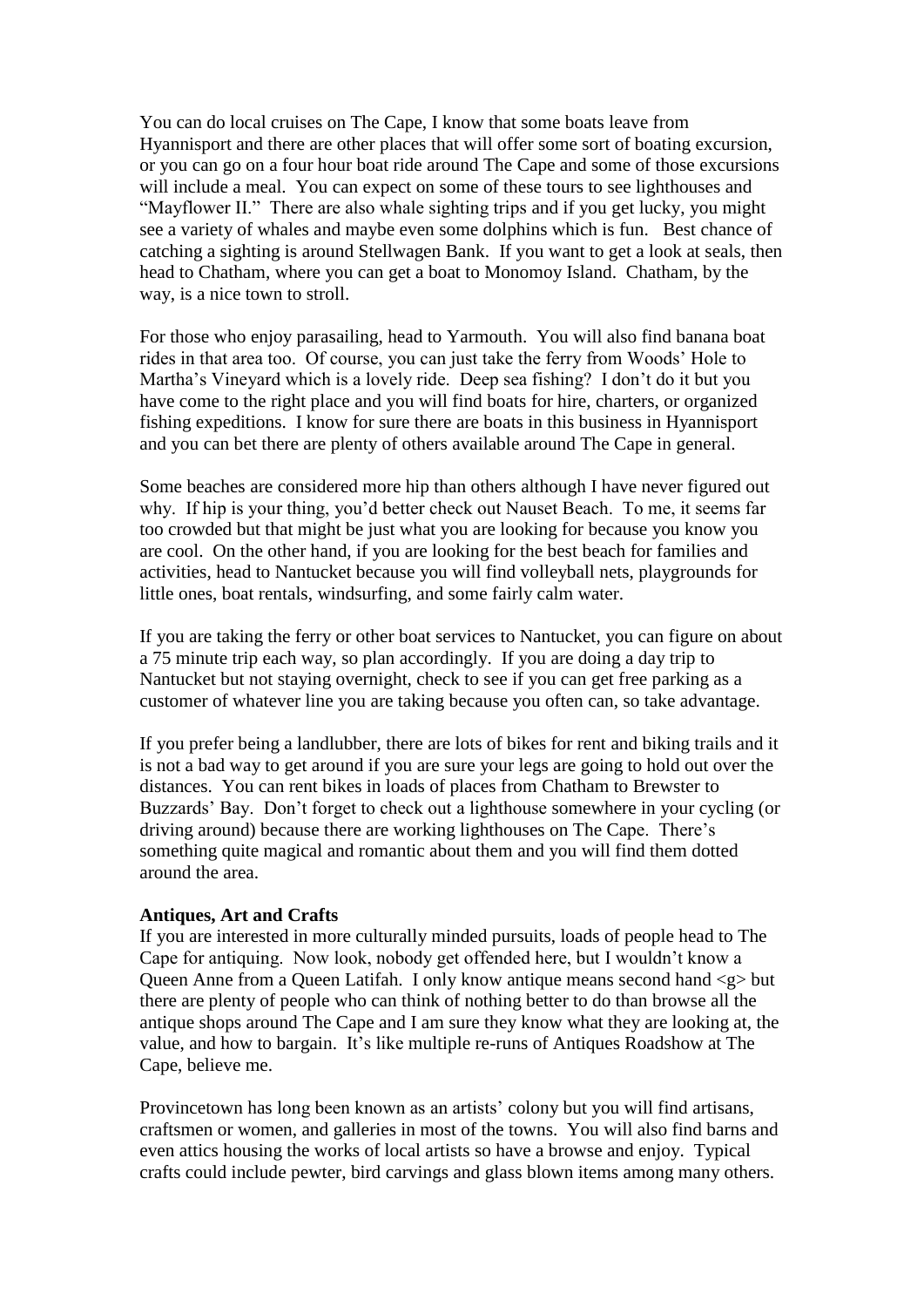You can do local cruises on The Cape, I know that some boats leave from Hyannisport and there are other places that will offer some sort of boating excursion, or you can go on a four hour boat ride around The Cape and some of those excursions will include a meal. You can expect on some of these tours to see lighthouses and "Mayflower II." There are also whale sighting trips and if you get lucky, you might see a variety of whales and maybe even some dolphins which is fun. Best chance of catching a sighting is around Stellwagen Bank. If you want to get a look at seals, then head to Chatham, where you can get a boat to Monomoy Island. Chatham, by the way, is a nice town to stroll.

For those who enjoy parasailing, head to Yarmouth. You will also find banana boat rides in that area too. Of course, you can just take the ferry from Woods' Hole to Martha's Vineyard which is a lovely ride. Deep sea fishing? I don't do it but you have come to the right place and you will find boats for hire, charters, or organized fishing expeditions. I know for sure there are boats in this business in Hyannisport and you can bet there are plenty of others available around The Cape in general.

Some beaches are considered more hip than others although I have never figured out why. If hip is your thing, you'd better check out Nauset Beach. To me, it seems far too crowded but that might be just what you are looking for because you know you are cool. On the other hand, if you are looking for the best beach for families and activities, head to Nantucket because you will find volleyball nets, playgrounds for little ones, boat rentals, windsurfing, and some fairly calm water.

If you are taking the ferry or other boat services to Nantucket, you can figure on about a 75 minute trip each way, so plan accordingly. If you are doing a day trip to Nantucket but not staying overnight, check to see if you can get free parking as a customer of whatever line you are taking because you often can, so take advantage.

If you prefer being a landlubber, there are lots of bikes for rent and biking trails and it is not a bad way to get around if you are sure your legs are going to hold out over the distances. You can rent bikes in loads of places from Chatham to Brewster to Buzzards' Bay. Don't forget to check out a lighthouse somewhere in your cycling (or driving around) because there are working lighthouses on The Cape. There's something quite magical and romantic about them and you will find them dotted around the area.

# **Antiques, Art and Crafts**

If you are interested in more culturally minded pursuits, loads of people head to The Cape for antiquing. Now look, nobody get offended here, but I wouldn't know a Queen Anne from a Queen Latifah. I only know antique means second hand <g> but there are plenty of people who can think of nothing better to do than browse all the antique shops around The Cape and I am sure they know what they are looking at, the value, and how to bargain. It's like multiple re-runs of Antiques Roadshow at The Cape, believe me.

Provincetown has long been known as an artists' colony but you will find artisans, craftsmen or women, and galleries in most of the towns. You will also find barns and even attics housing the works of local artists so have a browse and enjoy. Typical crafts could include pewter, bird carvings and glass blown items among many others.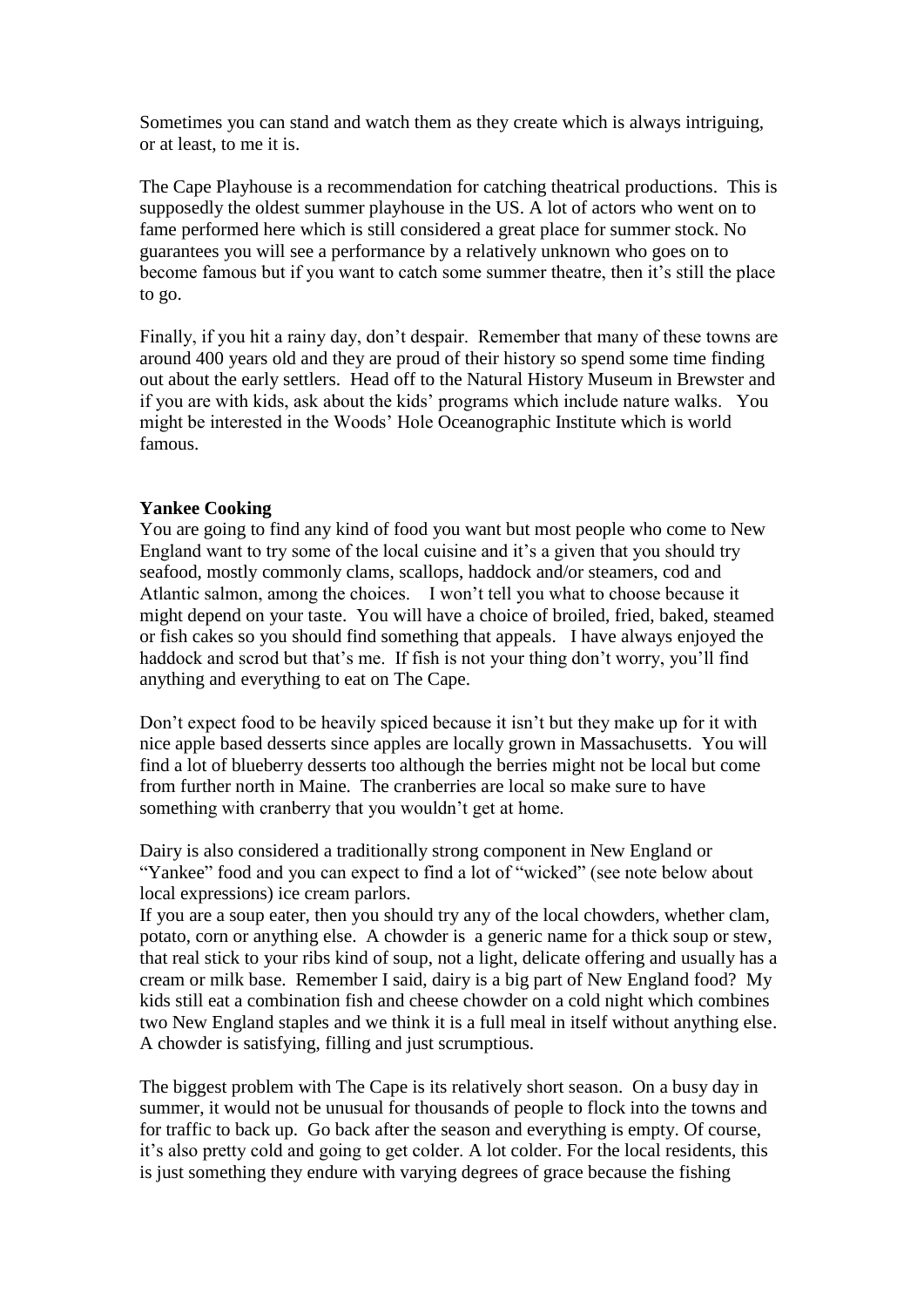Sometimes you can stand and watch them as they create which is always intriguing, or at least, to me it is.

The Cape Playhouse is a recommendation for catching theatrical productions. This is supposedly the oldest summer playhouse in the US. A lot of actors who went on to fame performed here which is still considered a great place for summer stock. No guarantees you will see a performance by a relatively unknown who goes on to become famous but if you want to catch some summer theatre, then it's still the place to go.

Finally, if you hit a rainy day, don't despair. Remember that many of these towns are around 400 years old and they are proud of their history so spend some time finding out about the early settlers. Head off to the Natural History Museum in Brewster and if you are with kids, ask about the kids' programs which include nature walks. You might be interested in the Woods' Hole Oceanographic Institute which is world famous.

# **Yankee Cooking**

You are going to find any kind of food you want but most people who come to New England want to try some of the local cuisine and it's a given that you should try seafood, mostly commonly clams, scallops, haddock and/or steamers, cod and Atlantic salmon, among the choices. I won't tell you what to choose because it might depend on your taste. You will have a choice of broiled, fried, baked, steamed or fish cakes so you should find something that appeals. I have always enjoyed the haddock and scrod but that's me. If fish is not your thing don't worry, you'll find anything and everything to eat on The Cape.

Don't expect food to be heavily spiced because it isn't but they make up for it with nice apple based desserts since apples are locally grown in Massachusetts. You will find a lot of blueberry desserts too although the berries might not be local but come from further north in Maine. The cranberries are local so make sure to have something with cranberry that you wouldn't get at home.

Dairy is also considered a traditionally strong component in New England or "Yankee" food and you can expect to find a lot of "wicked" (see note below about local expressions) ice cream parlors.

If you are a soup eater, then you should try any of the local chowders, whether clam, potato, corn or anything else. A chowder is a generic name for a thick soup or stew, that real stick to your ribs kind of soup, not a light, delicate offering and usually has a cream or milk base. Remember I said, dairy is a big part of New England food? My kids still eat a combination fish and cheese chowder on a cold night which combines two New England staples and we think it is a full meal in itself without anything else. A chowder is satisfying, filling and just scrumptious.

The biggest problem with The Cape is its relatively short season. On a busy day in summer, it would not be unusual for thousands of people to flock into the towns and for traffic to back up. Go back after the season and everything is empty. Of course, it's also pretty cold and going to get colder. A lot colder. For the local residents, this is just something they endure with varying degrees of grace because the fishing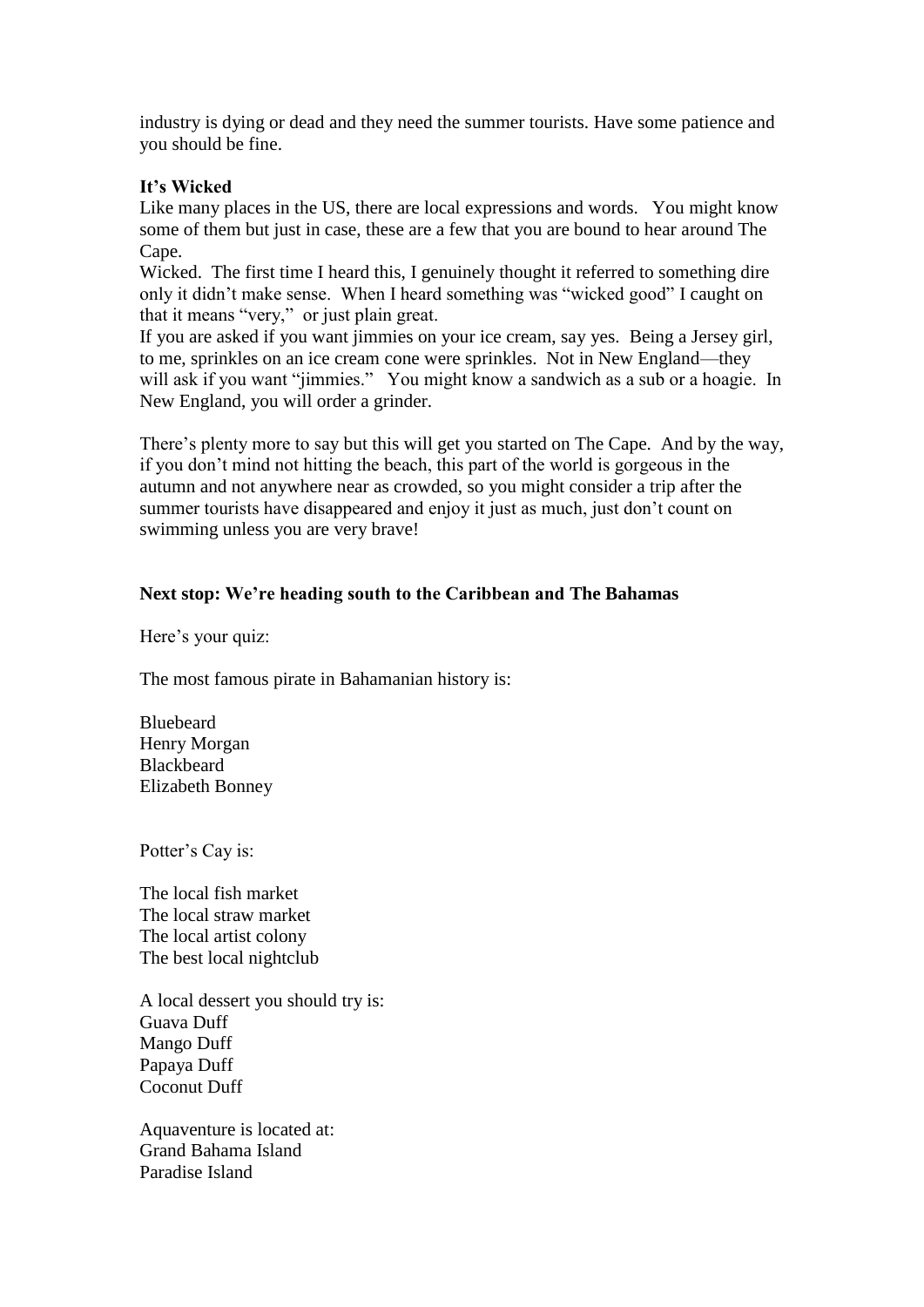industry is dying or dead and they need the summer tourists. Have some patience and you should be fine.

# **It's Wicked**

Like many places in the US, there are local expressions and words. You might know some of them but just in case, these are a few that you are bound to hear around The Cape.

Wicked. The first time I heard this, I genuinely thought it referred to something dire only it didn't make sense. When I heard something was "wicked good" I caught on that it means "very," or just plain great.

If you are asked if you want jimmies on your ice cream, say yes. Being a Jersey girl, to me, sprinkles on an ice cream cone were sprinkles. Not in New England—they will ask if you want "jimmies." You might know a sandwich as a sub or a hoagie. In New England, you will order a grinder.

There's plenty more to say but this will get you started on The Cape. And by the way, if you don't mind not hitting the beach, this part of the world is gorgeous in the autumn and not anywhere near as crowded, so you might consider a trip after the summer tourists have disappeared and enjoy it just as much, just don't count on swimming unless you are very brave!

# **Next stop: We're heading south to the Caribbean and The Bahamas**

Here's your quiz:

The most famous pirate in Bahamanian history is:

Bluebeard Henry Morgan Blackbeard Elizabeth Bonney

Potter's Cay is:

The local fish market The local straw market The local artist colony The best local nightclub

A local dessert you should try is: Guava Duff Mango Duff Papaya Duff Coconut Duff

Aquaventure is located at: Grand Bahama Island Paradise Island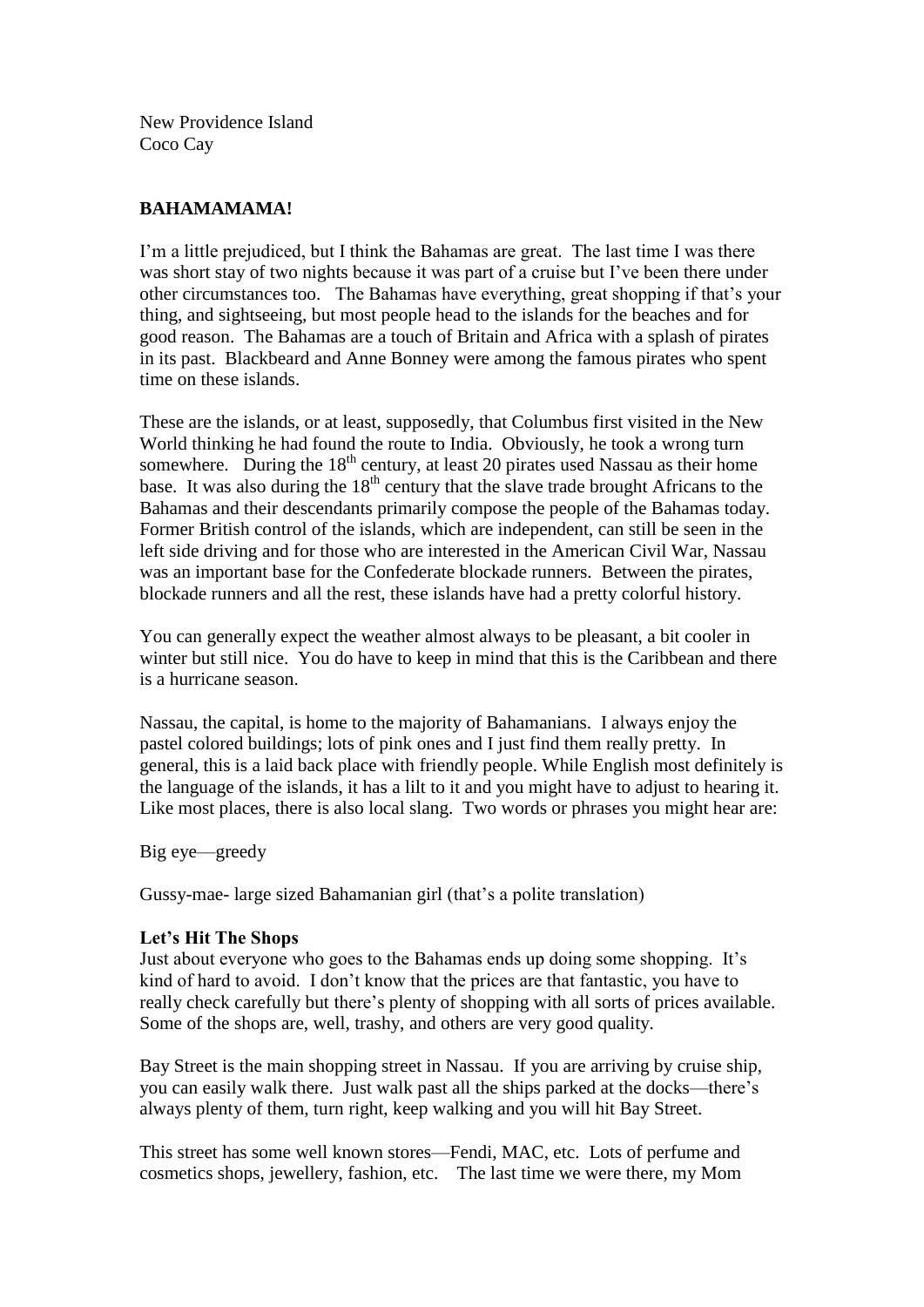New Providence Island Coco Cay

# **BAHAMAMAMA!**

I'm a little prejudiced, but I think the Bahamas are great. The last time I was there was short stay of two nights because it was part of a cruise but I've been there under other circumstances too. The Bahamas have everything, great shopping if that's your thing, and sightseeing, but most people head to the islands for the beaches and for good reason. The Bahamas are a touch of Britain and Africa with a splash of pirates in its past. Blackbeard and Anne Bonney were among the famous pirates who spent time on these islands.

These are the islands, or at least, supposedly, that Columbus first visited in the New World thinking he had found the route to India. Obviously, he took a wrong turn somewhere. During the  $18<sup>th</sup>$  century, at least 20 pirates used Nassau as their home base. It was also during the  $18<sup>th</sup>$  century that the slave trade brought Africans to the Bahamas and their descendants primarily compose the people of the Bahamas today. Former British control of the islands, which are independent, can still be seen in the left side driving and for those who are interested in the American Civil War, Nassau was an important base for the Confederate blockade runners. Between the pirates, blockade runners and all the rest, these islands have had a pretty colorful history.

You can generally expect the weather almost always to be pleasant, a bit cooler in winter but still nice. You do have to keep in mind that this is the Caribbean and there is a hurricane season.

Nassau, the capital, is home to the majority of Bahamanians. I always enjoy the pastel colored buildings; lots of pink ones and I just find them really pretty. In general, this is a laid back place with friendly people. While English most definitely is the language of the islands, it has a lilt to it and you might have to adjust to hearing it. Like most places, there is also local slang. Two words or phrases you might hear are:

Big eye—greedy

Gussy-mae- large sized Bahamanian girl (that's a polite translation)

# **Let's Hit The Shops**

Just about everyone who goes to the Bahamas ends up doing some shopping. It's kind of hard to avoid. I don't know that the prices are that fantastic, you have to really check carefully but there's plenty of shopping with all sorts of prices available. Some of the shops are, well, trashy, and others are very good quality.

Bay Street is the main shopping street in Nassau. If you are arriving by cruise ship, you can easily walk there. Just walk past all the ships parked at the docks—there's always plenty of them, turn right, keep walking and you will hit Bay Street.

This street has some well known stores—Fendi, MAC, etc. Lots of perfume and cosmetics shops, jewellery, fashion, etc. The last time we were there, my Mom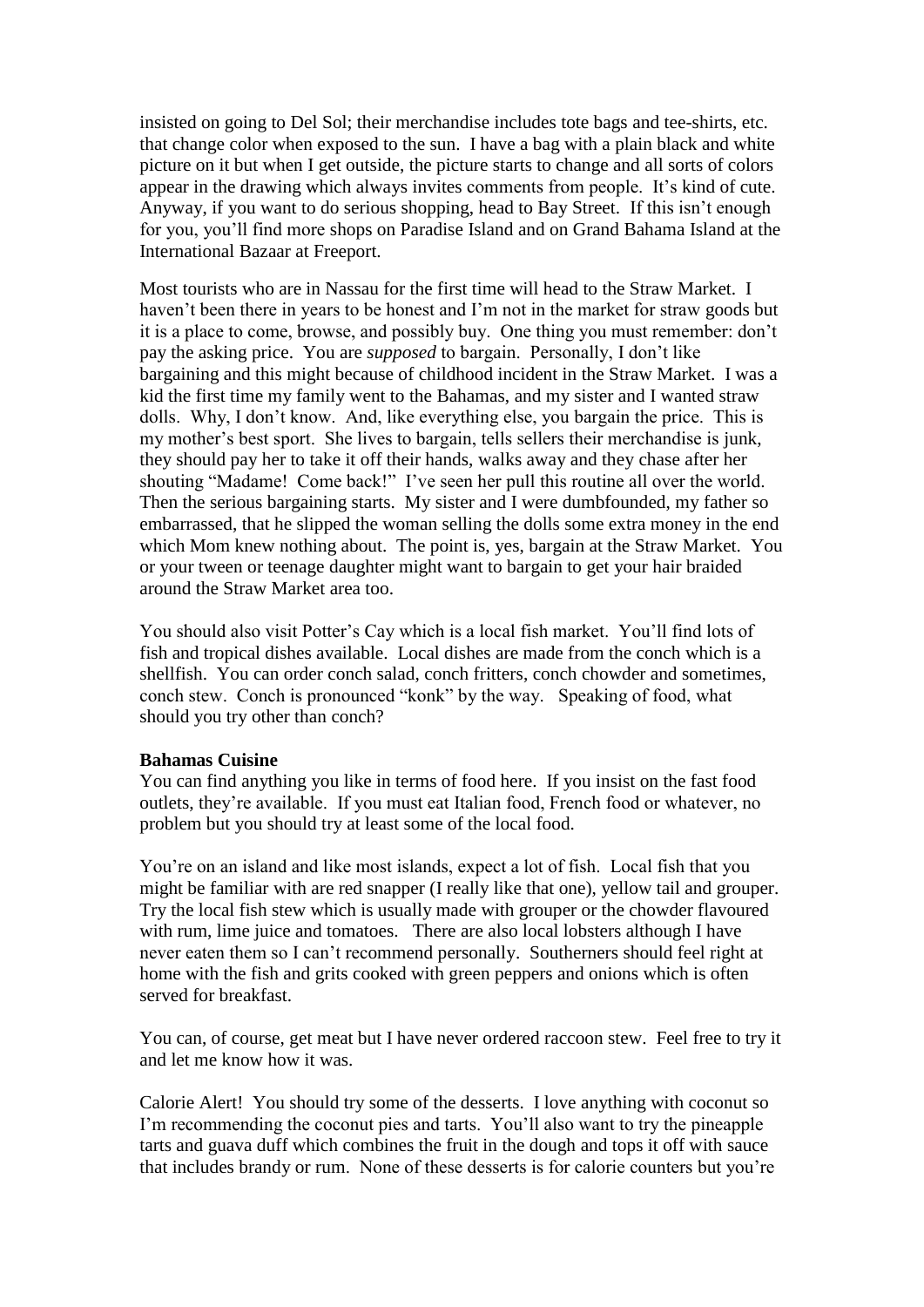insisted on going to Del Sol; their merchandise includes tote bags and tee-shirts, etc. that change color when exposed to the sun. I have a bag with a plain black and white picture on it but when I get outside, the picture starts to change and all sorts of colors appear in the drawing which always invites comments from people. It's kind of cute. Anyway, if you want to do serious shopping, head to Bay Street. If this isn't enough for you, you'll find more shops on Paradise Island and on Grand Bahama Island at the International Bazaar at Freeport.

Most tourists who are in Nassau for the first time will head to the Straw Market. I haven't been there in years to be honest and I'm not in the market for straw goods but it is a place to come, browse, and possibly buy. One thing you must remember: don't pay the asking price. You are *supposed* to bargain. Personally, I don't like bargaining and this might because of childhood incident in the Straw Market. I was a kid the first time my family went to the Bahamas, and my sister and I wanted straw dolls. Why, I don't know. And, like everything else, you bargain the price. This is my mother's best sport. She lives to bargain, tells sellers their merchandise is junk, they should pay her to take it off their hands, walks away and they chase after her shouting "Madame! Come back!" I've seen her pull this routine all over the world. Then the serious bargaining starts. My sister and I were dumbfounded, my father so embarrassed, that he slipped the woman selling the dolls some extra money in the end which Mom knew nothing about. The point is, yes, bargain at the Straw Market. You or your tween or teenage daughter might want to bargain to get your hair braided around the Straw Market area too.

You should also visit Potter's Cay which is a local fish market. You'll find lots of fish and tropical dishes available. Local dishes are made from the conch which is a shellfish. You can order conch salad, conch fritters, conch chowder and sometimes, conch stew. Conch is pronounced "konk" by the way. Speaking of food, what should you try other than conch?

#### **Bahamas Cuisine**

You can find anything you like in terms of food here. If you insist on the fast food outlets, they're available. If you must eat Italian food, French food or whatever, no problem but you should try at least some of the local food.

You're on an island and like most islands, expect a lot of fish. Local fish that you might be familiar with are red snapper (I really like that one), yellow tail and grouper. Try the local fish stew which is usually made with grouper or the chowder flavoured with rum, lime juice and tomatoes. There are also local lobsters although I have never eaten them so I can't recommend personally.Southerners should feel right at home with the fish and grits cooked with green peppers and onions which is often served for breakfast.

You can, of course, get meat but I have never ordered raccoon stew. Feel free to try it and let me know how it was.

Calorie Alert! You should try some of the desserts. I love anything with coconut so I'm recommending the coconut pies and tarts. You'll also want to try the pineapple tarts and guava duff which combines the fruit in the dough and tops it off with sauce that includes brandy or rum. None of these desserts is for calorie counters but you're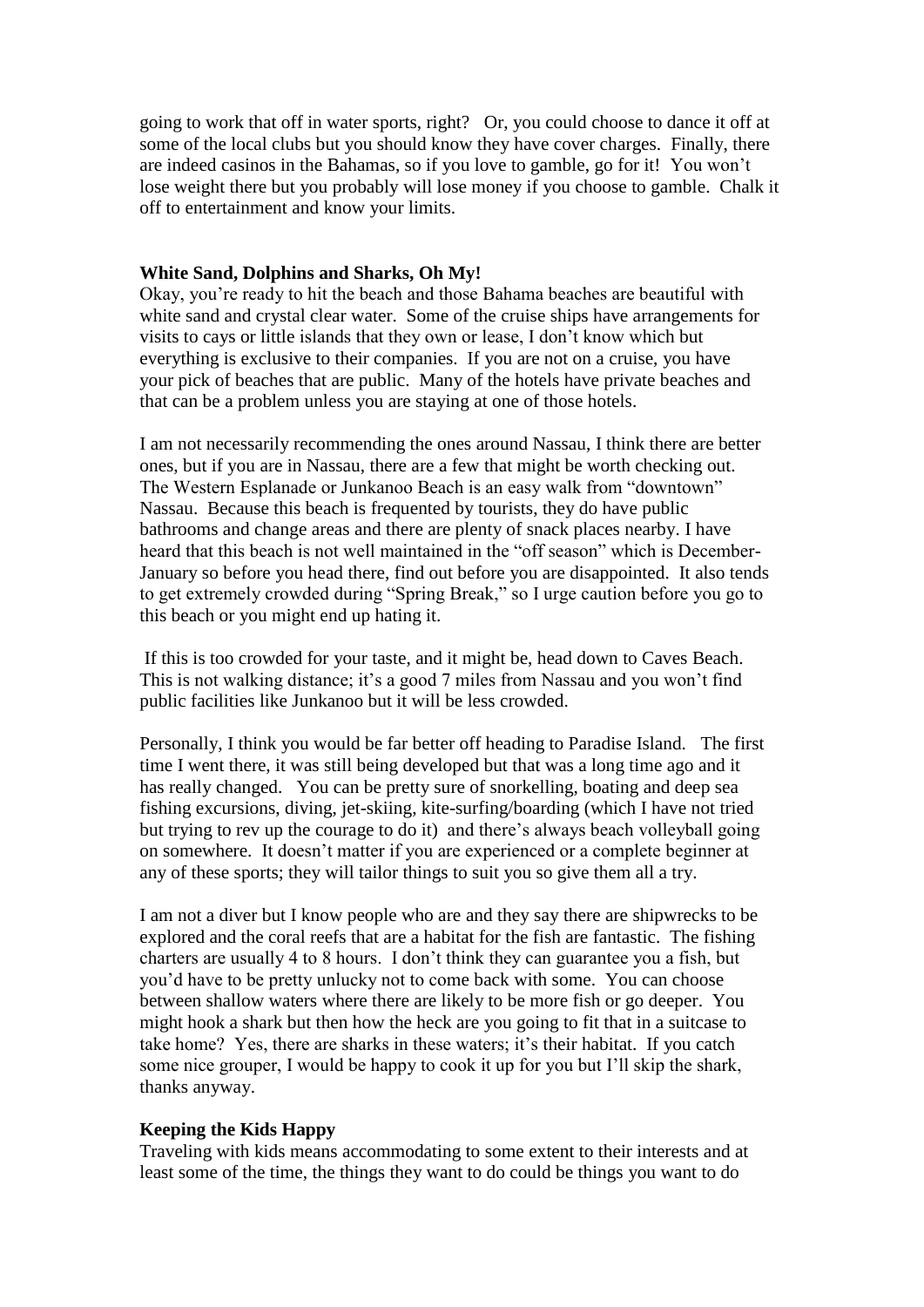going to work that off in water sports, right? Or, you could choose to dance it off at some of the local clubs but you should know they have cover charges. Finally, there are indeed casinos in the Bahamas, so if you love to gamble, go for it! You won't lose weight there but you probably will lose money if you choose to gamble. Chalk it off to entertainment and know your limits.

#### **White Sand, Dolphins and Sharks, Oh My!**

Okay, you're ready to hit the beach and those Bahama beaches are beautiful with white sand and crystal clear water. Some of the cruise ships have arrangements for visits to cays or little islands that they own or lease, I don't know which but everything is exclusive to their companies. If you are not on a cruise, you have your pick of beaches that are public. Many of the hotels have private beaches and that can be a problem unless you are staying at one of those hotels.

I am not necessarily recommending the ones around Nassau, I think there are better ones, but if you are in Nassau, there are a few that might be worth checking out. The Western Esplanade or Junkanoo Beach is an easy walk from "downtown" Nassau. Because this beach is frequented by tourists, they do have public bathrooms and change areas and there are plenty of snack places nearby. I have heard that this beach is not well maintained in the "off season" which is December-January so before you head there, find out before you are disappointed. It also tends to get extremely crowded during "Spring Break," so I urge caution before you go to this beach or you might end up hating it.

If this is too crowded for your taste, and it might be, head down to Caves Beach. This is not walking distance; it's a good 7 miles from Nassau and you won't find public facilities like Junkanoo but it will be less crowded.

Personally, I think you would be far better off heading to Paradise Island. The first time I went there, it was still being developed but that was a long time ago and it has really changed. You can be pretty sure of snorkelling, boating and deep sea fishing excursions, diving, jet-skiing, kite-surfing/boarding (which I have not tried but trying to rev up the courage to do it) and there's always beach volleyball going on somewhere. It doesn't matter if you are experienced or a complete beginner at any of these sports; they will tailor things to suit you so give them all a try.

I am not a diver but I know people who are and they say there are shipwrecks to be explored and the coral reefs that are a habitat for the fish are fantastic. The fishing charters are usually 4 to 8 hours. I don't think they can guarantee you a fish, but you'd have to be pretty unlucky not to come back with some. You can choose between shallow waters where there are likely to be more fish or go deeper. You might hook a shark but then how the heck are you going to fit that in a suitcase to take home? Yes, there are sharks in these waters; it's their habitat. If you catch some nice grouper, I would be happy to cook it up for you but I'll skip the shark, thanks anyway.

#### **Keeping the Kids Happy**

Traveling with kids means accommodating to some extent to their interests and at least some of the time, the things they want to do could be things you want to do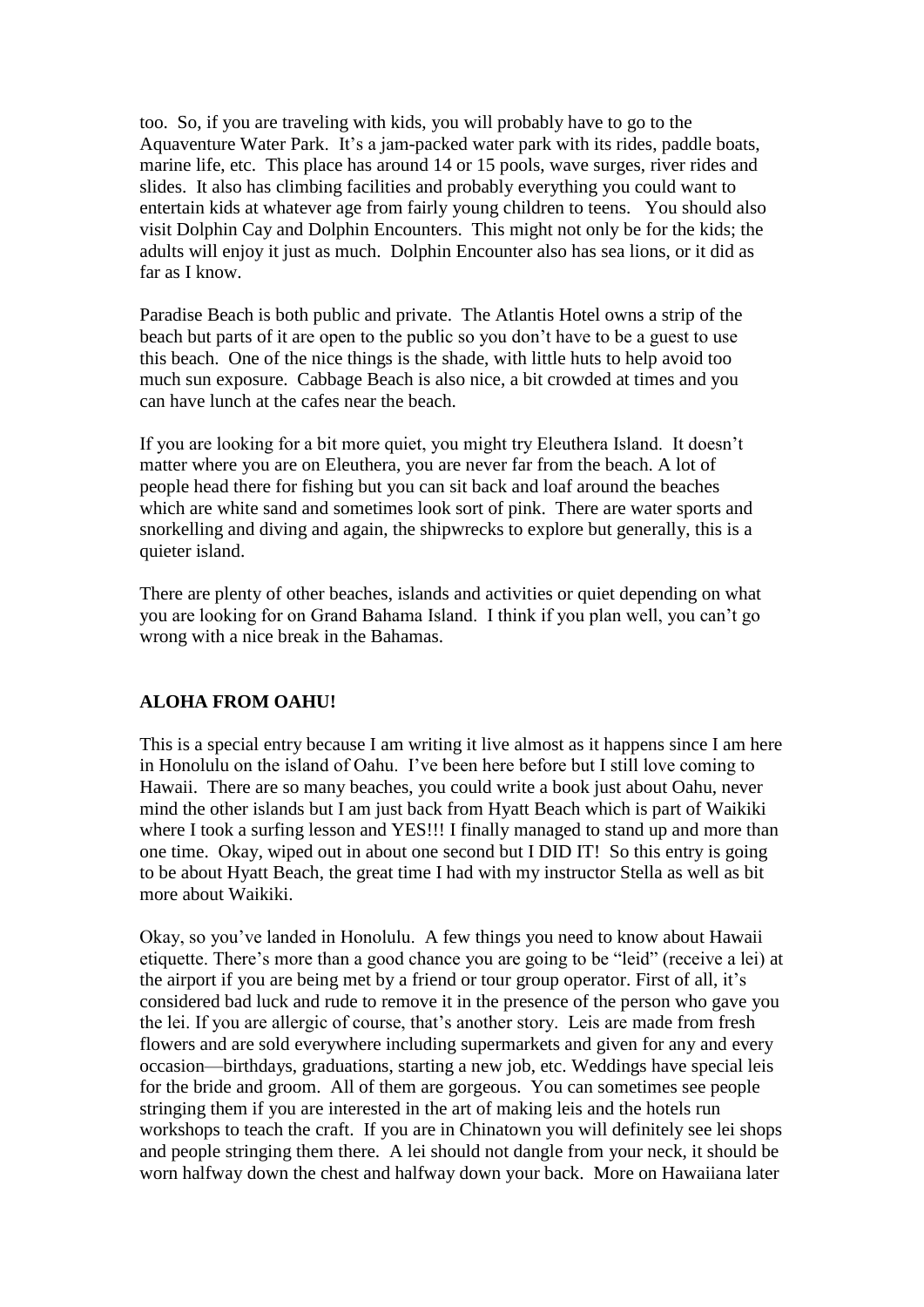too. So, if you are traveling with kids, you will probably have to go to the Aquaventure Water Park. It's a jam-packed water park with its rides, paddle boats, marine life, etc. This place has around 14 or 15 pools, wave surges, river rides and slides. It also has climbing facilities and probably everything you could want to entertain kids at whatever age from fairly young children to teens. You should also visit Dolphin Cay and Dolphin Encounters. This might not only be for the kids; the adults will enjoy it just as much. Dolphin Encounter also has sea lions, or it did as far as I know.

Paradise Beach is both public and private. The Atlantis Hotel owns a strip of the beach but parts of it are open to the public so you don't have to be a guest to use this beach. One of the nice things is the shade, with little huts to help avoid too much sun exposure. Cabbage Beach is also nice, a bit crowded at times and you can have lunch at the cafes near the beach.

If you are looking for a bit more quiet, you might try Eleuthera Island. It doesn't matter where you are on Eleuthera, you are never far from the beach. A lot of people head there for fishing but you can sit back and loaf around the beaches which are white sand and sometimes look sort of pink. There are water sports and snorkelling and diving and again, the shipwrecks to explore but generally, this is a quieter island.

There are plenty of other beaches, islands and activities or quiet depending on what you are looking for on Grand Bahama Island. I think if you plan well, you can't go wrong with a nice break in the Bahamas.

# **ALOHA FROM OAHU!**

This is a special entry because I am writing it live almost as it happens since I am here in Honolulu on the island of Oahu. I've been here before but I still love coming to Hawaii. There are so many beaches, you could write a book just about Oahu, never mind the other islands but I am just back from Hyatt Beach which is part of Waikiki where I took a surfing lesson and YES!!! I finally managed to stand up and more than one time. Okay, wiped out in about one second but I DID IT! So this entry is going to be about Hyatt Beach, the great time I had with my instructor Stella as well as bit more about Waikiki.

Okay, so you've landed in Honolulu. A few things you need to know about Hawaii etiquette. There's more than a good chance you are going to be "leid" (receive a lei) at the airport if you are being met by a friend or tour group operator. First of all, it's considered bad luck and rude to remove it in the presence of the person who gave you the lei. If you are allergic of course, that's another story. Leis are made from fresh flowers and are sold everywhere including supermarkets and given for any and every occasion—birthdays, graduations, starting a new job, etc. Weddings have special leis for the bride and groom. All of them are gorgeous. You can sometimes see people stringing them if you are interested in the art of making leis and the hotels run workshops to teach the craft. If you are in Chinatown you will definitely see lei shops and people stringing them there. A lei should not dangle from your neck, it should be worn halfway down the chest and halfway down your back. More on Hawaiiana later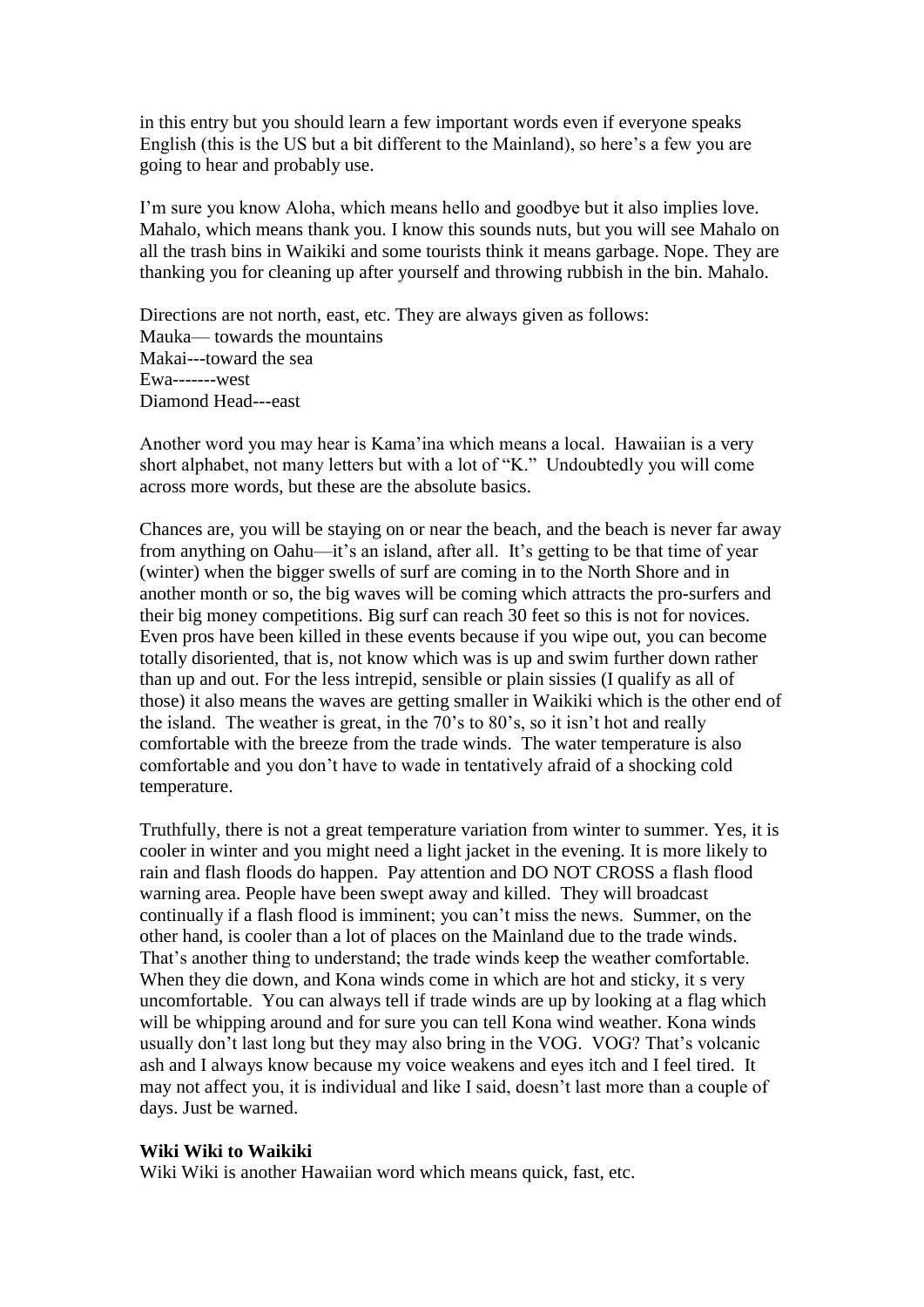in this entry but you should learn a few important words even if everyone speaks English (this is the US but a bit different to the Mainland), so here's a few you are going to hear and probably use.

I'm sure you know Aloha, which means hello and goodbye but it also implies love. Mahalo, which means thank you. I know this sounds nuts, but you will see Mahalo on all the trash bins in Waikiki and some tourists think it means garbage. Nope. They are thanking you for cleaning up after yourself and throwing rubbish in the bin. Mahalo.

Directions are not north, east, etc. They are always given as follows: Mauka— towards the mountains Makai---toward the sea Ewa-------west Diamond Head---east

Another word you may hear is Kama'ina which means a local. Hawaiian is a very short alphabet, not many letters but with a lot of "K." Undoubtedly you will come across more words, but these are the absolute basics.

Chances are, you will be staying on or near the beach, and the beach is never far away from anything on Oahu—it's an island, after all. It's getting to be that time of year (winter) when the bigger swells of surf are coming in to the North Shore and in another month or so, the big waves will be coming which attracts the pro-surfers and their big money competitions. Big surf can reach 30 feet so this is not for novices. Even pros have been killed in these events because if you wipe out, you can become totally disoriented, that is, not know which was is up and swim further down rather than up and out. For the less intrepid, sensible or plain sissies (I qualify as all of those) it also means the waves are getting smaller in Waikiki which is the other end of the island. The weather is great, in the 70's to 80's, so it isn't hot and really comfortable with the breeze from the trade winds. The water temperature is also comfortable and you don't have to wade in tentatively afraid of a shocking cold temperature.

Truthfully, there is not a great temperature variation from winter to summer. Yes, it is cooler in winter and you might need a light jacket in the evening. It is more likely to rain and flash floods do happen. Pay attention and DO NOT CROSS a flash flood warning area. People have been swept away and killed. They will broadcast continually if a flash flood is imminent; you can't miss the news. Summer, on the other hand, is cooler than a lot of places on the Mainland due to the trade winds. That's another thing to understand; the trade winds keep the weather comfortable. When they die down, and Kona winds come in which are hot and sticky, it s very uncomfortable. You can always tell if trade winds are up by looking at a flag which will be whipping around and for sure you can tell Kona wind weather. Kona winds usually don't last long but they may also bring in the VOG. VOG? That's volcanic ash and I always know because my voice weakens and eyes itch and I feel tired. It may not affect you, it is individual and like I said, doesn't last more than a couple of days. Just be warned.

# **Wiki Wiki to Waikiki**

Wiki Wiki is another Hawaiian word which means quick, fast, etc.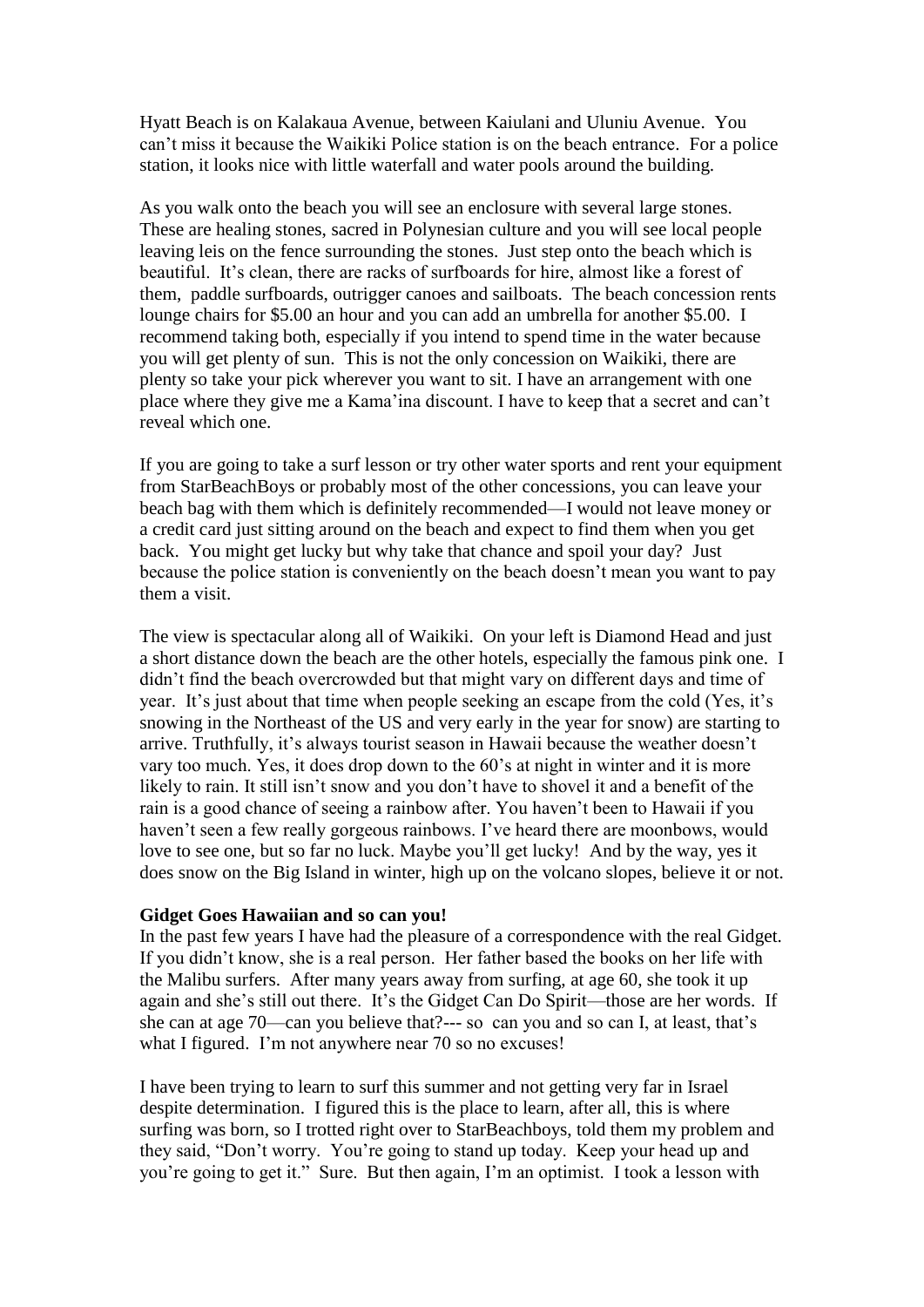Hyatt Beach is on Kalakaua Avenue, between Kaiulani and Uluniu Avenue. You can't miss it because the Waikiki Police station is on the beach entrance. For a police station, it looks nice with little waterfall and water pools around the building.

As you walk onto the beach you will see an enclosure with several large stones. These are healing stones, sacred in Polynesian culture and you will see local people leaving leis on the fence surrounding the stones. Just step onto the beach which is beautiful. It's clean, there are racks of surfboards for hire, almost like a forest of them, paddle surfboards, outrigger canoes and sailboats. The beach concession rents lounge chairs for \$5.00 an hour and you can add an umbrella for another \$5.00. I recommend taking both, especially if you intend to spend time in the water because you will get plenty of sun. This is not the only concession on Waikiki, there are plenty so take your pick wherever you want to sit. I have an arrangement with one place where they give me a Kama'ina discount. I have to keep that a secret and can't reveal which one.

If you are going to take a surf lesson or try other water sports and rent your equipment from StarBeachBoys or probably most of the other concessions, you can leave your beach bag with them which is definitely recommended—I would not leave money or a credit card just sitting around on the beach and expect to find them when you get back. You might get lucky but why take that chance and spoil your day? Just because the police station is conveniently on the beach doesn't mean you want to pay them a visit.

The view is spectacular along all of Waikiki. On your left is Diamond Head and just a short distance down the beach are the other hotels, especially the famous pink one. I didn't find the beach overcrowded but that might vary on different days and time of year. It's just about that time when people seeking an escape from the cold (Yes, it's snowing in the Northeast of the US and very early in the year for snow) are starting to arrive. Truthfully, it's always tourist season in Hawaii because the weather doesn't vary too much. Yes, it does drop down to the 60's at night in winter and it is more likely to rain. It still isn't snow and you don't have to shovel it and a benefit of the rain is a good chance of seeing a rainbow after. You haven't been to Hawaii if you haven't seen a few really gorgeous rainbows. I've heard there are moonbows, would love to see one, but so far no luck. Maybe you'll get lucky! And by the way, yes it does snow on the Big Island in winter, high up on the volcano slopes, believe it or not.

#### **Gidget Goes Hawaiian and so can you!**

In the past few years I have had the pleasure of a correspondence with the real Gidget. If you didn't know, she is a real person. Her father based the books on her life with the Malibu surfers. After many years away from surfing, at age 60, she took it up again and she's still out there. It's the Gidget Can Do Spirit—those are her words. If she can at age 70—can you believe that?--- so can you and so can I, at least, that's what I figured. I'm not anywhere near 70 so no excuses!

I have been trying to learn to surf this summer and not getting very far in Israel despite determination. I figured this is the place to learn, after all, this is where surfing was born, so I trotted right over to StarBeachboys, told them my problem and they said, "Don't worry. You're going to stand up today. Keep your head up and you're going to get it." Sure. But then again, I'm an optimist. I took a lesson with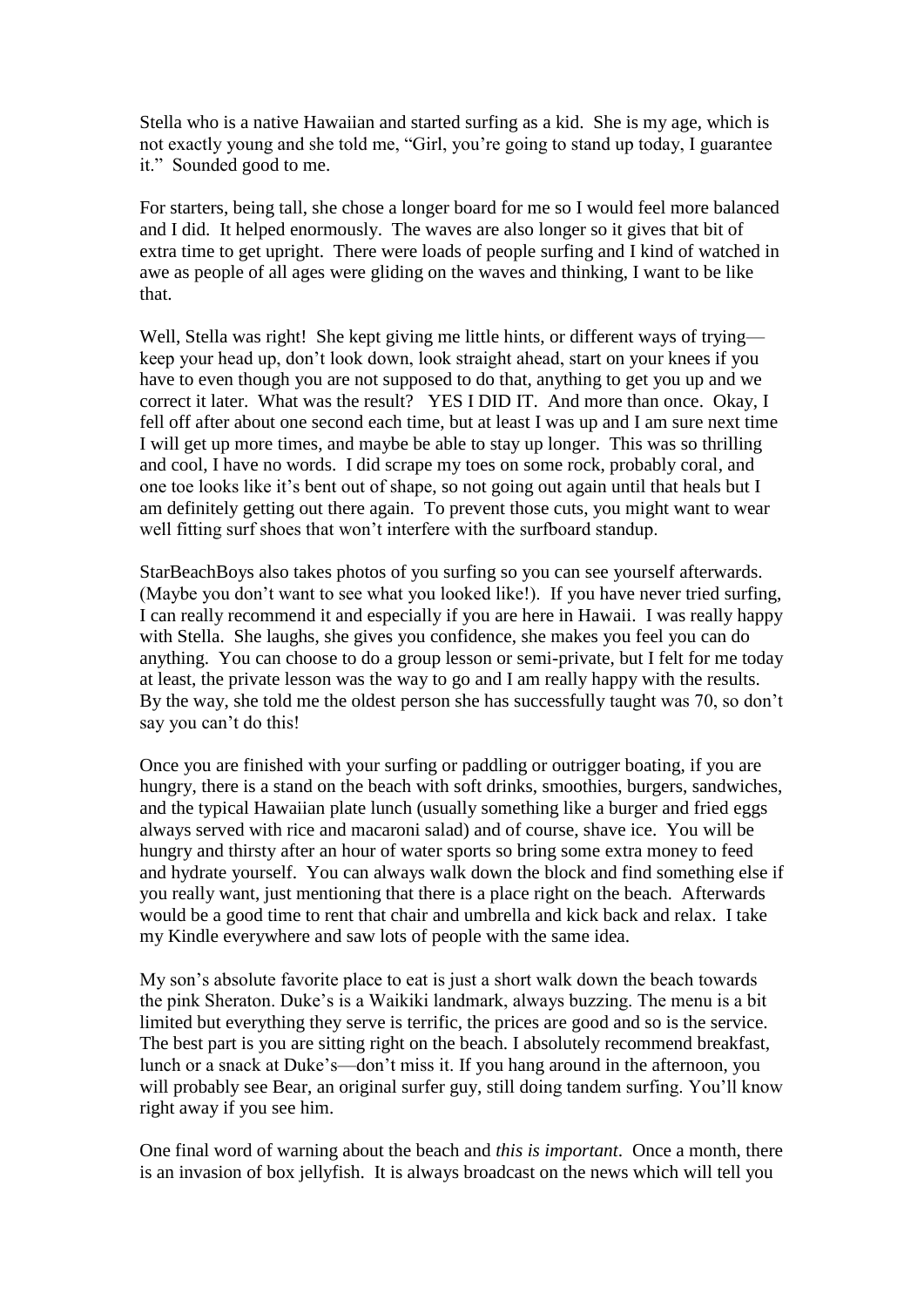Stella who is a native Hawaiian and started surfing as a kid. She is my age, which is not exactly young and she told me, "Girl, you're going to stand up today, I guarantee it." Sounded good to me.

For starters, being tall, she chose a longer board for me so I would feel more balanced and I did. It helped enormously. The waves are also longer so it gives that bit of extra time to get upright. There were loads of people surfing and I kind of watched in awe as people of all ages were gliding on the waves and thinking, I want to be like that.

Well, Stella was right! She kept giving me little hints, or different ways of trying keep your head up, don't look down, look straight ahead, start on your knees if you have to even though you are not supposed to do that, anything to get you up and we correct it later. What was the result? YES I DID IT. And more than once. Okay, I fell off after about one second each time, but at least I was up and I am sure next time I will get up more times, and maybe be able to stay up longer. This was so thrilling and cool, I have no words. I did scrape my toes on some rock, probably coral, and one toe looks like it's bent out of shape, so not going out again until that heals but I am definitely getting out there again. To prevent those cuts, you might want to wear well fitting surf shoes that won't interfere with the surfboard standup.

StarBeachBoys also takes photos of you surfing so you can see yourself afterwards. (Maybe you don't want to see what you looked like!). If you have never tried surfing, I can really recommend it and especially if you are here in Hawaii. I was really happy with Stella. She laughs, she gives you confidence, she makes you feel you can do anything. You can choose to do a group lesson or semi-private, but I felt for me today at least, the private lesson was the way to go and I am really happy with the results. By the way, she told me the oldest person she has successfully taught was 70, so don't say you can't do this!

Once you are finished with your surfing or paddling or outrigger boating, if you are hungry, there is a stand on the beach with soft drinks, smoothies, burgers, sandwiches, and the typical Hawaiian plate lunch (usually something like a burger and fried eggs always served with rice and macaroni salad) and of course, shave ice. You will be hungry and thirsty after an hour of water sports so bring some extra money to feed and hydrate yourself. You can always walk down the block and find something else if you really want, just mentioning that there is a place right on the beach. Afterwards would be a good time to rent that chair and umbrella and kick back and relax. I take my Kindle everywhere and saw lots of people with the same idea.

My son's absolute favorite place to eat is just a short walk down the beach towards the pink Sheraton. Duke's is a Waikiki landmark, always buzzing. The menu is a bit limited but everything they serve is terrific, the prices are good and so is the service. The best part is you are sitting right on the beach. I absolutely recommend breakfast, lunch or a snack at Duke's—don't miss it. If you hang around in the afternoon, you will probably see Bear, an original surfer guy, still doing tandem surfing. You'll know right away if you see him.

One final word of warning about the beach and *this is important*. Once a month, there is an invasion of box jellyfish. It is always broadcast on the news which will tell you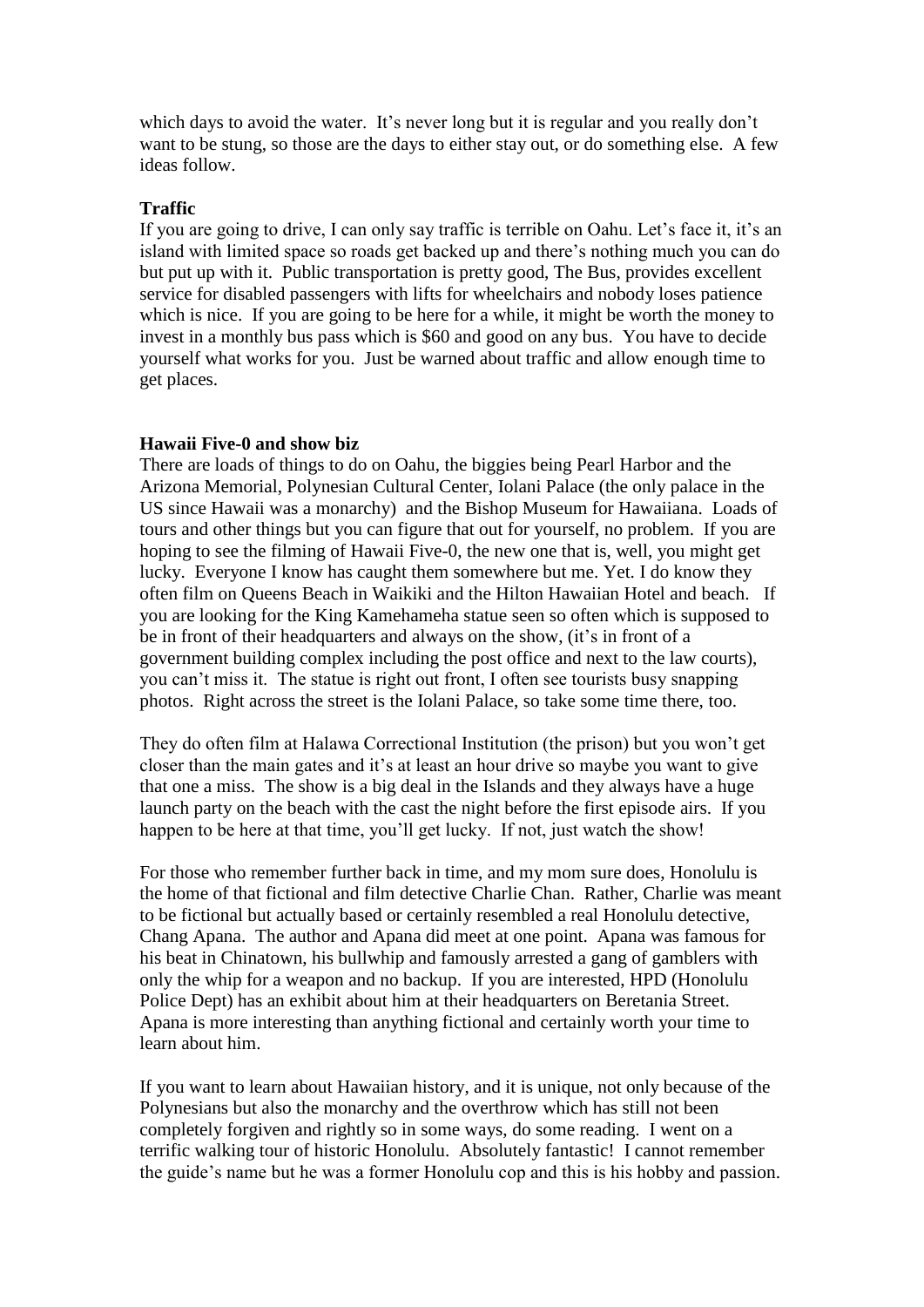which days to avoid the water. It's never long but it is regular and you really don't want to be stung, so those are the days to either stay out, or do something else. A few ideas follow.

### **Traffic**

If you are going to drive, I can only say traffic is terrible on Oahu. Let's face it, it's an island with limited space so roads get backed up and there's nothing much you can do but put up with it. Public transportation is pretty good, The Bus, provides excellent service for disabled passengers with lifts for wheelchairs and nobody loses patience which is nice. If you are going to be here for a while, it might be worth the money to invest in a monthly bus pass which is \$60 and good on any bus. You have to decide yourself what works for you. Just be warned about traffic and allow enough time to get places.

#### **Hawaii Five-0 and show biz**

There are loads of things to do on Oahu, the biggies being Pearl Harbor and the Arizona Memorial, Polynesian Cultural Center, Iolani Palace (the only palace in the US since Hawaii was a monarchy) and the Bishop Museum for Hawaiiana. Loads of tours and other things but you can figure that out for yourself, no problem. If you are hoping to see the filming of Hawaii Five-0, the new one that is, well, you might get lucky. Everyone I know has caught them somewhere but me. Yet. I do know they often film on Queens Beach in Waikiki and the Hilton Hawaiian Hotel and beach. If you are looking for the King Kamehameha statue seen so often which is supposed to be in front of their headquarters and always on the show, (it's in front of a government building complex including the post office and next to the law courts), you can't miss it. The statue is right out front, I often see tourists busy snapping photos. Right across the street is the Iolani Palace, so take some time there, too.

They do often film at Halawa Correctional Institution (the prison) but you won't get closer than the main gates and it's at least an hour drive so maybe you want to give that one a miss. The show is a big deal in the Islands and they always have a huge launch party on the beach with the cast the night before the first episode airs. If you happen to be here at that time, you'll get lucky. If not, just watch the show!

For those who remember further back in time, and my mom sure does, Honolulu is the home of that fictional and film detective Charlie Chan. Rather, Charlie was meant to be fictional but actually based or certainly resembled a real Honolulu detective, Chang Apana. The author and Apana did meet at one point. Apana was famous for his beat in Chinatown, his bullwhip and famously arrested a gang of gamblers with only the whip for a weapon and no backup. If you are interested, HPD (Honolulu Police Dept) has an exhibit about him at their headquarters on Beretania Street. Apana is more interesting than anything fictional and certainly worth your time to learn about him.

If you want to learn about Hawaiian history, and it is unique, not only because of the Polynesians but also the monarchy and the overthrow which has still not been completely forgiven and rightly so in some ways, do some reading. I went on a terrific walking tour of historic Honolulu. Absolutely fantastic! I cannot remember the guide's name but he was a former Honolulu cop and this is his hobby and passion.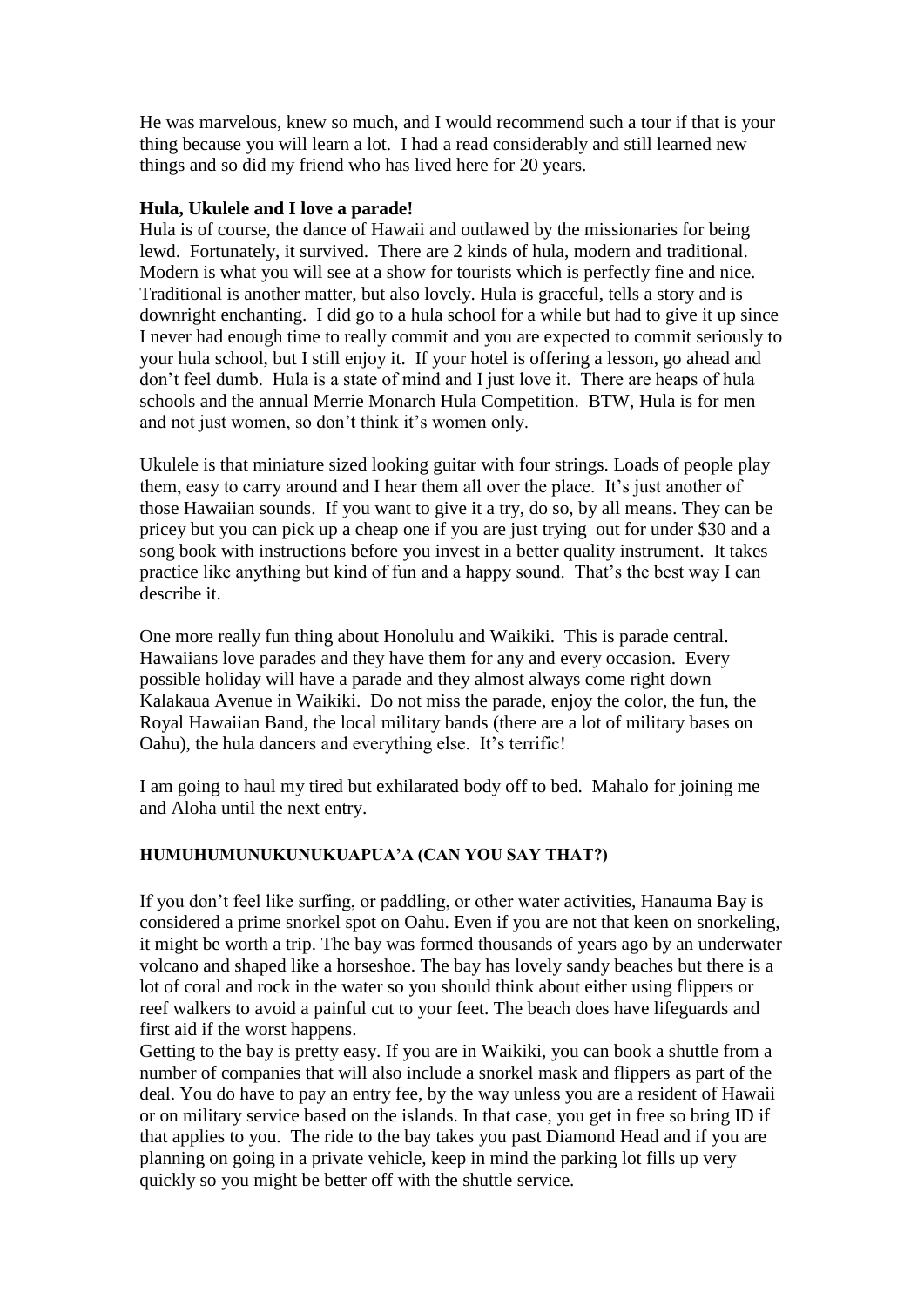He was marvelous, knew so much, and I would recommend such a tour if that is your thing because you will learn a lot. I had a read considerably and still learned new things and so did my friend who has lived here for 20 years.

# **Hula, Ukulele and I love a parade!**

Hula is of course, the dance of Hawaii and outlawed by the missionaries for being lewd. Fortunately, it survived. There are 2 kinds of hula, modern and traditional. Modern is what you will see at a show for tourists which is perfectly fine and nice. Traditional is another matter, but also lovely. Hula is graceful, tells a story and is downright enchanting. I did go to a hula school for a while but had to give it up since I never had enough time to really commit and you are expected to commit seriously to your hula school, but I still enjoy it. If your hotel is offering a lesson, go ahead and don't feel dumb. Hula is a state of mind and I just love it. There are heaps of hula schools and the annual Merrie Monarch Hula Competition. BTW, Hula is for men and not just women, so don't think it's women only.

Ukulele is that miniature sized looking guitar with four strings. Loads of people play them, easy to carry around and I hear them all over the place. It's just another of those Hawaiian sounds. If you want to give it a try, do so, by all means. They can be pricey but you can pick up a cheap one if you are just trying out for under \$30 and a song book with instructions before you invest in a better quality instrument. It takes practice like anything but kind of fun and a happy sound. That's the best way I can describe it.

One more really fun thing about Honolulu and Waikiki. This is parade central. Hawaiians love parades and they have them for any and every occasion. Every possible holiday will have a parade and they almost always come right down Kalakaua Avenue in Waikiki. Do not miss the parade, enjoy the color, the fun, the Royal Hawaiian Band, the local military bands (there are a lot of military bases on Oahu), the hula dancers and everything else. It's terrific!

I am going to haul my tired but exhilarated body off to bed. Mahalo for joining me and Aloha until the next entry.

# **HUMUHUMUNUKUNUKUAPUA'A (CAN YOU SAY THAT?)**

If you don't feel like surfing, or paddling, or other water activities, Hanauma Bay is considered a prime snorkel spot on Oahu. Even if you are not that keen on snorkeling, it might be worth a trip. The bay was formed thousands of years ago by an underwater volcano and shaped like a horseshoe. The bay has lovely sandy beaches but there is a lot of coral and rock in the water so you should think about either using flippers or reef walkers to avoid a painful cut to your feet. The beach does have lifeguards and first aid if the worst happens.

Getting to the bay is pretty easy. If you are in Waikiki, you can book a shuttle from a number of companies that will also include a snorkel mask and flippers as part of the deal. You do have to pay an entry fee, by the way unless you are a resident of Hawaii or on military service based on the islands. In that case, you get in free so bring ID if that applies to you. The ride to the bay takes you past Diamond Head and if you are planning on going in a private vehicle, keep in mind the parking lot fills up very quickly so you might be better off with the shuttle service.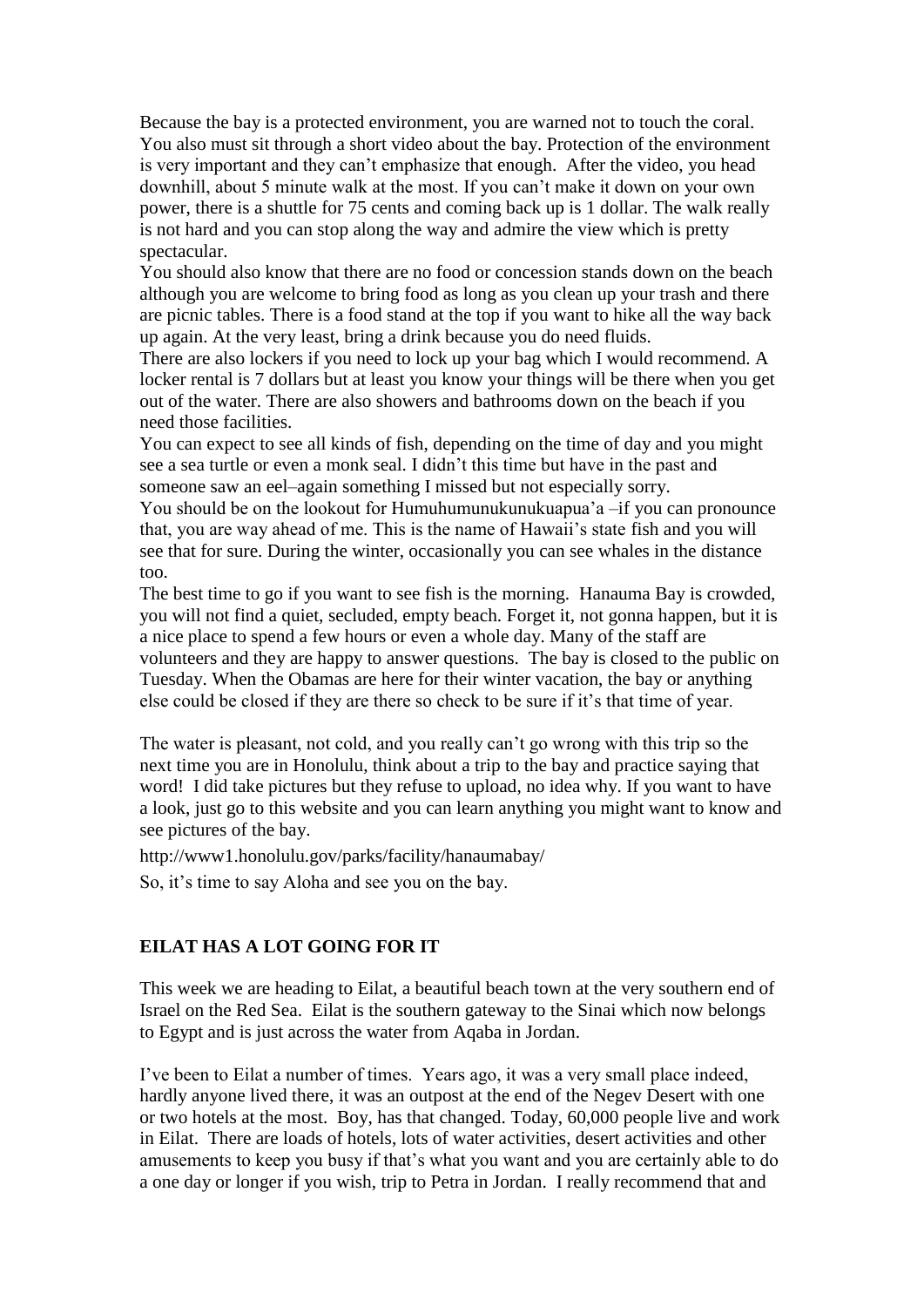Because the bay is a protected environment, you are warned not to touch the coral. You also must sit through a short video about the bay. Protection of the environment is very important and they can't emphasize that enough. After the video, you head downhill, about 5 minute walk at the most. If you can't make it down on your own power, there is a shuttle for 75 cents and coming back up is 1 dollar. The walk really is not hard and you can stop along the way and admire the view which is pretty spectacular.

You should also know that there are no food or concession stands down on the beach although you are welcome to bring food as long as you clean up your trash and there are picnic tables. There is a food stand at the top if you want to hike all the way back up again. At the very least, bring a drink because you do need fluids.

There are also lockers if you need to lock up your bag which I would recommend. A locker rental is 7 dollars but at least you know your things will be there when you get out of the water. There are also showers and bathrooms down on the beach if you need those facilities.

You can expect to see all kinds of fish, depending on the time of day and you might see a sea turtle or even a monk seal. I didn't this time but have in the past and someone saw an eel–again something I missed but not especially sorry.

You should be on the lookout for Humuhumunukunukuapua'a –if you can pronounce that, you are way ahead of me. This is the name of Hawaii's state fish and you will see that for sure. During the winter, occasionally you can see whales in the distance too.

The best time to go if you want to see fish is the morning. Hanauma Bay is crowded, you will not find a quiet, secluded, empty beach. Forget it, not gonna happen, but it is a nice place to spend a few hours or even a whole day. Many of the staff are volunteers and they are happy to answer questions. The bay is closed to the public on Tuesday. When the Obamas are here for their winter vacation, the bay or anything else could be closed if they are there so check to be sure if it's that time of year.

The water is pleasant, not cold, and you really can't go wrong with this trip so the next time you are in Honolulu, think about a trip to the bay and practice saying that word! I did take pictures but they refuse to upload, no idea why. If you want to have a look, just go to this website and you can learn anything you might want to know and see pictures of the bay.

http://www1.honolulu.gov/parks/facility/hanaumabay/

So, it's time to say Aloha and see you on the bay.

# **EILAT HAS A LOT GOING FOR IT**

This week we are heading to Eilat, a beautiful beach town at the very southern end of Israel on the Red Sea. Eilat is the southern gateway to the Sinai which now belongs to Egypt and is just across the water from Aqaba in Jordan.

I've been to Eilat a number of times. Years ago, it was a very small place indeed, hardly anyone lived there, it was an outpost at the end of the Negev Desert with one or two hotels at the most. Boy, has that changed. Today, 60,000 people live and work in Eilat. There are loads of hotels, lots of water activities, desert activities and other amusements to keep you busy if that's what you want and you are certainly able to do a one day or longer if you wish, trip to Petra in Jordan. I really recommend that and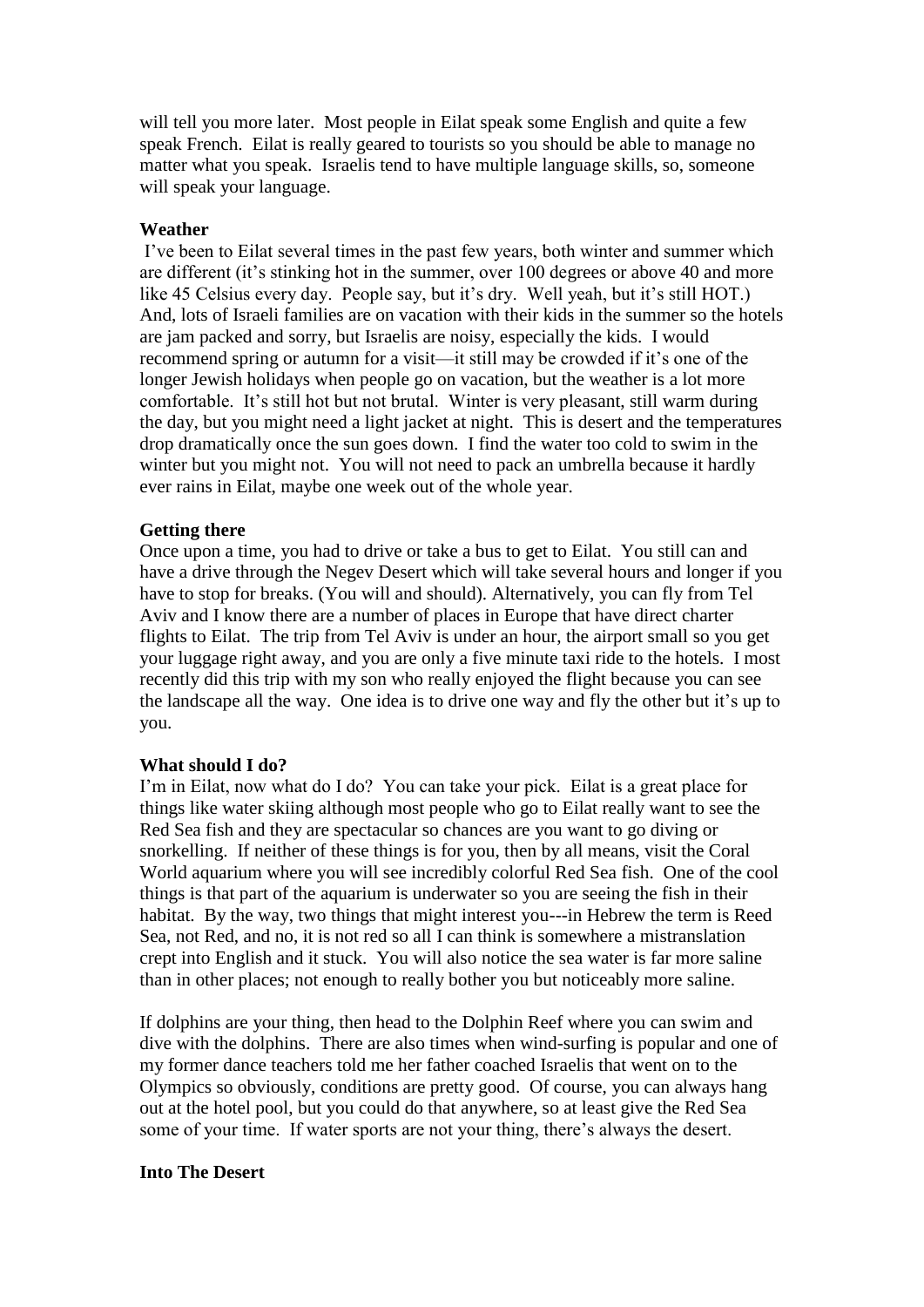will tell you more later. Most people in Eilat speak some English and quite a few speak French. Eilat is really geared to tourists so you should be able to manage no matter what you speak. Israelis tend to have multiple language skills, so, someone will speak your language.

# **Weather**

I've been to Eilat several times in the past few years, both winter and summer which are different (it's stinking hot in the summer, over 100 degrees or above 40 and more like 45 Celsius every day. People say, but it's dry. Well yeah, but it's still HOT.) And, lots of Israeli families are on vacation with their kids in the summer so the hotels are jam packed and sorry, but Israelis are noisy, especially the kids. I would recommend spring or autumn for a visit—it still may be crowded if it's one of the longer Jewish holidays when people go on vacation, but the weather is a lot more comfortable. It's still hot but not brutal. Winter is very pleasant, still warm during the day, but you might need a light jacket at night. This is desert and the temperatures drop dramatically once the sun goes down. I find the water too cold to swim in the winter but you might not. You will not need to pack an umbrella because it hardly ever rains in Eilat, maybe one week out of the whole year.

#### **Getting there**

Once upon a time, you had to drive or take a bus to get to Eilat. You still can and have a drive through the Negev Desert which will take several hours and longer if you have to stop for breaks. (You will and should). Alternatively, you can fly from Tel Aviv and I know there are a number of places in Europe that have direct charter flights to Eilat. The trip from Tel Aviv is under an hour, the airport small so you get your luggage right away, and you are only a five minute taxi ride to the hotels. I most recently did this trip with my son who really enjoyed the flight because you can see the landscape all the way. One idea is to drive one way and fly the other but it's up to you.

#### **What should I do?**

I'm in Eilat, now what do I do? You can take your pick. Eilat is a great place for things like water skiing although most people who go to Eilat really want to see the Red Sea fish and they are spectacular so chances are you want to go diving or snorkelling. If neither of these things is for you, then by all means, visit the Coral World aquarium where you will see incredibly colorful Red Sea fish. One of the cool things is that part of the aquarium is underwater so you are seeing the fish in their habitat. By the way, two things that might interest you---in Hebrew the term is Reed Sea, not Red, and no, it is not red so all I can think is somewhere a mistranslation crept into English and it stuck. You will also notice the sea water is far more saline than in other places; not enough to really bother you but noticeably more saline.

If dolphins are your thing, then head to the Dolphin Reef where you can swim and dive with the dolphins. There are also times when wind-surfing is popular and one of my former dance teachers told me her father coached Israelis that went on to the Olympics so obviously, conditions are pretty good. Of course, you can always hang out at the hotel pool, but you could do that anywhere, so at least give the Red Sea some of your time. If water sports are not your thing, there's always the desert.

#### **Into The Desert**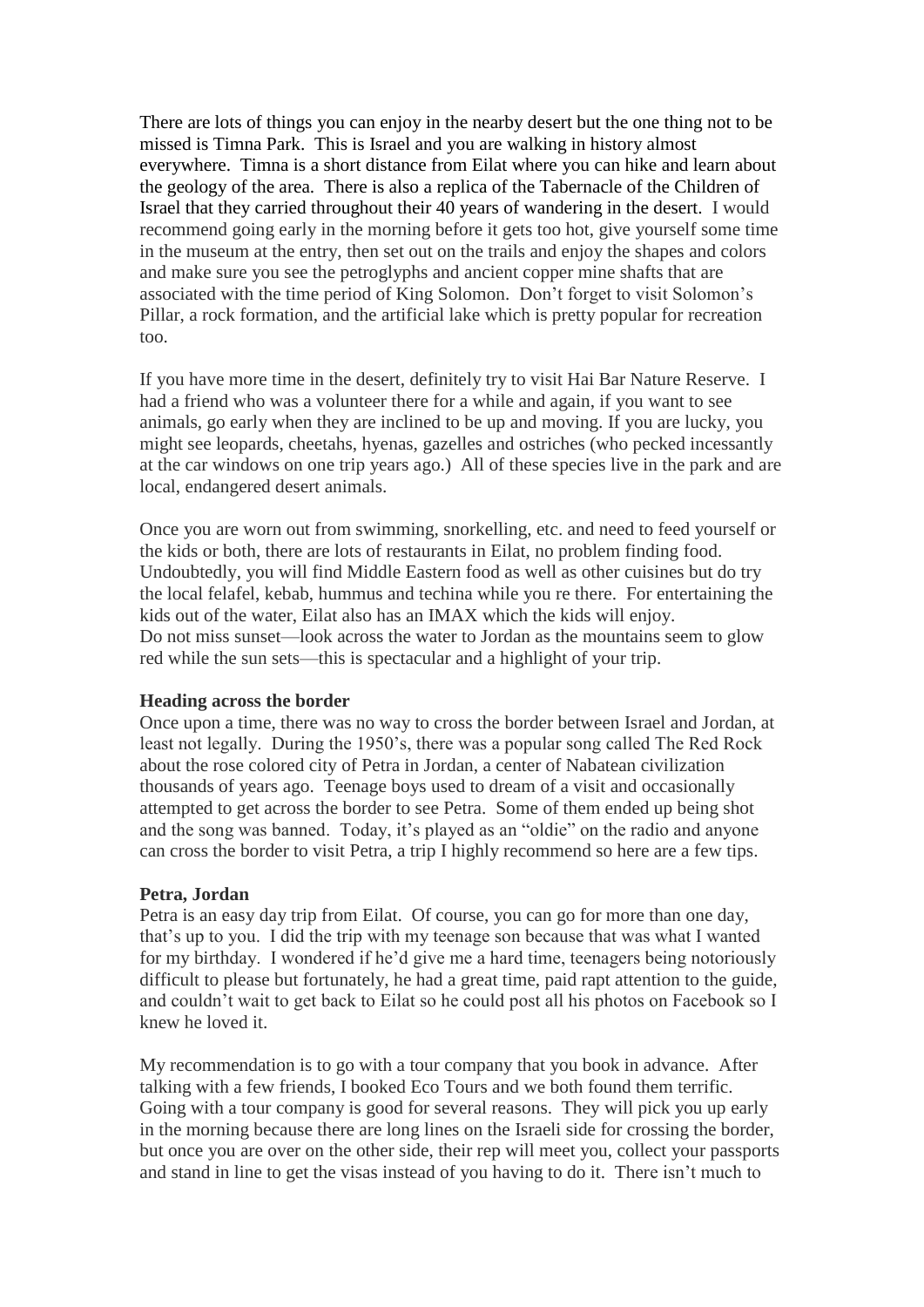There are lots of things you can enjoy in the nearby desert but the one thing not to be missed is Timna Park. This is Israel and you are walking in history almost everywhere. Timna is a short distance from Eilat where you can hike and learn about the geology of the area. There is also a replica of the Tabernacle of the Children of Israel that they carried throughout their 40 years of wandering in the desert. I would recommend going early in the morning before it gets too hot, give yourself some time in the museum at the entry, then set out on the trails and enjoy the shapes and colors and make sure you see the petroglyphs and ancient copper mine shafts that are associated with the time period of King Solomon. Don't forget to visit Solomon's Pillar, a rock formation, and the artificial lake which is pretty popular for recreation too.

If you have more time in the desert, definitely try to visit Hai Bar Nature Reserve. I had a friend who was a volunteer there for a while and again, if you want to see animals, go early when they are inclined to be up and moving. If you are lucky, you might see leopards, cheetahs, hyenas, gazelles and ostriches (who pecked incessantly at the car windows on one trip years ago.) All of these species live in the park and are local, endangered desert animals.

Once you are worn out from swimming, snorkelling, etc. and need to feed yourself or the kids or both, there are lots of restaurants in Eilat, no problem finding food. Undoubtedly, you will find Middle Eastern food as well as other cuisines but do try the local felafel, kebab, hummus and techina while you re there. For entertaining the kids out of the water, Eilat also has an IMAX which the kids will enjoy. Do not miss sunset—look across the water to Jordan as the mountains seem to glow red while the sun sets—this is spectacular and a highlight of your trip.

#### **Heading across the border**

Once upon a time, there was no way to cross the border between Israel and Jordan, at least not legally. During the 1950's, there was a popular song called The Red Rock about the rose colored city of Petra in Jordan, a center of Nabatean civilization thousands of years ago. Teenage boys used to dream of a visit and occasionally attempted to get across the border to see Petra. Some of them ended up being shot and the song was banned. Today, it's played as an "oldie" on the radio and anyone can cross the border to visit Petra, a trip I highly recommend so here are a few tips.

#### **Petra, Jordan**

Petra is an easy day trip from Eilat. Of course, you can go for more than one day, that's up to you. I did the trip with my teenage son because that was what I wanted for my birthday. I wondered if he'd give me a hard time, teenagers being notoriously difficult to please but fortunately, he had a great time, paid rapt attention to the guide, and couldn't wait to get back to Eilat so he could post all his photos on Facebook so I knew he loved it.

My recommendation is to go with a tour company that you book in advance. After talking with a few friends, I booked Eco Tours and we both found them terrific. Going with a tour company is good for several reasons. They will pick you up early in the morning because there are long lines on the Israeli side for crossing the border, but once you are over on the other side, their rep will meet you, collect your passports and stand in line to get the visas instead of you having to do it. There isn't much to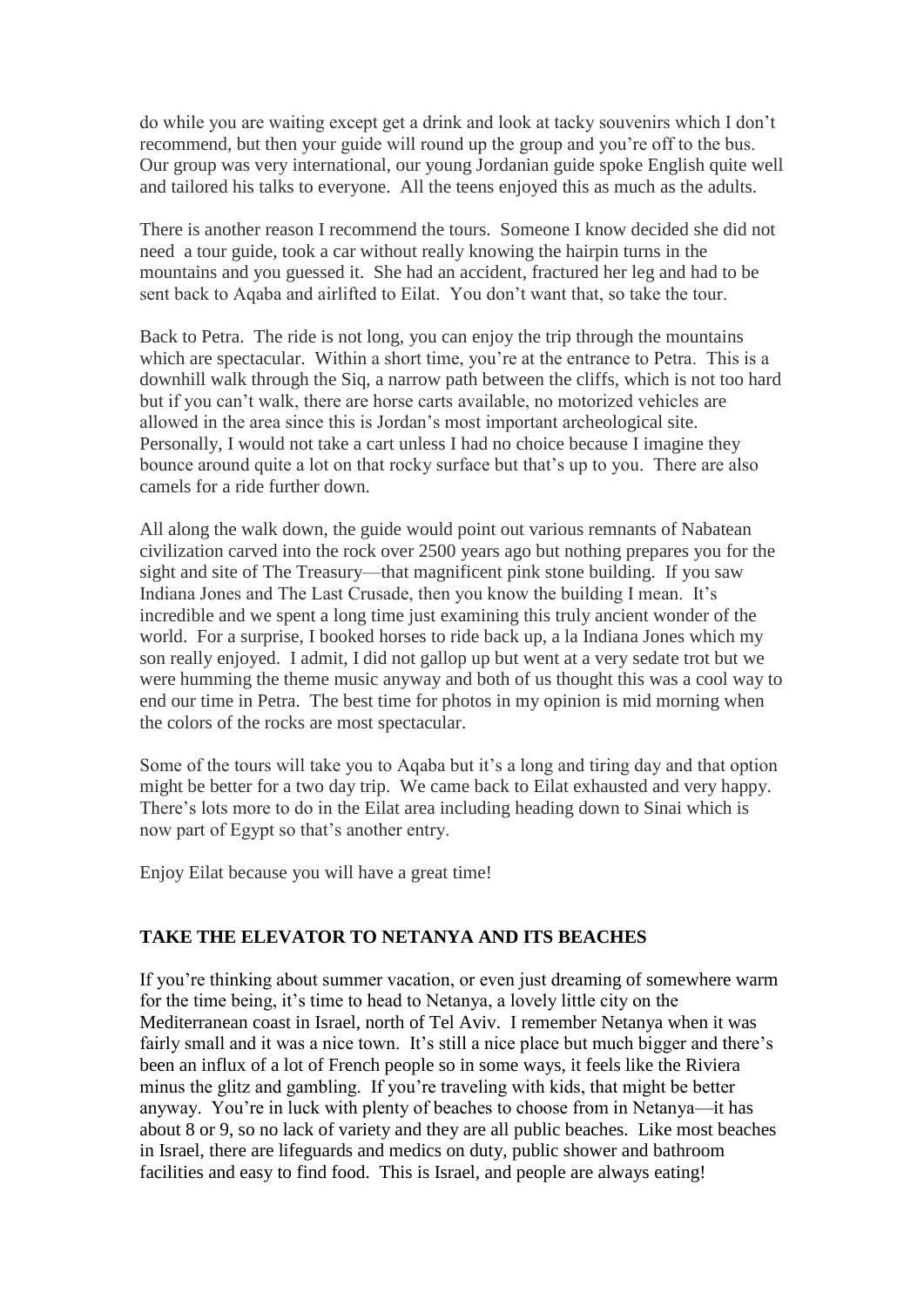do while you are waiting except get a drink and look at tacky souvenirs which I don't recommend, but then your guide will round up the group and you're off to the bus. Our group was very international, our young Jordanian guide spoke English quite well and tailored his talks to everyone. All the teens enjoyed this as much as the adults.

There is another reason I recommend the tours. Someone I know decided she did not need a tour guide, took a car without really knowing the hairpin turns in the mountains and you guessed it. She had an accident, fractured her leg and had to be sent back to Aqaba and airlifted to Eilat. You don't want that, so take the tour.

Back to Petra. The ride is not long, you can enjoy the trip through the mountains which are spectacular. Within a short time, you're at the entrance to Petra. This is a downhill walk through the Siq, a narrow path between the cliffs, which is not too hard but if you can't walk, there are horse carts available, no motorized vehicles are allowed in the area since this is Jordan's most important archeological site. Personally, I would not take a cart unless I had no choice because I imagine they bounce around quite a lot on that rocky surface but that's up to you. There are also camels for a ride further down.

All along the walk down, the guide would point out various remnants of Nabatean civilization carved into the rock over 2500 years ago but nothing prepares you for the sight and site of The Treasury—that magnificent pink stone building. If you saw Indiana Jones and The Last Crusade, then you know the building I mean. It's incredible and we spent a long time just examining this truly ancient wonder of the world. For a surprise, I booked horses to ride back up, a la Indiana Jones which my son really enjoyed. I admit, I did not gallop up but went at a very sedate trot but we were humming the theme music anyway and both of us thought this was a cool way to end our time in Petra. The best time for photos in my opinion is mid morning when the colors of the rocks are most spectacular.

Some of the tours will take you to Aqaba but it's a long and tiring day and that option might be better for a two day trip. We came back to Eilat exhausted and very happy. There's lots more to do in the Eilat area including heading down to Sinai which is now part of Egypt so that's another entry.

Enjoy Eilat because you will have a great time!

# **TAKE THE ELEVATOR TO NETANYA AND ITS BEACHES**

If you're thinking about summer vacation, or even just dreaming of somewhere warm for the time being, it's time to head to Netanya, a lovely little city on the Mediterranean coast in Israel, north of Tel Aviv. I remember Netanya when it was fairly small and it was a nice town. It's still a nice place but much bigger and there's been an influx of a lot of French people so in some ways, it feels like the Riviera minus the glitz and gambling. If you're traveling with kids, that might be better anyway. You're in luck with plenty of beaches to choose from in Netanya—it has about 8 or 9, so no lack of variety and they are all public beaches. Like most beaches in Israel, there are lifeguards and medics on duty, public shower and bathroom facilities and easy to find food. This is Israel, and people are always eating!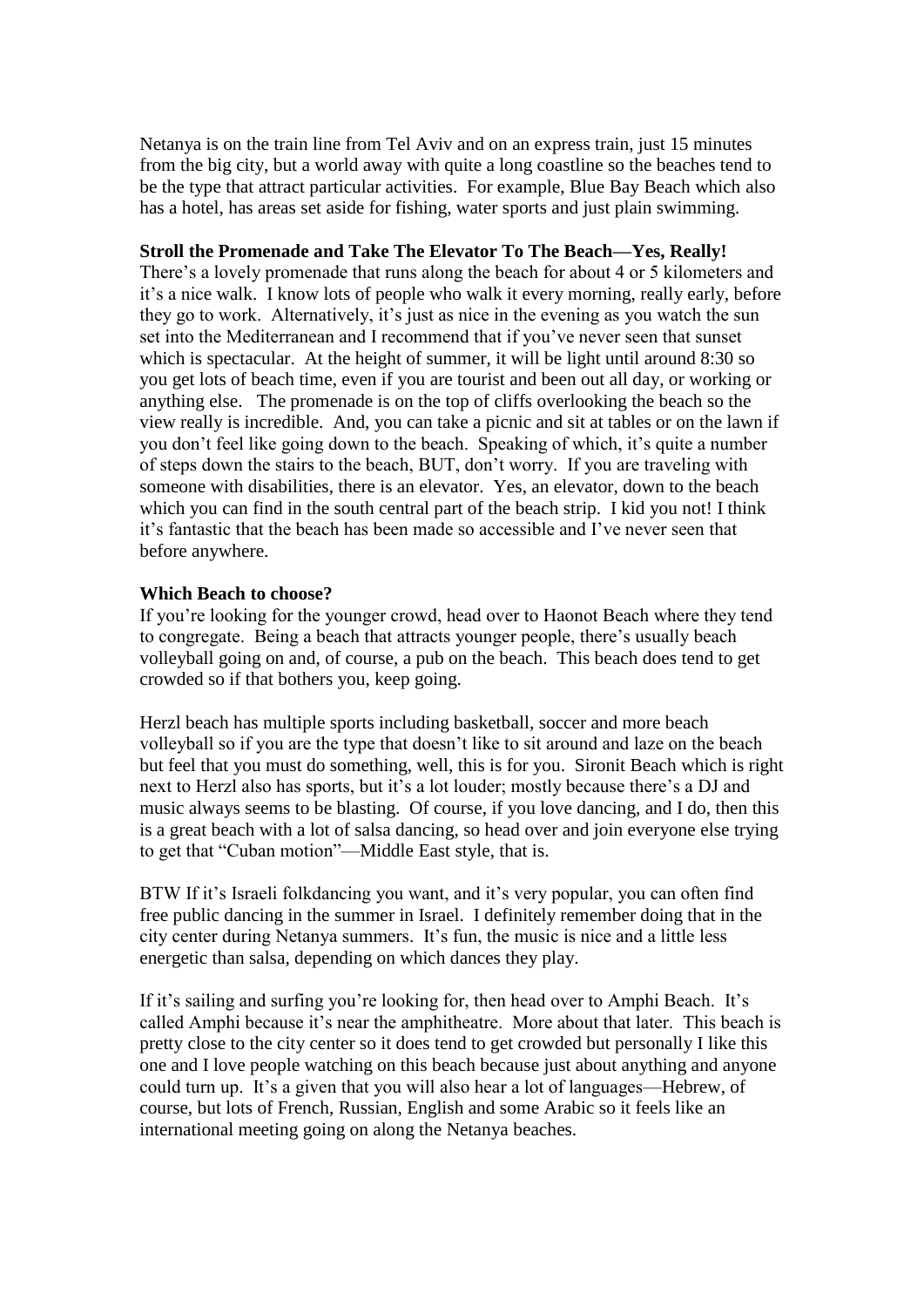Netanya is on the train line from Tel Aviv and on an express train, just 15 minutes from the big city, but a world away with quite a long coastline so the beaches tend to be the type that attract particular activities. For example, Blue Bay Beach which also has a hotel, has areas set aside for fishing, water sports and just plain swimming.

### **Stroll the Promenade and Take The Elevator To The Beach—Yes, Really!**

There's a lovely promenade that runs along the beach for about 4 or 5 kilometers and it's a nice walk. I know lots of people who walk it every morning, really early, before they go to work. Alternatively, it's just as nice in the evening as you watch the sun set into the Mediterranean and I recommend that if you've never seen that sunset which is spectacular. At the height of summer, it will be light until around 8:30 so you get lots of beach time, even if you are tourist and been out all day, or working or anything else. The promenade is on the top of cliffs overlooking the beach so the view really is incredible. And, you can take a picnic and sit at tables or on the lawn if you don't feel like going down to the beach. Speaking of which, it's quite a number of steps down the stairs to the beach, BUT, don't worry. If you are traveling with someone with disabilities, there is an elevator. Yes, an elevator, down to the beach which you can find in the south central part of the beach strip. I kid you not! I think it's fantastic that the beach has been made so accessible and I've never seen that before anywhere.

#### **Which Beach to choose?**

If you're looking for the younger crowd, head over to Haonot Beach where they tend to congregate. Being a beach that attracts younger people, there's usually beach volleyball going on and, of course, a pub on the beach. This beach does tend to get crowded so if that bothers you, keep going.

Herzl beach has multiple sports including basketball, soccer and more beach volleyball so if you are the type that doesn't like to sit around and laze on the beach but feel that you must do something, well, this is for you. Sironit Beach which is right next to Herzl also has sports, but it's a lot louder; mostly because there's a DJ and music always seems to be blasting. Of course, if you love dancing, and I do, then this is a great beach with a lot of salsa dancing, so head over and join everyone else trying to get that "Cuban motion"—Middle East style, that is.

BTW If it's Israeli folkdancing you want, and it's very popular, you can often find free public dancing in the summer in Israel. I definitely remember doing that in the city center during Netanya summers. It's fun, the music is nice and a little less energetic than salsa, depending on which dances they play.

If it's sailing and surfing you're looking for, then head over to Amphi Beach. It's called Amphi because it's near the amphitheatre. More about that later. This beach is pretty close to the city center so it does tend to get crowded but personally I like this one and I love people watching on this beach because just about anything and anyone could turn up. It's a given that you will also hear a lot of languages—Hebrew, of course, but lots of French, Russian, English and some Arabic so it feels like an international meeting going on along the Netanya beaches.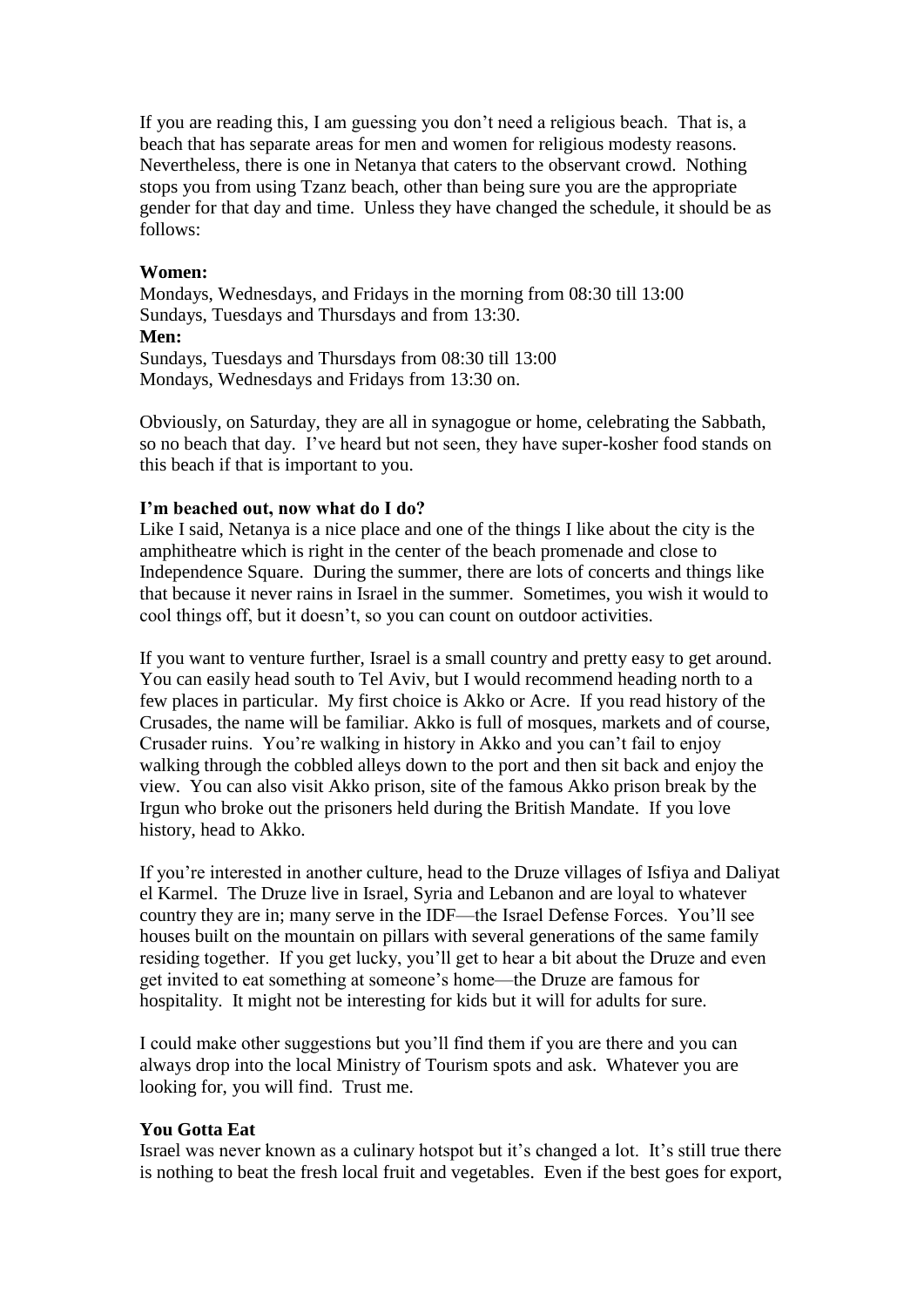If you are reading this, I am guessing you don't need a religious beach. That is, a beach that has separate areas for men and women for religious modesty reasons. Nevertheless, there is one in Netanya that caters to the observant crowd. Nothing stops you from using Tzanz beach, other than being sure you are the appropriate gender for that day and time. Unless they have changed the schedule, it should be as follows:

### **Women:**

Mondays, Wednesdays, and Fridays in the morning from 08:30 till 13:00 Sundays, Tuesdays and Thursdays and from 13:30. **Men:** Sundays, Tuesdays and Thursdays from 08:30 till 13:00 Mondays, Wednesdays and Fridays from 13:30 on.

Obviously, on Saturday, they are all in synagogue or home, celebrating the Sabbath, so no beach that day. I've heard but not seen, they have super-kosher food stands on this beach if that is important to you.

#### **I'm beached out, now what do I do?**

Like I said, Netanya is a nice place and one of the things I like about the city is the amphitheatre which is right in the center of the beach promenade and close to Independence Square. During the summer, there are lots of concerts and things like that because it never rains in Israel in the summer. Sometimes, you wish it would to cool things off, but it doesn't, so you can count on outdoor activities.

If you want to venture further, Israel is a small country and pretty easy to get around. You can easily head south to Tel Aviv, but I would recommend heading north to a few places in particular. My first choice is Akko or Acre. If you read history of the Crusades, the name will be familiar. Akko is full of mosques, markets and of course, Crusader ruins. You're walking in history in Akko and you can't fail to enjoy walking through the cobbled alleys down to the port and then sit back and enjoy the view. You can also visit Akko prison, site of the famous Akko prison break by the Irgun who broke out the prisoners held during the British Mandate. If you love history, head to Akko.

If you're interested in another culture, head to the Druze villages of Isfiya and Daliyat el Karmel. The Druze live in Israel, Syria and Lebanon and are loyal to whatever country they are in; many serve in the IDF—the Israel Defense Forces. You'll see houses built on the mountain on pillars with several generations of the same family residing together. If you get lucky, you'll get to hear a bit about the Druze and even get invited to eat something at someone's home—the Druze are famous for hospitality. It might not be interesting for kids but it will for adults for sure.

I could make other suggestions but you'll find them if you are there and you can always drop into the local Ministry of Tourism spots and ask. Whatever you are looking for, you will find. Trust me.

# **You Gotta Eat**

Israel was never known as a culinary hotspot but it's changed a lot. It's still true there is nothing to beat the fresh local fruit and vegetables. Even if the best goes for export,